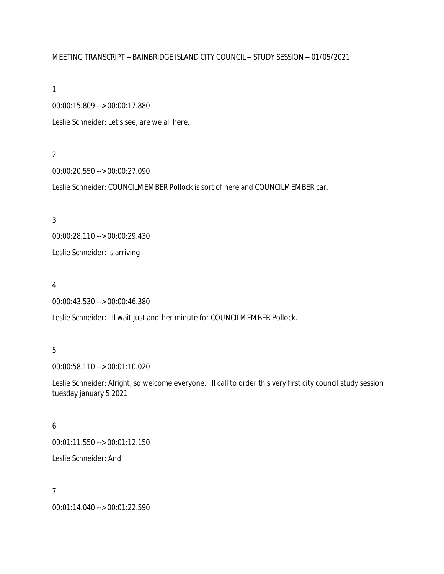#### MEETING TRANSCRIPT – BAINBRIDGE ISLAND CITY COUNCIL – STUDY SESSION – 01/05/2021

1

00:00:15.809 --> 00:00:17.880

Leslie Schneider: Let's see, are we all here.

#### 2

00:00:20.550 --> 00:00:27.090

Leslie Schneider: COUNCILMEMBER Pollock is sort of here and COUNCILMEMBER car.

# 3

00:00:28.110 --> 00:00:29.430

Leslie Schneider: Is arriving

# 4

00:00:43.530 --> 00:00:46.380

Leslie Schneider: I'll wait just another minute for COUNCILMEMBER Pollock.

# 5

00:00:58.110 --> 00:01:10.020

Leslie Schneider: Alright, so welcome everyone. I'll call to order this very first city council study session tuesday january 5 2021

# 6

00:01:11.550 --> 00:01:12.150

Leslie Schneider: And

## 7

00:01:14.040 --> 00:01:22.590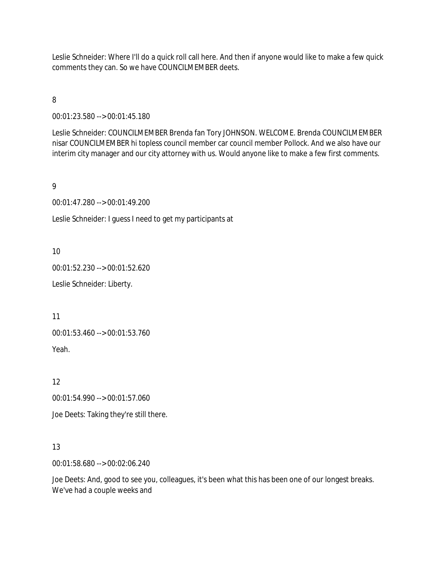Leslie Schneider: Where I'll do a quick roll call here. And then if anyone would like to make a few quick comments they can. So we have COUNCILMEMBER deets.

8

00:01:23.580 --> 00:01:45.180

Leslie Schneider: COUNCILMEMBER Brenda fan Tory JOHNSON. WELCOME. Brenda COUNCILMEMBER nisar COUNCILMEMBER hi topless council member car council member Pollock. And we also have our interim city manager and our city attorney with us. Would anyone like to make a few first comments.

# 9

00:01:47.280 --> 00:01:49.200

Leslie Schneider: I guess I need to get my participants at

10

00:01:52.230 --> 00:01:52.620

Leslie Schneider: Liberty.

11

00:01:53.460 --> 00:01:53.760 Yeah.

12

00:01:54.990 --> 00:01:57.060

Joe Deets: Taking they're still there.

## 13

00:01:58.680 --> 00:02:06.240

Joe Deets: And, good to see you, colleagues, it's been what this has been one of our longest breaks. We've had a couple weeks and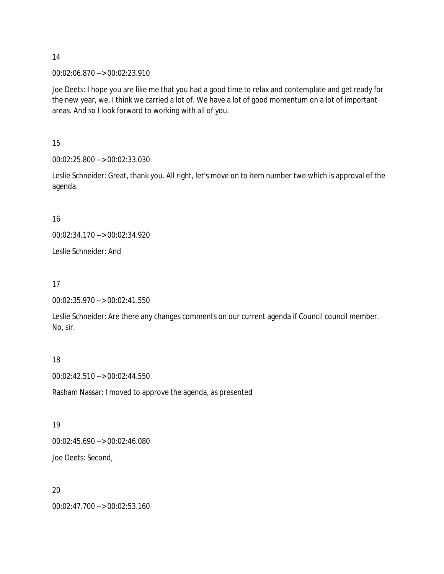00:02:06.870 --> 00:02:23.910

Joe Deets: I hope you are like me that you had a good time to relax and contemplate and get ready for the new year, we, I think we carried a lot of. We have a lot of good momentum on a lot of important areas. And so I look forward to working with all of you.

15

00:02:25.800 --> 00:02:33.030

Leslie Schneider: Great, thank you. All right, let's move on to item number two which is approval of the agenda.

16

00:02:34.170 --> 00:02:34.920

Leslie Schneider: And

### 17

00:02:35.970 --> 00:02:41.550

Leslie Schneider: Are there any changes comments on our current agenda if Council council member. No, sir.

## 18

00:02:42.510 --> 00:02:44.550

Rasham Nassar: I moved to approve the agenda, as presented

## 19

00:02:45.690 --> 00:02:46.080

Joe Deets: Second,

## 20

00:02:47.700 --> 00:02:53.160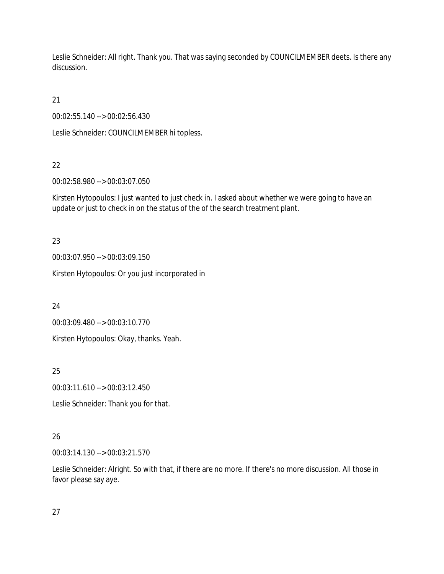Leslie Schneider: All right. Thank you. That was saying seconded by COUNCILMEMBER deets. Is there any discussion.

21

00:02:55.140 --> 00:02:56.430

Leslie Schneider: COUNCILMEMBER hi topless.

# 22

00:02:58.980 --> 00:03:07.050

Kirsten Hytopoulos: I just wanted to just check in. I asked about whether we were going to have an update or just to check in on the status of the of the search treatment plant.

23

00:03:07.950 --> 00:03:09.150

Kirsten Hytopoulos: Or you just incorporated in

24

00:03:09.480 --> 00:03:10.770

Kirsten Hytopoulos: Okay, thanks. Yeah.

25

00:03:11.610 --> 00:03:12.450

Leslie Schneider: Thank you for that.

# 26

00:03:14.130 --> 00:03:21.570

Leslie Schneider: Alright. So with that, if there are no more. If there's no more discussion. All those in favor please say aye.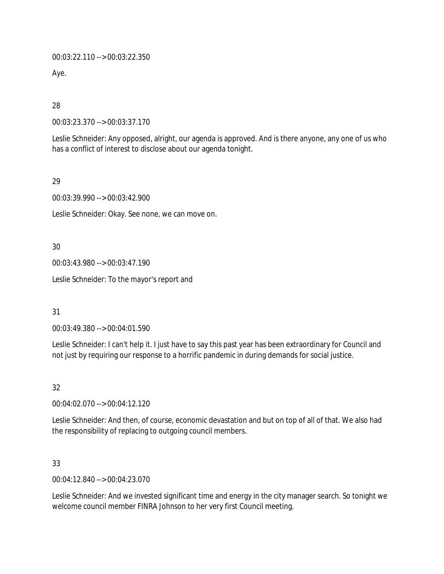00:03:22.110 --> 00:03:22.350

Aye.

28

00:03:23.370 --> 00:03:37.170

Leslie Schneider: Any opposed, alright, our agenda is approved. And is there anyone, any one of us who has a conflict of interest to disclose about our agenda tonight.

29

00:03:39.990 --> 00:03:42.900

Leslie Schneider: Okay. See none, we can move on.

30

00:03:43.980 --> 00:03:47.190

Leslie Schneider: To the mayor's report and

31

00:03:49.380 --> 00:04:01.590

Leslie Schneider: I can't help it. I just have to say this past year has been extraordinary for Council and not just by requiring our response to a horrific pandemic in during demands for social justice.

32

00:04:02.070 --> 00:04:12.120

Leslie Schneider: And then, of course, economic devastation and but on top of all of that. We also had the responsibility of replacing to outgoing council members.

33

00:04:12.840 --> 00:04:23.070

Leslie Schneider: And we invested significant time and energy in the city manager search. So tonight we welcome council member FINRA Johnson to her very first Council meeting.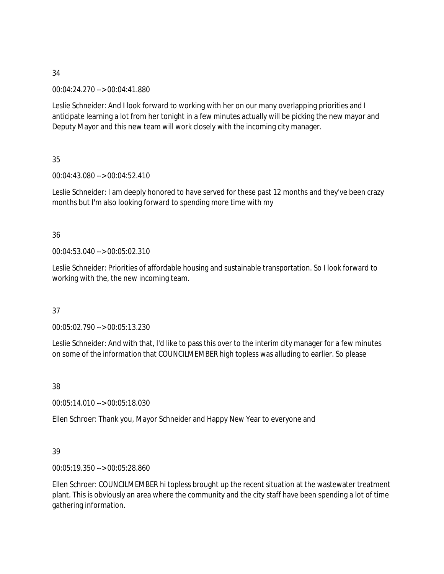00:04:24.270 --> 00:04:41.880

Leslie Schneider: And I look forward to working with her on our many overlapping priorities and I anticipate learning a lot from her tonight in a few minutes actually will be picking the new mayor and Deputy Mayor and this new team will work closely with the incoming city manager.

35

00:04:43.080 --> 00:04:52.410

Leslie Schneider: I am deeply honored to have served for these past 12 months and they've been crazy months but I'm also looking forward to spending more time with my

## 36

00:04:53.040 --> 00:05:02.310

Leslie Schneider: Priorities of affordable housing and sustainable transportation. So I look forward to working with the, the new incoming team.

## 37

00:05:02.790 --> 00:05:13.230

Leslie Schneider: And with that, I'd like to pass this over to the interim city manager for a few minutes on some of the information that COUNCILMEMBER high topless was alluding to earlier. So please

38

00:05:14.010 --> 00:05:18.030

Ellen Schroer: Thank you, Mayor Schneider and Happy New Year to everyone and

## 39

00:05:19.350 --> 00:05:28.860

Ellen Schroer: COUNCILMEMBER hi topless brought up the recent situation at the wastewater treatment plant. This is obviously an area where the community and the city staff have been spending a lot of time gathering information.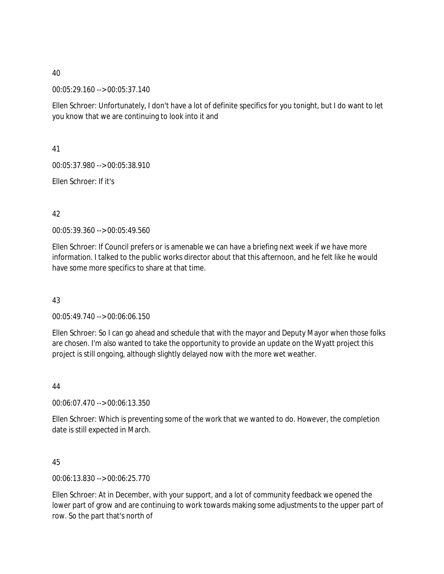00:05:29.160 --> 00:05:37.140

Ellen Schroer: Unfortunately, I don't have a lot of definite specifics for you tonight, but I do want to let you know that we are continuing to look into it and

41

00:05:37.980 --> 00:05:38.910

Ellen Schroer: If it's

42

00:05:39.360 --> 00:05:49.560

Ellen Schroer: If Council prefers or is amenable we can have a briefing next week if we have more information. I talked to the public works director about that this afternoon, and he felt like he would have some more specifics to share at that time.

43

00:05:49.740 --> 00:06:06.150

Ellen Schroer: So I can go ahead and schedule that with the mayor and Deputy Mayor when those folks are chosen. I'm also wanted to take the opportunity to provide an update on the Wyatt project this project is still ongoing, although slightly delayed now with the more wet weather.

44

00:06:07.470 --> 00:06:13.350

Ellen Schroer: Which is preventing some of the work that we wanted to do. However, the completion date is still expected in March.

45

00:06:13.830 --> 00:06:25.770

Ellen Schroer: At in December, with your support, and a lot of community feedback we opened the lower part of grow and are continuing to work towards making some adjustments to the upper part of row. So the part that's north of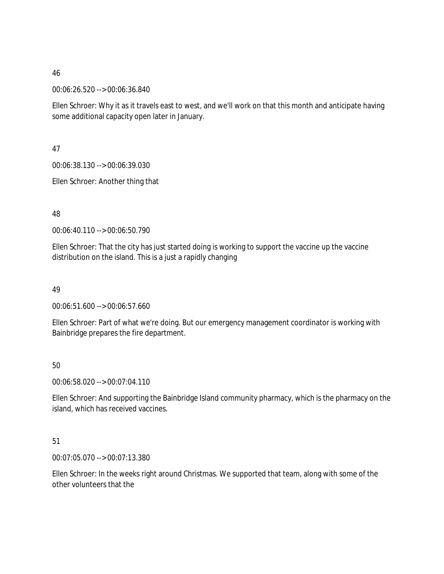00:06:26.520 --> 00:06:36.840

Ellen Schroer: Why it as it travels east to west, and we'll work on that this month and anticipate having some additional capacity open later in January.

47

00:06:38.130 --> 00:06:39.030

Ellen Schroer: Another thing that

48

00:06:40.110 --> 00:06:50.790

Ellen Schroer: That the city has just started doing is working to support the vaccine up the vaccine distribution on the island. This is a just a rapidly changing

49

00:06:51.600 --> 00:06:57.660

Ellen Schroer: Part of what we're doing. But our emergency management coordinator is working with Bainbridge prepares the fire department.

50

00:06:58.020 --> 00:07:04.110

Ellen Schroer: And supporting the Bainbridge Island community pharmacy, which is the pharmacy on the island, which has received vaccines.

51

00:07:05.070 --> 00:07:13.380

Ellen Schroer: In the weeks right around Christmas. We supported that team, along with some of the other volunteers that the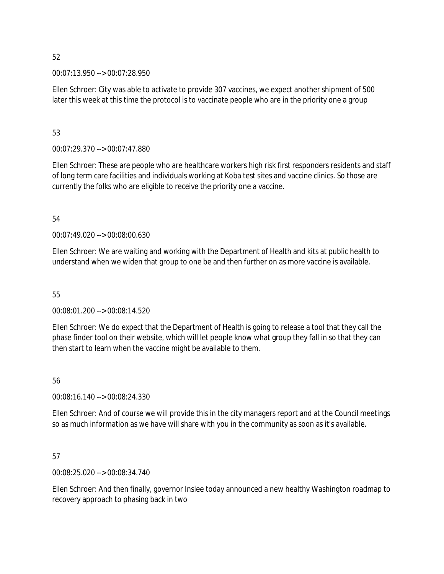00:07:13.950 --> 00:07:28.950

Ellen Schroer: City was able to activate to provide 307 vaccines, we expect another shipment of 500 later this week at this time the protocol is to vaccinate people who are in the priority one a group

### 53

00:07:29.370 --> 00:07:47.880

Ellen Schroer: These are people who are healthcare workers high risk first responders residents and staff of long term care facilities and individuals working at Koba test sites and vaccine clinics. So those are currently the folks who are eligible to receive the priority one a vaccine.

#### 54

00:07:49.020 --> 00:08:00.630

Ellen Schroer: We are waiting and working with the Department of Health and kits at public health to understand when we widen that group to one be and then further on as more vaccine is available.

## 55

00:08:01.200 --> 00:08:14.520

Ellen Schroer: We do expect that the Department of Health is going to release a tool that they call the phase finder tool on their website, which will let people know what group they fall in so that they can then start to learn when the vaccine might be available to them.

#### 56

00:08:16.140 --> 00:08:24.330

Ellen Schroer: And of course we will provide this in the city managers report and at the Council meetings so as much information as we have will share with you in the community as soon as it's available.

## 57

00:08:25.020 --> 00:08:34.740

Ellen Schroer: And then finally, governor Inslee today announced a new healthy Washington roadmap to recovery approach to phasing back in two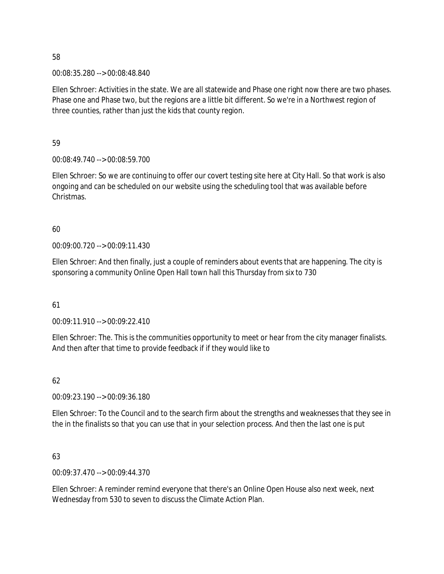00:08:35.280 --> 00:08:48.840

Ellen Schroer: Activities in the state. We are all statewide and Phase one right now there are two phases. Phase one and Phase two, but the regions are a little bit different. So we're in a Northwest region of three counties, rather than just the kids that county region.

59

00:08:49.740 --> 00:08:59.700

Ellen Schroer: So we are continuing to offer our covert testing site here at City Hall. So that work is also ongoing and can be scheduled on our website using the scheduling tool that was available before Christmas.

60

00:09:00.720 --> 00:09:11.430

Ellen Schroer: And then finally, just a couple of reminders about events that are happening. The city is sponsoring a community Online Open Hall town hall this Thursday from six to 730

61

00:09:11.910 --> 00:09:22.410

Ellen Schroer: The. This is the communities opportunity to meet or hear from the city manager finalists. And then after that time to provide feedback if if they would like to

62

00:09:23.190 --> 00:09:36.180

Ellen Schroer: To the Council and to the search firm about the strengths and weaknesses that they see in the in the finalists so that you can use that in your selection process. And then the last one is put

63

00:09:37.470 --> 00:09:44.370

Ellen Schroer: A reminder remind everyone that there's an Online Open House also next week, next Wednesday from 530 to seven to discuss the Climate Action Plan.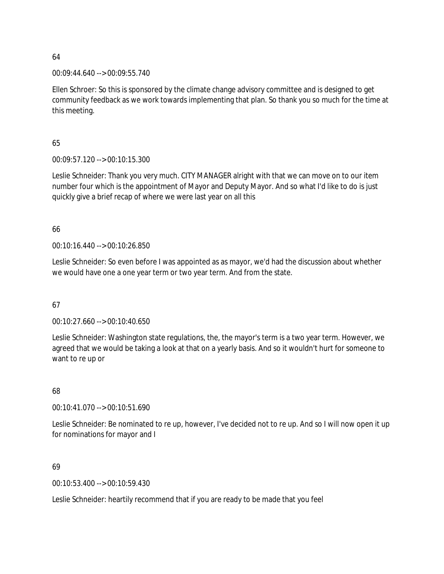00:09:44.640 --> 00:09:55.740

Ellen Schroer: So this is sponsored by the climate change advisory committee and is designed to get community feedback as we work towards implementing that plan. So thank you so much for the time at this meeting.

65

00:09:57.120 --> 00:10:15.300

Leslie Schneider: Thank you very much. CITY MANAGER alright with that we can move on to our item number four which is the appointment of Mayor and Deputy Mayor. And so what I'd like to do is just quickly give a brief recap of where we were last year on all this

66

00:10:16.440 --> 00:10:26.850

Leslie Schneider: So even before I was appointed as as mayor, we'd had the discussion about whether we would have one a one year term or two year term. And from the state.

67

00:10:27.660 --> 00:10:40.650

Leslie Schneider: Washington state regulations, the, the mayor's term is a two year term. However, we agreed that we would be taking a look at that on a yearly basis. And so it wouldn't hurt for someone to want to re up or

68

00:10:41.070 --> 00:10:51.690

Leslie Schneider: Be nominated to re up, however, I've decided not to re up. And so I will now open it up for nominations for mayor and I

69

00:10:53.400 --> 00:10:59.430

Leslie Schneider: heartily recommend that if you are ready to be made that you feel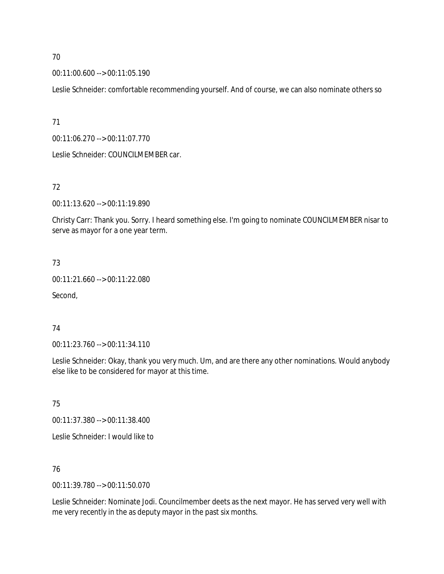00:11:00.600 --> 00:11:05.190

Leslie Schneider: comfortable recommending yourself. And of course, we can also nominate others so

71

00:11:06.270 --> 00:11:07.770

Leslie Schneider: COUNCILMEMBER car.

#### 72

00:11:13.620 --> 00:11:19.890

Christy Carr: Thank you. Sorry. I heard something else. I'm going to nominate COUNCILMEMBER nisar to serve as mayor for a one year term.

#### 73

00:11:21.660 --> 00:11:22.080

Second,

## 74

00:11:23.760 --> 00:11:34.110

Leslie Schneider: Okay, thank you very much. Um, and are there any other nominations. Would anybody else like to be considered for mayor at this time.

75

00:11:37.380 --> 00:11:38.400

Leslie Schneider: I would like to

#### 76

00:11:39.780 --> 00:11:50.070

Leslie Schneider: Nominate Jodi. Councilmember deets as the next mayor. He has served very well with me very recently in the as deputy mayor in the past six months.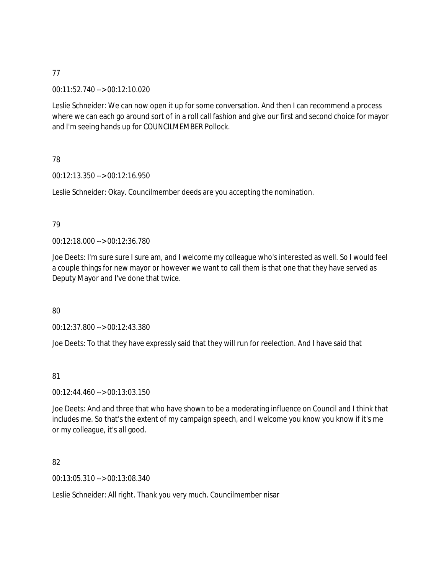00:11:52.740 --> 00:12:10.020

Leslie Schneider: We can now open it up for some conversation. And then I can recommend a process where we can each go around sort of in a roll call fashion and give our first and second choice for mayor and I'm seeing hands up for COUNCILMEMBER Pollock.

## 78

00:12:13.350 --> 00:12:16.950

Leslie Schneider: Okay. Councilmember deeds are you accepting the nomination.

#### 79

00:12:18.000 --> 00:12:36.780

Joe Deets: I'm sure sure I sure am, and I welcome my colleague who's interested as well. So I would feel a couple things for new mayor or however we want to call them is that one that they have served as Deputy Mayor and I've done that twice.

## 80

00:12:37.800 --> 00:12:43.380

Joe Deets: To that they have expressly said that they will run for reelection. And I have said that

## 81

00:12:44.460 --> 00:13:03.150

Joe Deets: And and three that who have shown to be a moderating influence on Council and I think that includes me. So that's the extent of my campaign speech, and I welcome you know you know if it's me or my colleague, it's all good.

## 82

00:13:05.310 --> 00:13:08.340

Leslie Schneider: All right. Thank you very much. Councilmember nisar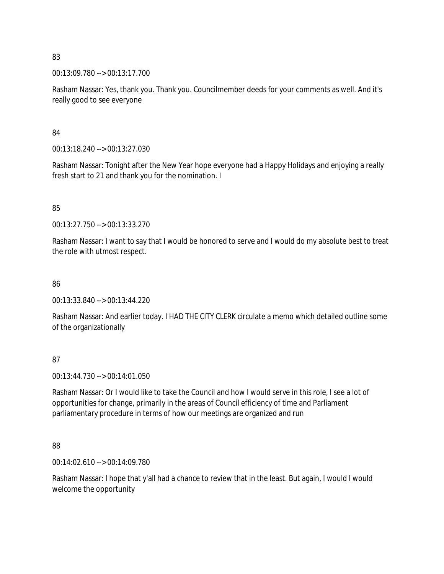00:13:09.780 --> 00:13:17.700

Rasham Nassar: Yes, thank you. Thank you. Councilmember deeds for your comments as well. And it's really good to see everyone

84

00:13:18.240 --> 00:13:27.030

Rasham Nassar: Tonight after the New Year hope everyone had a Happy Holidays and enjoying a really fresh start to 21 and thank you for the nomination. I

85

00:13:27.750 --> 00:13:33.270

Rasham Nassar: I want to say that I would be honored to serve and I would do my absolute best to treat the role with utmost respect.

86

00:13:33.840 --> 00:13:44.220

Rasham Nassar: And earlier today. I HAD THE CITY CLERK circulate a memo which detailed outline some of the organizationally

87

00:13:44.730 --> 00:14:01.050

Rasham Nassar: Or I would like to take the Council and how I would serve in this role, I see a lot of opportunities for change, primarily in the areas of Council efficiency of time and Parliament parliamentary procedure in terms of how our meetings are organized and run

88

00:14:02.610 --> 00:14:09.780

Rasham Nassar: I hope that y'all had a chance to review that in the least. But again, I would I would welcome the opportunity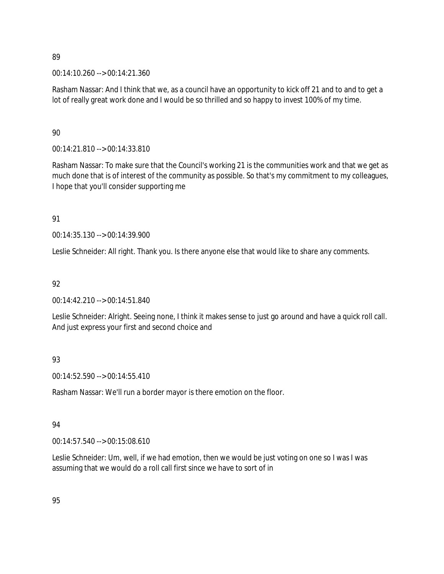00:14:10.260 --> 00:14:21.360

Rasham Nassar: And I think that we, as a council have an opportunity to kick off 21 and to and to get a lot of really great work done and I would be so thrilled and so happy to invest 100% of my time.

## 90

00:14:21.810 --> 00:14:33.810

Rasham Nassar: To make sure that the Council's working 21 is the communities work and that we get as much done that is of interest of the community as possible. So that's my commitment to my colleagues, I hope that you'll consider supporting me

## 91

00:14:35.130 --> 00:14:39.900

Leslie Schneider: All right. Thank you. Is there anyone else that would like to share any comments.

# 92

00:14:42.210 --> 00:14:51.840

Leslie Schneider: Alright. Seeing none, I think it makes sense to just go around and have a quick roll call. And just express your first and second choice and

# 93

00:14:52.590 --> 00:14:55.410

Rasham Nassar: We'll run a border mayor is there emotion on the floor.

# 94

00:14:57.540 --> 00:15:08.610

Leslie Schneider: Um, well, if we had emotion, then we would be just voting on one so I was I was assuming that we would do a roll call first since we have to sort of in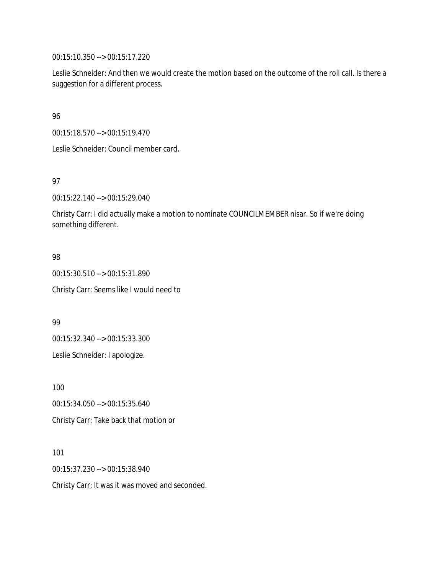00:15:10.350 --> 00:15:17.220

Leslie Schneider: And then we would create the motion based on the outcome of the roll call. Is there a suggestion for a different process.

96

00:15:18.570 --> 00:15:19.470

Leslie Schneider: Council member card.

97

00:15:22.140 --> 00:15:29.040

Christy Carr: I did actually make a motion to nominate COUNCILMEMBER nisar. So if we're doing something different.

98

00:15:30.510 --> 00:15:31.890 Christy Carr: Seems like I would need to

99

00:15:32.340 --> 00:15:33.300

Leslie Schneider: I apologize.

100

00:15:34.050 --> 00:15:35.640

Christy Carr: Take back that motion or

101

00:15:37.230 --> 00:15:38.940

Christy Carr: It was it was moved and seconded.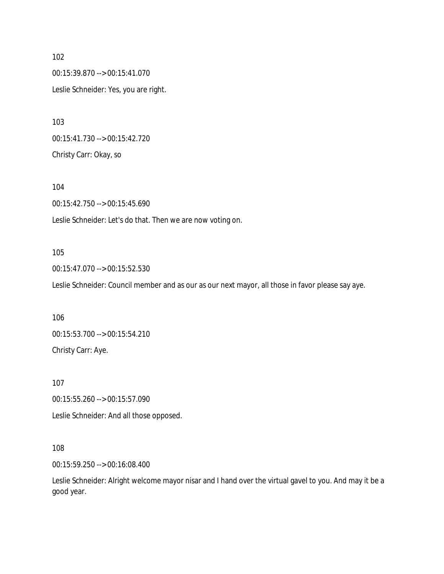00:15:39.870 --> 00:15:41.070 Leslie Schneider: Yes, you are right.

00:15:41.730 --> 00:15:42.720 Christy Carr: Okay, so

104 00:15:42.750 --> 00:15:45.690 Leslie Schneider: Let's do that. Then we are now voting on.

## 105

00:15:47.070 --> 00:15:52.530

Leslie Schneider: Council member and as our as our next mayor, all those in favor please say aye.

106 00:15:53.700 --> 00:15:54.210 Christy Carr: Aye.

107

00:15:55.260 --> 00:15:57.090

Leslie Schneider: And all those opposed.

108

00:15:59.250 --> 00:16:08.400

Leslie Schneider: Alright welcome mayor nisar and I hand over the virtual gavel to you. And may it be a good year.

102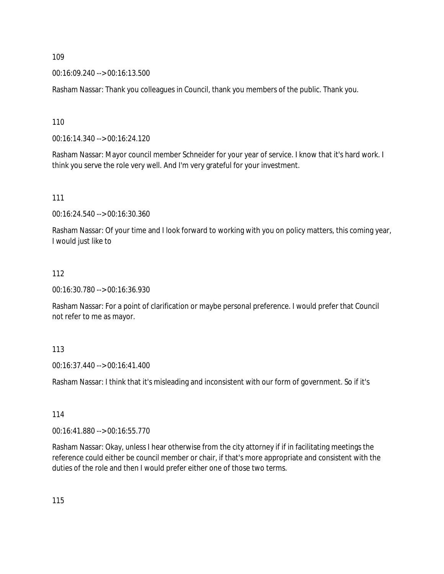00:16:09.240 --> 00:16:13.500

Rasham Nassar: Thank you colleagues in Council, thank you members of the public. Thank you.

110

00:16:14.340 --> 00:16:24.120

Rasham Nassar: Mayor council member Schneider for your year of service. I know that it's hard work. I think you serve the role very well. And I'm very grateful for your investment.

111

00:16:24.540 --> 00:16:30.360

Rasham Nassar: Of your time and I look forward to working with you on policy matters, this coming year, I would just like to

#### 112

00:16:30.780 --> 00:16:36.930

Rasham Nassar: For a point of clarification or maybe personal preference. I would prefer that Council not refer to me as mayor.

#### 113

00:16:37.440 --> 00:16:41.400

Rasham Nassar: I think that it's misleading and inconsistent with our form of government. So if it's

114

00:16:41.880 --> 00:16:55.770

Rasham Nassar: Okay, unless I hear otherwise from the city attorney if if in facilitating meetings the reference could either be council member or chair, if that's more appropriate and consistent with the duties of the role and then I would prefer either one of those two terms.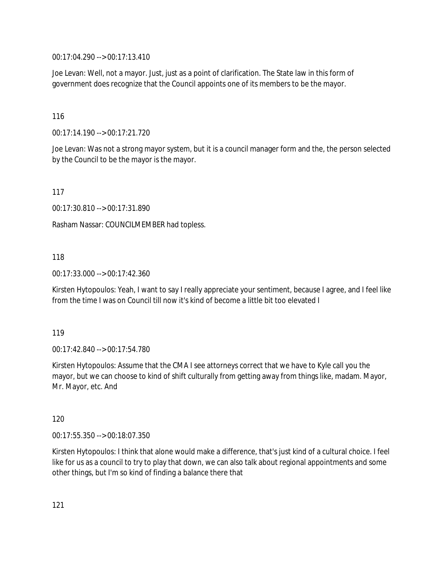00:17:04.290 --> 00:17:13.410

Joe Levan: Well, not a mayor. Just, just as a point of clarification. The State law in this form of government does recognize that the Council appoints one of its members to be the mayor.

116

00:17:14.190 --> 00:17:21.720

Joe Levan: Was not a strong mayor system, but it is a council manager form and the, the person selected by the Council to be the mayor is the mayor.

117

00:17:30.810 --> 00:17:31.890

Rasham Nassar: COUNCILMEMBER had topless.

118

00:17:33.000 --> 00:17:42.360

Kirsten Hytopoulos: Yeah, I want to say I really appreciate your sentiment, because I agree, and I feel like from the time I was on Council till now it's kind of become a little bit too elevated I

119

00:17:42.840 --> 00:17:54.780

Kirsten Hytopoulos: Assume that the CMA I see attorneys correct that we have to Kyle call you the mayor, but we can choose to kind of shift culturally from getting away from things like, madam. Mayor, Mr. Mayor, etc. And

120

00:17:55.350 --> 00:18:07.350

Kirsten Hytopoulos: I think that alone would make a difference, that's just kind of a cultural choice. I feel like for us as a council to try to play that down, we can also talk about regional appointments and some other things, but I'm so kind of finding a balance there that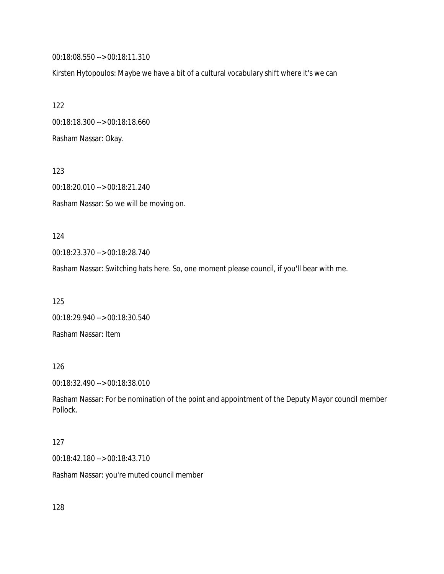00:18:08.550 --> 00:18:11.310

Kirsten Hytopoulos: Maybe we have a bit of a cultural vocabulary shift where it's we can

122 00:18:18.300 --> 00:18:18.660 Rasham Nassar: Okay.

123 00:18:20.010 --> 00:18:21.240 Rasham Nassar: So we will be moving on.

124

00:18:23.370 --> 00:18:28.740

Rasham Nassar: Switching hats here. So, one moment please council, if you'll bear with me.

125

00:18:29.940 --> 00:18:30.540 Rasham Nassar: Item

126

00:18:32.490 --> 00:18:38.010

Rasham Nassar: For be nomination of the point and appointment of the Deputy Mayor council member Pollock.

127

00:18:42.180 --> 00:18:43.710

Rasham Nassar: you're muted council member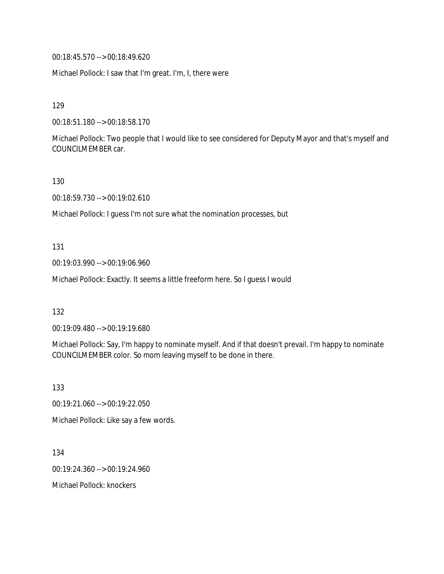00:18:45.570 --> 00:18:49.620

Michael Pollock: I saw that I'm great. I'm, I, there were

129

00:18:51.180 --> 00:18:58.170

Michael Pollock: Two people that I would like to see considered for Deputy Mayor and that's myself and COUNCILMEMBER car.

130

00:18:59.730 --> 00:19:02.610

Michael Pollock: I guess I'm not sure what the nomination processes, but

131

00:19:03.990 --> 00:19:06.960

Michael Pollock: Exactly. It seems a little freeform here. So I guess I would

132

00:19:09.480 --> 00:19:19.680

Michael Pollock: Say, I'm happy to nominate myself. And if that doesn't prevail. I'm happy to nominate COUNCILMEMBER color. So mom leaving myself to be done in there.

133

00:19:21.060 --> 00:19:22.050

Michael Pollock: Like say a few words.

134

00:19:24.360 --> 00:19:24.960

Michael Pollock: knockers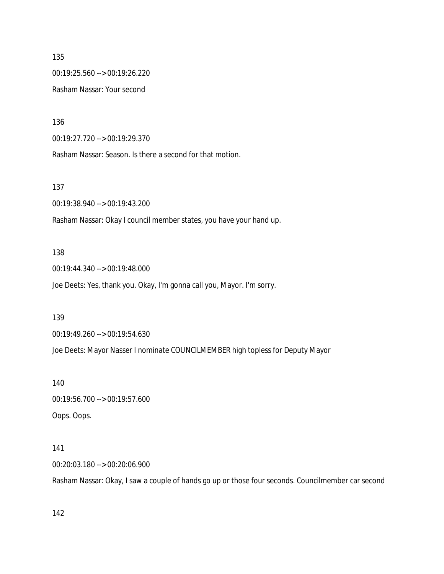135 00:19:25.560 --> 00:19:26.220 Rasham Nassar: Your second

136

00:19:27.720 --> 00:19:29.370

Rasham Nassar: Season. Is there a second for that motion.

137

00:19:38.940 --> 00:19:43.200

Rasham Nassar: Okay I council member states, you have your hand up.

#### 138

00:19:44.340 --> 00:19:48.000

Joe Deets: Yes, thank you. Okay, I'm gonna call you, Mayor. I'm sorry.

#### 139

00:19:49.260 --> 00:19:54.630

Joe Deets: Mayor Nasser I nominate COUNCILMEMBER high topless for Deputy Mayor

140

00:19:56.700 --> 00:19:57.600 Oops. Oops.

#### 141

00:20:03.180 --> 00:20:06.900

Rasham Nassar: Okay, I saw a couple of hands go up or those four seconds. Councilmember car second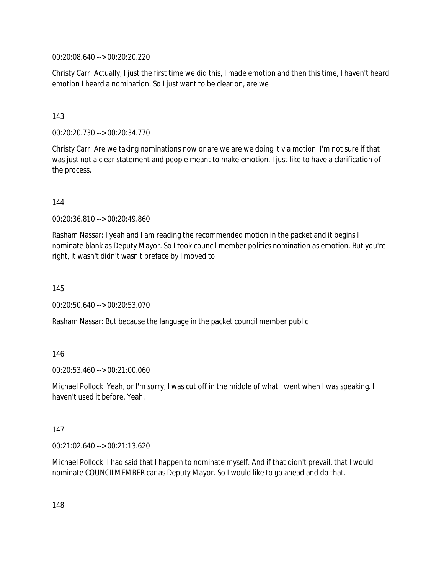00:20:08.640 --> 00:20:20.220

Christy Carr: Actually, I just the first time we did this, I made emotion and then this time, I haven't heard emotion I heard a nomination. So I just want to be clear on, are we

#### 143

00:20:20.730 --> 00:20:34.770

Christy Carr: Are we taking nominations now or are we are we doing it via motion. I'm not sure if that was just not a clear statement and people meant to make emotion. I just like to have a clarification of the process.

144

00:20:36.810 --> 00:20:49.860

Rasham Nassar: I yeah and I am reading the recommended motion in the packet and it begins I nominate blank as Deputy Mayor. So I took council member politics nomination as emotion. But you're right, it wasn't didn't wasn't preface by I moved to

145

00:20:50.640 --> 00:20:53.070

Rasham Nassar: But because the language in the packet council member public

#### 146

00:20:53.460 --> 00:21:00.060

Michael Pollock: Yeah, or I'm sorry, I was cut off in the middle of what I went when I was speaking. I haven't used it before. Yeah.

#### 147

00:21:02.640 --> 00:21:13.620

Michael Pollock: I had said that I happen to nominate myself. And if that didn't prevail, that I would nominate COUNCILMEMBER car as Deputy Mayor. So I would like to go ahead and do that.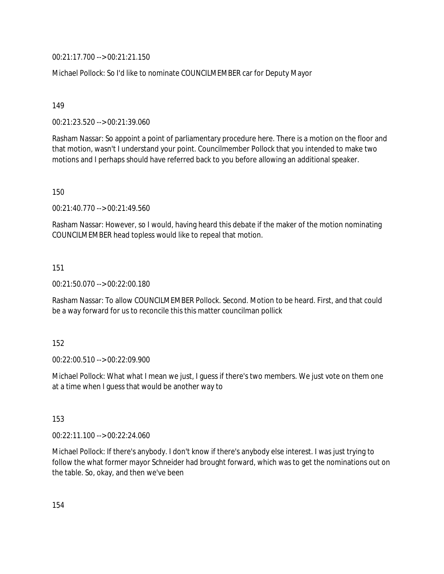00:21:17.700 --> 00:21:21.150

Michael Pollock: So I'd like to nominate COUNCILMEMBER car for Deputy Mayor

149

00:21:23.520 --> 00:21:39.060

Rasham Nassar: So appoint a point of parliamentary procedure here. There is a motion on the floor and that motion, wasn't I understand your point. Councilmember Pollock that you intended to make two motions and I perhaps should have referred back to you before allowing an additional speaker.

150

00:21:40.770 --> 00:21:49.560

Rasham Nassar: However, so I would, having heard this debate if the maker of the motion nominating COUNCILMEMBER head topless would like to repeal that motion.

151

00:21:50.070 --> 00:22:00.180

Rasham Nassar: To allow COUNCILMEMBER Pollock. Second. Motion to be heard. First, and that could be a way forward for us to reconcile this this matter councilman pollick

152

00:22:00.510 --> 00:22:09.900

Michael Pollock: What what I mean we just, I guess if there's two members. We just vote on them one at a time when I guess that would be another way to

153

00:22:11.100 --> 00:22:24.060

Michael Pollock: If there's anybody. I don't know if there's anybody else interest. I was just trying to follow the what former mayor Schneider had brought forward, which was to get the nominations out on the table. So, okay, and then we've been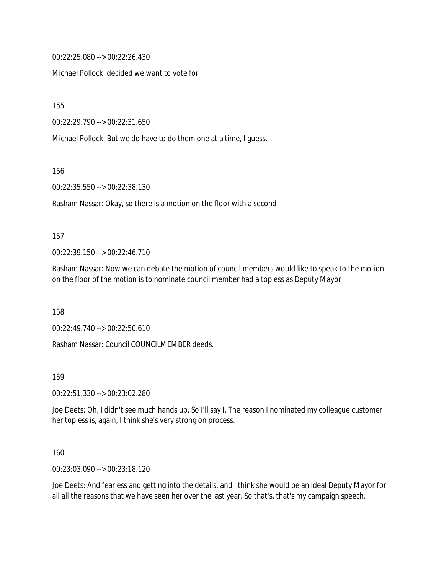00:22:25.080 --> 00:22:26.430

Michael Pollock: decided we want to vote for

155

00:22:29.790 --> 00:22:31.650

Michael Pollock: But we do have to do them one at a time, I guess.

156

00:22:35.550 --> 00:22:38.130

Rasham Nassar: Okay, so there is a motion on the floor with a second

#### 157

00:22:39.150 --> 00:22:46.710

Rasham Nassar: Now we can debate the motion of council members would like to speak to the motion on the floor of the motion is to nominate council member had a topless as Deputy Mayor

158

00:22:49.740 --> 00:22:50.610

Rasham Nassar: Council COUNCILMEMBER deeds.

159

00:22:51.330 --> 00:23:02.280

Joe Deets: Oh, I didn't see much hands up. So I'll say I. The reason I nominated my colleague customer her topless is, again, I think she's very strong on process.

160

00:23:03.090 --> 00:23:18.120

Joe Deets: And fearless and getting into the details, and I think she would be an ideal Deputy Mayor for all all the reasons that we have seen her over the last year. So that's, that's my campaign speech.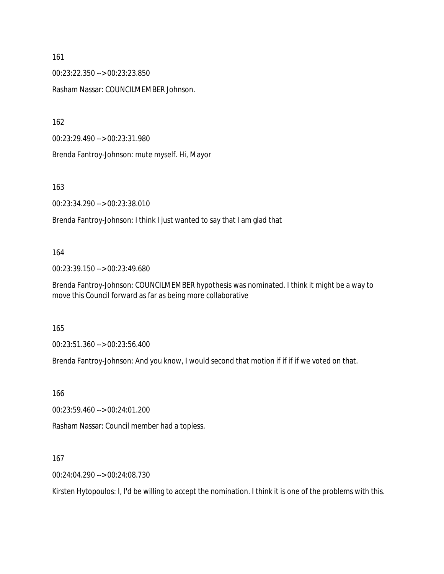00:23:22.350 --> 00:23:23.850 Rasham Nassar: COUNCILMEMBER Johnson.

162

00:23:29.490 --> 00:23:31.980

Brenda Fantroy-Johnson: mute myself. Hi, Mayor

163

00:23:34.290 --> 00:23:38.010

Brenda Fantroy-Johnson: I think I just wanted to say that I am glad that

#### 164

00:23:39.150 --> 00:23:49.680

Brenda Fantroy-Johnson: COUNCILMEMBER hypothesis was nominated. I think it might be a way to move this Council forward as far as being more collaborative

165

00:23:51.360 --> 00:23:56.400

Brenda Fantroy-Johnson: And you know, I would second that motion if if if if we voted on that.

166

00:23:59.460 --> 00:24:01.200

Rasham Nassar: Council member had a topless.

167

00:24:04.290 --> 00:24:08.730

Kirsten Hytopoulos: I, I'd be willing to accept the nomination. I think it is one of the problems with this.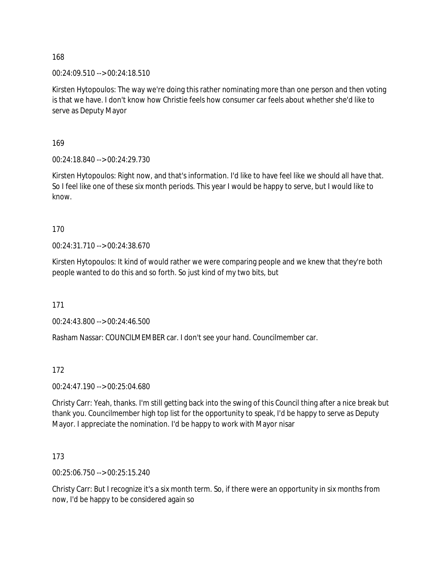00:24:09.510 --> 00:24:18.510

Kirsten Hytopoulos: The way we're doing this rather nominating more than one person and then voting is that we have. I don't know how Christie feels how consumer car feels about whether she'd like to serve as Deputy Mayor

169

00:24:18.840 --> 00:24:29.730

Kirsten Hytopoulos: Right now, and that's information. I'd like to have feel like we should all have that. So I feel like one of these six month periods. This year I would be happy to serve, but I would like to know.

170

00:24:31.710 --> 00:24:38.670

Kirsten Hytopoulos: It kind of would rather we were comparing people and we knew that they're both people wanted to do this and so forth. So just kind of my two bits, but

171

00:24:43.800 --> 00:24:46.500

Rasham Nassar: COUNCILMEMBER car. I don't see your hand. Councilmember car.

172

00:24:47.190 --> 00:25:04.680

Christy Carr: Yeah, thanks. I'm still getting back into the swing of this Council thing after a nice break but thank you. Councilmember high top list for the opportunity to speak, I'd be happy to serve as Deputy Mayor. I appreciate the nomination. I'd be happy to work with Mayor nisar

173

00:25:06.750 --> 00:25:15.240

Christy Carr: But I recognize it's a six month term. So, if there were an opportunity in six months from now, I'd be happy to be considered again so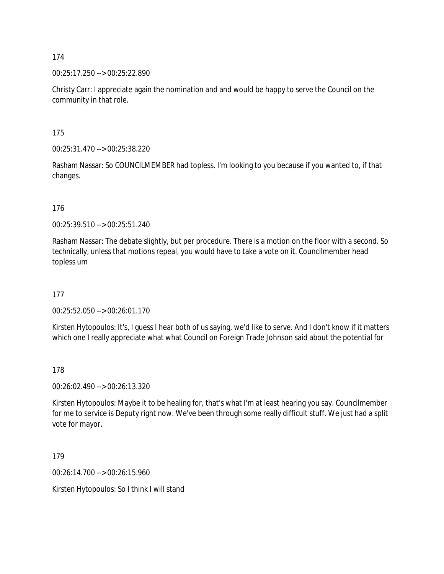00:25:17.250 --> 00:25:22.890

Christy Carr: I appreciate again the nomination and and would be happy to serve the Council on the community in that role.

175

00:25:31.470 --> 00:25:38.220

Rasham Nassar: So COUNCILMEMBER had topless. I'm looking to you because if you wanted to, if that changes.

176

00:25:39.510 --> 00:25:51.240

Rasham Nassar: The debate slightly, but per procedure. There is a motion on the floor with a second. So technically, unless that motions repeal, you would have to take a vote on it. Councilmember head topless um

177

00:25:52.050 --> 00:26:01.170

Kirsten Hytopoulos: It's, I guess I hear both of us saying, we'd like to serve. And I don't know if it matters which one I really appreciate what what Council on Foreign Trade Johnson said about the potential for

178

00:26:02.490 --> 00:26:13.320

Kirsten Hytopoulos: Maybe it to be healing for, that's what I'm at least hearing you say. Councilmember for me to service is Deputy right now. We've been through some really difficult stuff. We just had a split vote for mayor.

179

00:26:14.700 --> 00:26:15.960

Kirsten Hytopoulos: So I think I will stand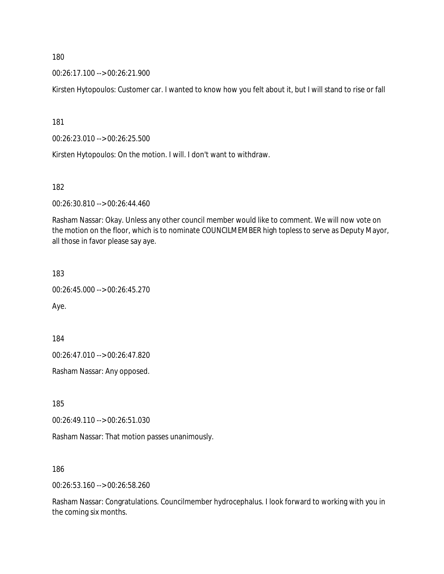00:26:17.100 --> 00:26:21.900

Kirsten Hytopoulos: Customer car. I wanted to know how you felt about it, but I will stand to rise or fall

181

00:26:23.010 --> 00:26:25.500

Kirsten Hytopoulos: On the motion. I will. I don't want to withdraw.

182

00:26:30.810 --> 00:26:44.460

Rasham Nassar: Okay. Unless any other council member would like to comment. We will now vote on the motion on the floor, which is to nominate COUNCILMEMBER high topless to serve as Deputy Mayor, all those in favor please say aye.

183

00:26:45.000 --> 00:26:45.270

Aye.

184

00:26:47.010 --> 00:26:47.820

Rasham Nassar: Any opposed.

185

00:26:49.110 --> 00:26:51.030

Rasham Nassar: That motion passes unanimously.

186

00:26:53.160 --> 00:26:58.260

Rasham Nassar: Congratulations. Councilmember hydrocephalus. I look forward to working with you in the coming six months.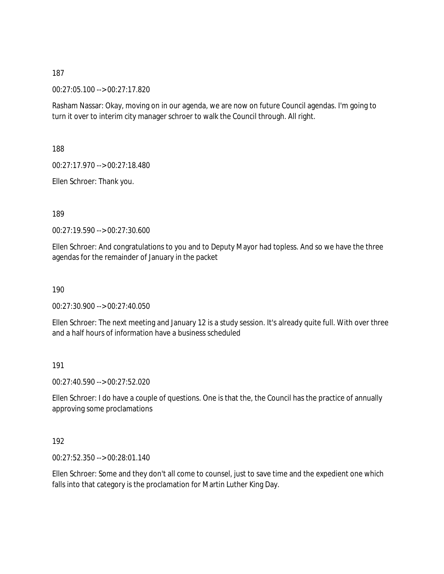00:27:05.100 --> 00:27:17.820

Rasham Nassar: Okay, moving on in our agenda, we are now on future Council agendas. I'm going to turn it over to interim city manager schroer to walk the Council through. All right.

188

00:27:17.970 --> 00:27:18.480

Ellen Schroer: Thank you.

189

00:27:19.590 --> 00:27:30.600

Ellen Schroer: And congratulations to you and to Deputy Mayor had topless. And so we have the three agendas for the remainder of January in the packet

190

00:27:30.900 --> 00:27:40.050

Ellen Schroer: The next meeting and January 12 is a study session. It's already quite full. With over three and a half hours of information have a business scheduled

191

00:27:40.590 --> 00:27:52.020

Ellen Schroer: I do have a couple of questions. One is that the, the Council has the practice of annually approving some proclamations

192

00:27:52.350 --> 00:28:01.140

Ellen Schroer: Some and they don't all come to counsel, just to save time and the expedient one which falls into that category is the proclamation for Martin Luther King Day.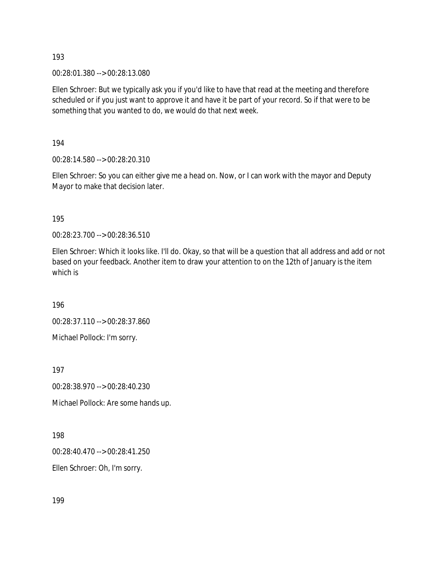00:28:01.380 --> 00:28:13.080

Ellen Schroer: But we typically ask you if you'd like to have that read at the meeting and therefore scheduled or if you just want to approve it and have it be part of your record. So if that were to be something that you wanted to do, we would do that next week.

194

00:28:14.580 --> 00:28:20.310

Ellen Schroer: So you can either give me a head on. Now, or I can work with the mayor and Deputy Mayor to make that decision later.

195

00:28:23.700 --> 00:28:36.510

Ellen Schroer: Which it looks like. I'll do. Okay, so that will be a question that all address and add or not based on your feedback. Another item to draw your attention to on the 12th of January is the item which is

196

00:28:37.110 --> 00:28:37.860

Michael Pollock: I'm sorry.

197

00:28:38.970 --> 00:28:40.230

Michael Pollock: Are some hands up.

198

00:28:40.470 --> 00:28:41.250

Ellen Schroer: Oh, I'm sorry.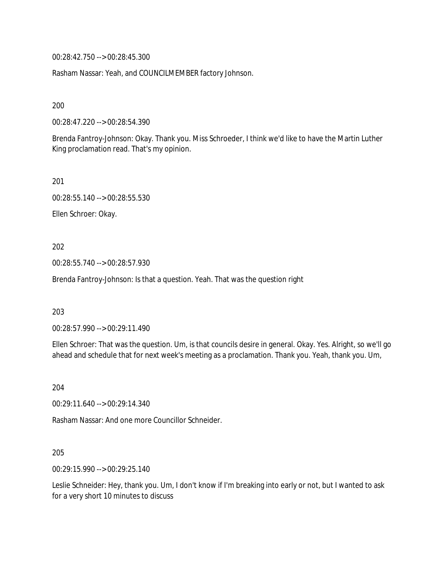00:28:42.750 --> 00:28:45.300

Rasham Nassar: Yeah, and COUNCILMEMBER factory Johnson.

200

00:28:47.220 --> 00:28:54.390

Brenda Fantroy-Johnson: Okay. Thank you. Miss Schroeder, I think we'd like to have the Martin Luther King proclamation read. That's my opinion.

201

00:28:55.140 --> 00:28:55.530

Ellen Schroer: Okay.

202

00:28:55.740 --> 00:28:57.930

Brenda Fantroy-Johnson: Is that a question. Yeah. That was the question right

203

00:28:57.990 --> 00:29:11.490

Ellen Schroer: That was the question. Um, is that councils desire in general. Okay. Yes. Alright, so we'll go ahead and schedule that for next week's meeting as a proclamation. Thank you. Yeah, thank you. Um,

204

00:29:11.640 --> 00:29:14.340

Rasham Nassar: And one more Councillor Schneider.

205

00:29:15.990 --> 00:29:25.140

Leslie Schneider: Hey, thank you. Um, I don't know if I'm breaking into early or not, but I wanted to ask for a very short 10 minutes to discuss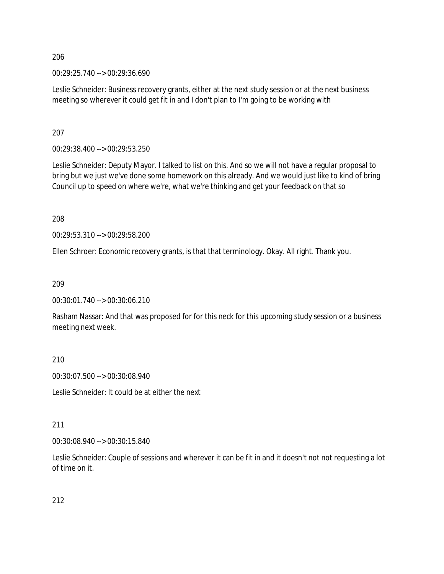00:29:25.740 --> 00:29:36.690

Leslie Schneider: Business recovery grants, either at the next study session or at the next business meeting so wherever it could get fit in and I don't plan to I'm going to be working with

207

00:29:38.400 --> 00:29:53.250

Leslie Schneider: Deputy Mayor. I talked to list on this. And so we will not have a regular proposal to bring but we just we've done some homework on this already. And we would just like to kind of bring Council up to speed on where we're, what we're thinking and get your feedback on that so

208

00:29:53.310 --> 00:29:58.200

Ellen Schroer: Economic recovery grants, is that that terminology. Okay. All right. Thank you.

209

00:30:01.740 --> 00:30:06.210

Rasham Nassar: And that was proposed for for this neck for this upcoming study session or a business meeting next week.

210

00:30:07.500 --> 00:30:08.940

Leslie Schneider: It could be at either the next

#### 211

00:30:08.940 --> 00:30:15.840

Leslie Schneider: Couple of sessions and wherever it can be fit in and it doesn't not not requesting a lot of time on it.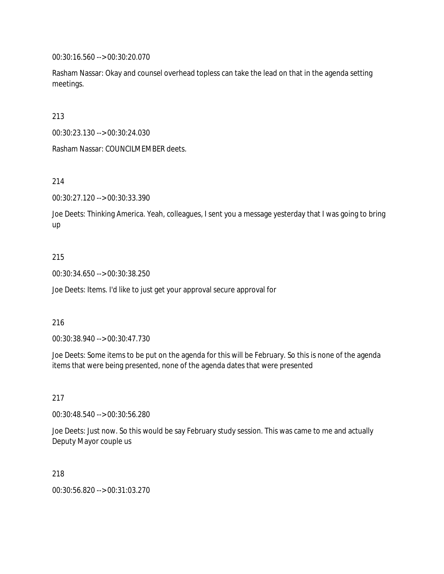00:30:16.560 --> 00:30:20.070

Rasham Nassar: Okay and counsel overhead topless can take the lead on that in the agenda setting meetings.

213

00:30:23.130 --> 00:30:24.030

Rasham Nassar: COUNCILMEMBER deets.

214

00:30:27.120 --> 00:30:33.390

Joe Deets: Thinking America. Yeah, colleagues, I sent you a message yesterday that I was going to bring up

#### 215

00:30:34.650 --> 00:30:38.250

Joe Deets: Items. I'd like to just get your approval secure approval for

#### 216

00:30:38.940 --> 00:30:47.730

Joe Deets: Some items to be put on the agenda for this will be February. So this is none of the agenda items that were being presented, none of the agenda dates that were presented

#### 217

00:30:48.540 --> 00:30:56.280

Joe Deets: Just now. So this would be say February study session. This was came to me and actually Deputy Mayor couple us

#### 218

00:30:56.820 --> 00:31:03.270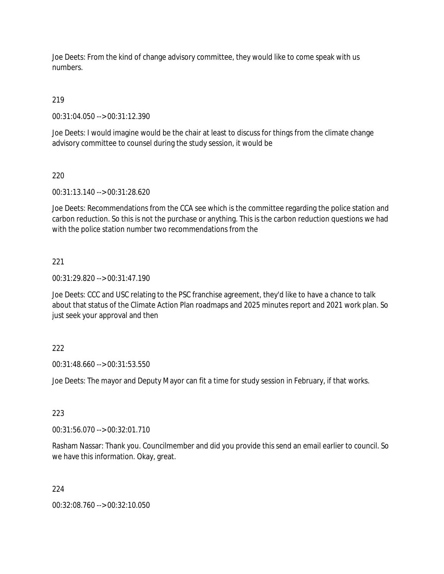Joe Deets: From the kind of change advisory committee, they would like to come speak with us numbers.

219

00:31:04.050 --> 00:31:12.390

Joe Deets: I would imagine would be the chair at least to discuss for things from the climate change advisory committee to counsel during the study session, it would be

220

00:31:13.140 --> 00:31:28.620

Joe Deets: Recommendations from the CCA see which is the committee regarding the police station and carbon reduction. So this is not the purchase or anything. This is the carbon reduction questions we had with the police station number two recommendations from the

221

00:31:29.820 --> 00:31:47.190

Joe Deets: CCC and USC relating to the PSC franchise agreement, they'd like to have a chance to talk about that status of the Climate Action Plan roadmaps and 2025 minutes report and 2021 work plan. So just seek your approval and then

## 222

00:31:48.660 --> 00:31:53.550

Joe Deets: The mayor and Deputy Mayor can fit a time for study session in February, if that works.

#### 223

00:31:56.070 --> 00:32:01.710

Rasham Nassar: Thank you. Councilmember and did you provide this send an email earlier to council. So we have this information. Okay, great.

224

00:32:08.760 --> 00:32:10.050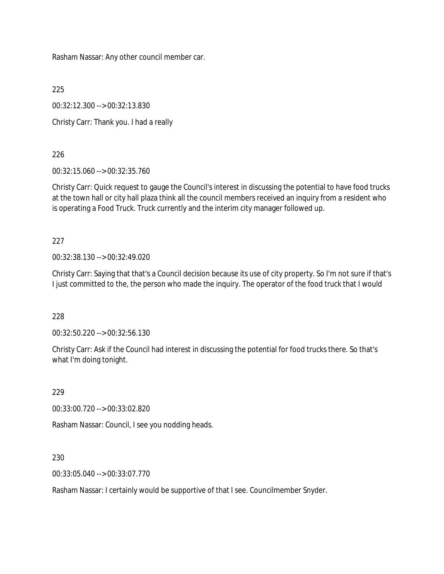Rasham Nassar: Any other council member car.

225

00:32:12.300 --> 00:32:13.830

Christy Carr: Thank you. I had a really

226

00:32:15.060 --> 00:32:35.760

Christy Carr: Quick request to gauge the Council's interest in discussing the potential to have food trucks at the town hall or city hall plaza think all the council members received an inquiry from a resident who is operating a Food Truck. Truck currently and the interim city manager followed up.

227

00:32:38.130 --> 00:32:49.020

Christy Carr: Saying that that's a Council decision because its use of city property. So I'm not sure if that's I just committed to the, the person who made the inquiry. The operator of the food truck that I would

228

00:32:50.220 --> 00:32:56.130

Christy Carr: Ask if the Council had interest in discussing the potential for food trucks there. So that's what I'm doing tonight.

229

00:33:00.720 --> 00:33:02.820

Rasham Nassar: Council, I see you nodding heads.

230

00:33:05.040 --> 00:33:07.770

Rasham Nassar: I certainly would be supportive of that I see. Councilmember Snyder.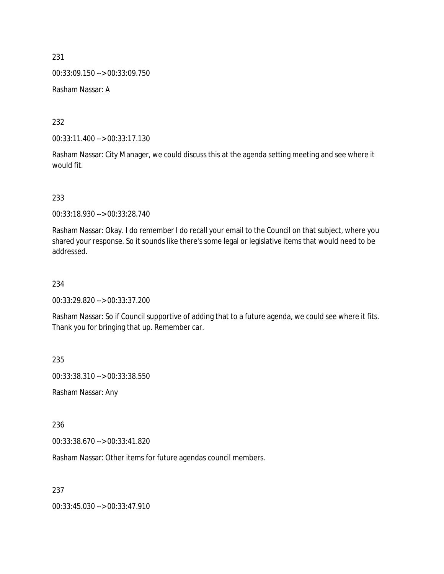00:33:09.150 --> 00:33:09.750

Rasham Nassar: A

232

00:33:11.400 --> 00:33:17.130

Rasham Nassar: City Manager, we could discuss this at the agenda setting meeting and see where it would fit.

233

00:33:18.930 --> 00:33:28.740

Rasham Nassar: Okay. I do remember I do recall your email to the Council on that subject, where you shared your response. So it sounds like there's some legal or legislative items that would need to be addressed.

## 234

00:33:29.820 --> 00:33:37.200

Rasham Nassar: So if Council supportive of adding that to a future agenda, we could see where it fits. Thank you for bringing that up. Remember car.

235

00:33:38.310 --> 00:33:38.550

Rasham Nassar: Any

236

00:33:38.670 --> 00:33:41.820

Rasham Nassar: Other items for future agendas council members.

237

00:33:45.030 --> 00:33:47.910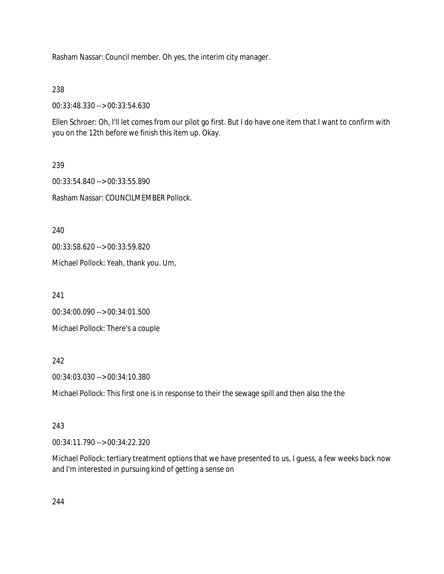Rasham Nassar: Council member. Oh yes, the interim city manager.

238

00:33:48.330 --> 00:33:54.630

Ellen Schroer: Oh, I'll let comes from our pilot go first. But I do have one item that I want to confirm with you on the 12th before we finish this item up. Okay.

239 00:33:54.840 --> 00:33:55.890 Rasham Nassar: COUNCILMEMBER Pollock.

240

00:33:58.620 --> 00:33:59.820

Michael Pollock: Yeah, thank you. Um,

241

00:34:00.090 --> 00:34:01.500

Michael Pollock: There's a couple

242

00:34:03.030 --> 00:34:10.380

Michael Pollock: This first one is in response to their the sewage spill and then also the the

## 243

00:34:11.790 --> 00:34:22.320

Michael Pollock: tertiary treatment options that we have presented to us, I guess, a few weeks back now and I'm interested in pursuing kind of getting a sense on

244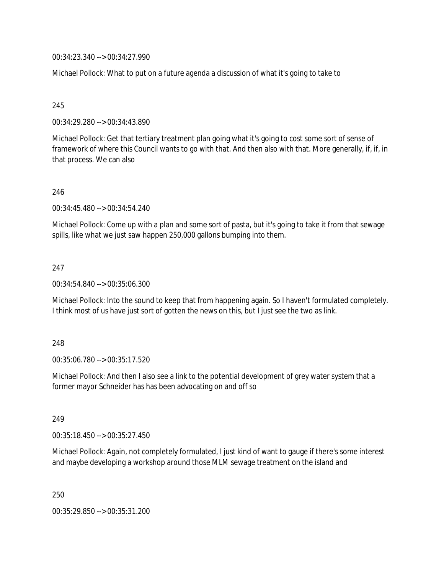00:34:23.340 --> 00:34:27.990

Michael Pollock: What to put on a future agenda a discussion of what it's going to take to

245

00:34:29.280 --> 00:34:43.890

Michael Pollock: Get that tertiary treatment plan going what it's going to cost some sort of sense of framework of where this Council wants to go with that. And then also with that. More generally, if, if, in that process. We can also

246

00:34:45.480 --> 00:34:54.240

Michael Pollock: Come up with a plan and some sort of pasta, but it's going to take it from that sewage spills, like what we just saw happen 250,000 gallons bumping into them.

247

00:34:54.840 --> 00:35:06.300

Michael Pollock: Into the sound to keep that from happening again. So I haven't formulated completely. I think most of us have just sort of gotten the news on this, but I just see the two as link.

248

00:35:06.780 --> 00:35:17.520

Michael Pollock: And then I also see a link to the potential development of grey water system that a former mayor Schneider has has been advocating on and off so

249

00:35:18.450 --> 00:35:27.450

Michael Pollock: Again, not completely formulated, I just kind of want to gauge if there's some interest and maybe developing a workshop around those MLM sewage treatment on the island and

250

00:35:29.850 --> 00:35:31.200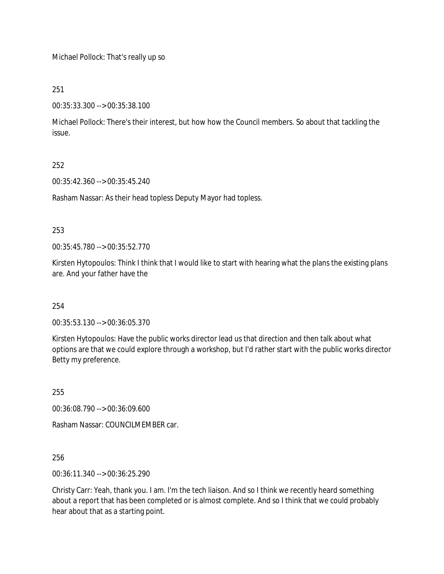Michael Pollock: That's really up so

# 251

00:35:33.300 --> 00:35:38.100

Michael Pollock: There's their interest, but how how the Council members. So about that tackling the issue.

# 252

00:35:42.360 --> 00:35:45.240

Rasham Nassar: As their head topless Deputy Mayor had topless.

## 253

00:35:45.780 --> 00:35:52.770

Kirsten Hytopoulos: Think I think that I would like to start with hearing what the plans the existing plans are. And your father have the

## 254

00:35:53.130 --> 00:36:05.370

Kirsten Hytopoulos: Have the public works director lead us that direction and then talk about what options are that we could explore through a workshop, but I'd rather start with the public works director Betty my preference.

255

00:36:08.790 --> 00:36:09.600

Rasham Nassar: COUNCILMEMBER car.

256

00:36:11.340 --> 00:36:25.290

Christy Carr: Yeah, thank you. I am. I'm the tech liaison. And so I think we recently heard something about a report that has been completed or is almost complete. And so I think that we could probably hear about that as a starting point.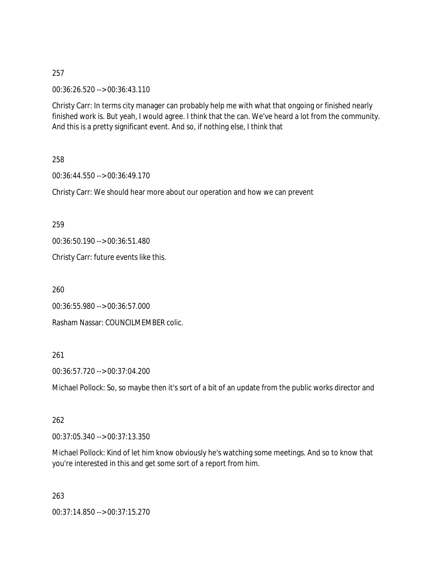00:36:26.520 --> 00:36:43.110

Christy Carr: In terms city manager can probably help me with what that ongoing or finished nearly finished work is. But yeah, I would agree. I think that the can. We've heard a lot from the community. And this is a pretty significant event. And so, if nothing else, I think that

258

00:36:44.550 --> 00:36:49.170

Christy Carr: We should hear more about our operation and how we can prevent

259

00:36:50.190 --> 00:36:51.480

Christy Carr: future events like this.

260

```
00:36:55.980 --> 00:36:57.000
```
Rasham Nassar: COUNCILMEMBER colic.

## 261

00:36:57.720 --> 00:37:04.200

Michael Pollock: So, so maybe then it's sort of a bit of an update from the public works director and

## 262

00:37:05.340 --> 00:37:13.350

Michael Pollock: Kind of let him know obviously he's watching some meetings. And so to know that you're interested in this and get some sort of a report from him.

263

00:37:14.850 --> 00:37:15.270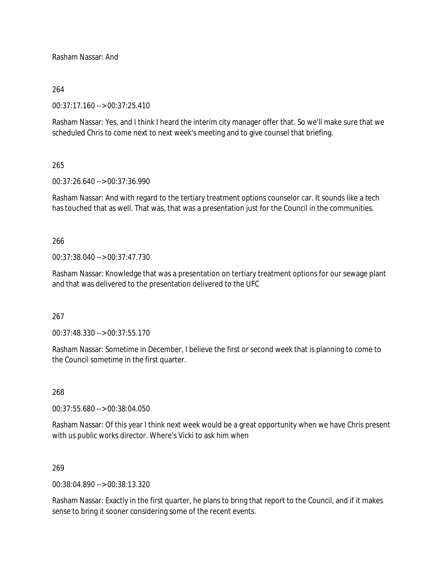Rasham Nassar: And

## 264

00:37:17.160 --> 00:37:25.410

Rasham Nassar: Yes, and I think I heard the interim city manager offer that. So we'll make sure that we scheduled Chris to come next to next week's meeting and to give counsel that briefing.

#### 265

00:37:26.640 --> 00:37:36.990

Rasham Nassar: And with regard to the tertiary treatment options counselor car. It sounds like a tech has touched that as well. That was, that was a presentation just for the Council in the communities.

## 266

00:37:38.040 --> 00:37:47.730

Rasham Nassar: Knowledge that was a presentation on tertiary treatment options for our sewage plant and that was delivered to the presentation delivered to the UFC

## 267

00:37:48.330 --> 00:37:55.170

Rasham Nassar: Sometime in December, I believe the first or second week that is planning to come to the Council sometime in the first quarter.

#### 268

00:37:55.680 --> 00:38:04.050

Rasham Nassar: Of this year I think next week would be a great opportunity when we have Chris present with us public works director. Where's Vicki to ask him when

#### 269

00:38:04.890 --> 00:38:13.320

Rasham Nassar: Exactly in the first quarter, he plans to bring that report to the Council, and if it makes sense to bring it sooner considering some of the recent events.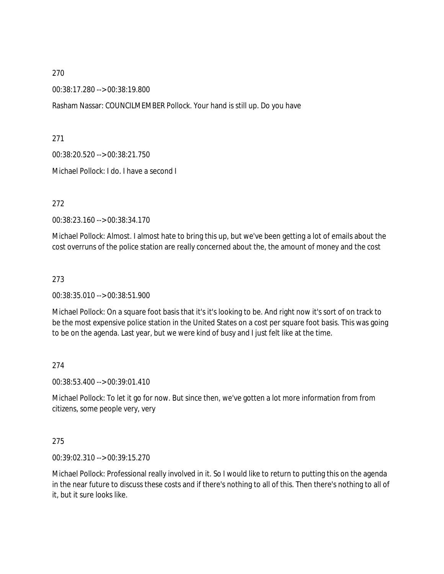00:38:17.280 --> 00:38:19.800

Rasham Nassar: COUNCILMEMBER Pollock. Your hand is still up. Do you have

271

00:38:20.520 --> 00:38:21.750

Michael Pollock: I do. I have a second I

272

00:38:23.160 --> 00:38:34.170

Michael Pollock: Almost. I almost hate to bring this up, but we've been getting a lot of emails about the cost overruns of the police station are really concerned about the, the amount of money and the cost

273

00:38:35.010 --> 00:38:51.900

Michael Pollock: On a square foot basis that it's it's looking to be. And right now it's sort of on track to be the most expensive police station in the United States on a cost per square foot basis. This was going to be on the agenda. Last year, but we were kind of busy and I just felt like at the time.

274

00:38:53.400 --> 00:39:01.410

Michael Pollock: To let it go for now. But since then, we've gotten a lot more information from from citizens, some people very, very

275

00:39:02.310 --> 00:39:15.270

Michael Pollock: Professional really involved in it. So I would like to return to putting this on the agenda in the near future to discuss these costs and if there's nothing to all of this. Then there's nothing to all of it, but it sure looks like.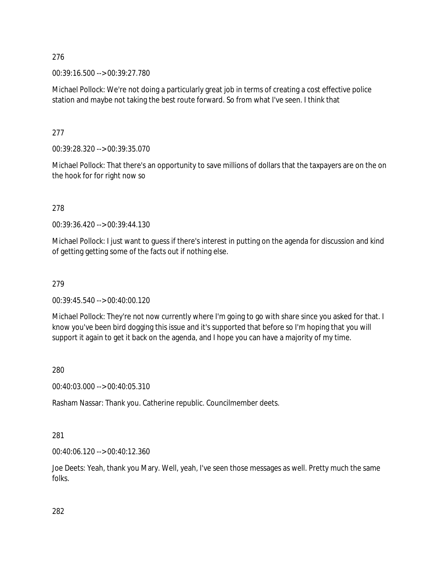00:39:16.500 --> 00:39:27.780

Michael Pollock: We're not doing a particularly great job in terms of creating a cost effective police station and maybe not taking the best route forward. So from what I've seen. I think that

277

00:39:28.320 --> 00:39:35.070

Michael Pollock: That there's an opportunity to save millions of dollars that the taxpayers are on the on the hook for for right now so

278

00:39:36.420 --> 00:39:44.130

Michael Pollock: I just want to guess if there's interest in putting on the agenda for discussion and kind of getting getting some of the facts out if nothing else.

## 279

00:39:45.540 --> 00:40:00.120

Michael Pollock: They're not now currently where I'm going to go with share since you asked for that. I know you've been bird dogging this issue and it's supported that before so I'm hoping that you will support it again to get it back on the agenda, and I hope you can have a majority of my time.

280

00:40:03.000 --> 00:40:05.310

Rasham Nassar: Thank you. Catherine republic. Councilmember deets.

## 281

00:40:06.120 --> 00:40:12.360

Joe Deets: Yeah, thank you Mary. Well, yeah, I've seen those messages as well. Pretty much the same folks.

282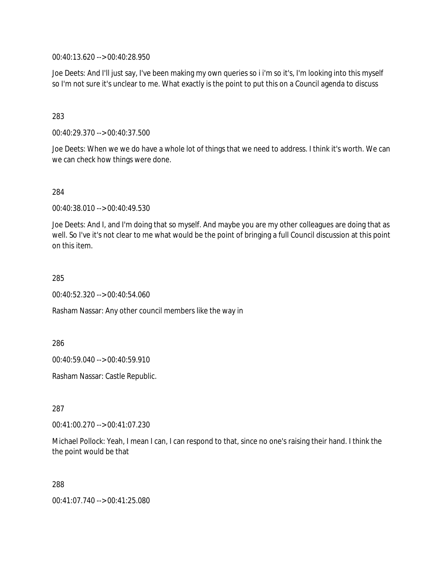00:40:13.620 --> 00:40:28.950

Joe Deets: And I'll just say, I've been making my own queries so i i'm so it's, I'm looking into this myself so I'm not sure it's unclear to me. What exactly is the point to put this on a Council agenda to discuss

283

00:40:29.370 --> 00:40:37.500

Joe Deets: When we we do have a whole lot of things that we need to address. I think it's worth. We can we can check how things were done.

284

00:40:38.010 --> 00:40:49.530

Joe Deets: And I, and I'm doing that so myself. And maybe you are my other colleagues are doing that as well. So I've it's not clear to me what would be the point of bringing a full Council discussion at this point on this item.

285

00:40:52.320 --> 00:40:54.060

Rasham Nassar: Any other council members like the way in

286

00:40:59.040 --> 00:40:59.910

Rasham Nassar: Castle Republic.

287

00:41:00.270 --> 00:41:07.230

Michael Pollock: Yeah, I mean I can, I can respond to that, since no one's raising their hand. I think the the point would be that

288

00:41:07.740 --> 00:41:25.080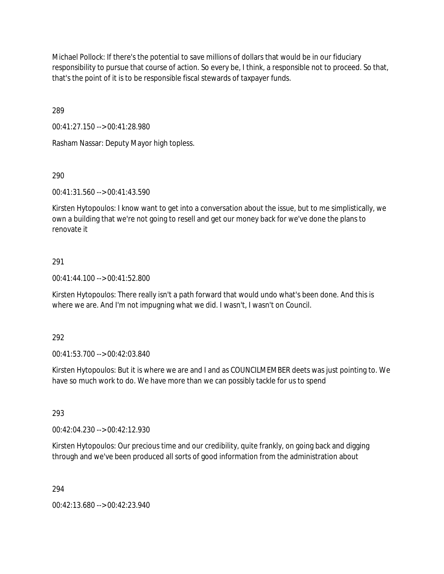Michael Pollock: If there's the potential to save millions of dollars that would be in our fiduciary responsibility to pursue that course of action. So every be, I think, a responsible not to proceed. So that, that's the point of it is to be responsible fiscal stewards of taxpayer funds.

289

00:41:27.150 --> 00:41:28.980

Rasham Nassar: Deputy Mayor high topless.

290

00:41:31.560 --> 00:41:43.590

Kirsten Hytopoulos: I know want to get into a conversation about the issue, but to me simplistically, we own a building that we're not going to resell and get our money back for we've done the plans to renovate it

## 291

00:41:44.100 --> 00:41:52.800

Kirsten Hytopoulos: There really isn't a path forward that would undo what's been done. And this is where we are. And I'm not impugning what we did. I wasn't, I wasn't on Council.

292

00:41:53.700 --> 00:42:03.840

Kirsten Hytopoulos: But it is where we are and I and as COUNCILMEMBER deets was just pointing to. We have so much work to do. We have more than we can possibly tackle for us to spend

293

00:42:04.230 --> 00:42:12.930

Kirsten Hytopoulos: Our precious time and our credibility, quite frankly, on going back and digging through and we've been produced all sorts of good information from the administration about

294

00:42:13.680 --> 00:42:23.940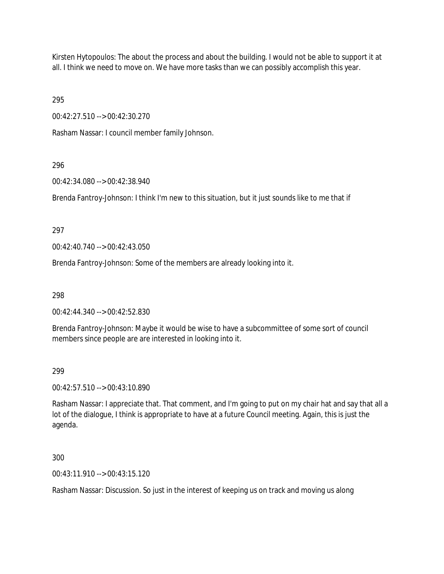Kirsten Hytopoulos: The about the process and about the building. I would not be able to support it at all. I think we need to move on. We have more tasks than we can possibly accomplish this year.

295

00:42:27.510 --> 00:42:30.270

Rasham Nassar: I council member family Johnson.

## 296

00:42:34.080 --> 00:42:38.940

Brenda Fantroy-Johnson: I think I'm new to this situation, but it just sounds like to me that if

## 297

00:42:40.740 --> 00:42:43.050

Brenda Fantroy-Johnson: Some of the members are already looking into it.

298

00:42:44.340 --> 00:42:52.830

Brenda Fantroy-Johnson: Maybe it would be wise to have a subcommittee of some sort of council members since people are are interested in looking into it.

## 299

00:42:57.510 --> 00:43:10.890

Rasham Nassar: I appreciate that. That comment, and I'm going to put on my chair hat and say that all a lot of the dialogue, I think is appropriate to have at a future Council meeting. Again, this is just the agenda.

300

00:43:11.910 --> 00:43:15.120

Rasham Nassar: Discussion. So just in the interest of keeping us on track and moving us along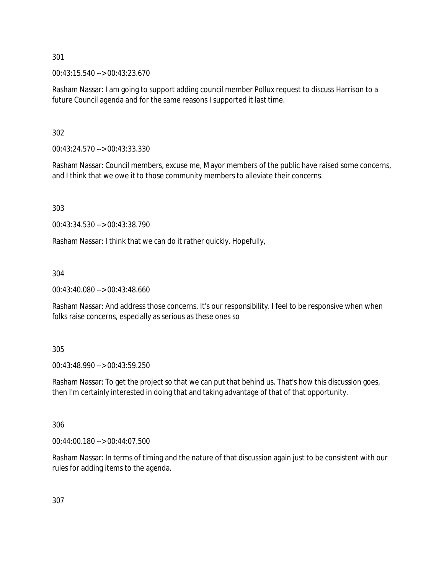00:43:15.540 --> 00:43:23.670

Rasham Nassar: I am going to support adding council member Pollux request to discuss Harrison to a future Council agenda and for the same reasons I supported it last time.

302

00:43:24.570 --> 00:43:33.330

Rasham Nassar: Council members, excuse me, Mayor members of the public have raised some concerns, and I think that we owe it to those community members to alleviate their concerns.

303

00:43:34.530 --> 00:43:38.790

Rasham Nassar: I think that we can do it rather quickly. Hopefully,

304

00:43:40.080 --> 00:43:48.660

Rasham Nassar: And address those concerns. It's our responsibility. I feel to be responsive when when folks raise concerns, especially as serious as these ones so

305

00:43:48.990 --> 00:43:59.250

Rasham Nassar: To get the project so that we can put that behind us. That's how this discussion goes, then I'm certainly interested in doing that and taking advantage of that of that opportunity.

306

00:44:00.180 --> 00:44:07.500

Rasham Nassar: In terms of timing and the nature of that discussion again just to be consistent with our rules for adding items to the agenda.

307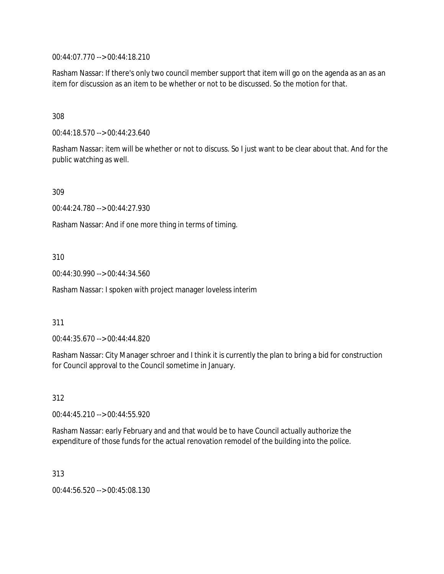00:44:07.770 --> 00:44:18.210

Rasham Nassar: If there's only two council member support that item will go on the agenda as an as an item for discussion as an item to be whether or not to be discussed. So the motion for that.

308

00:44:18.570 --> 00:44:23.640

Rasham Nassar: item will be whether or not to discuss. So I just want to be clear about that. And for the public watching as well.

309

00:44:24.780 --> 00:44:27.930

Rasham Nassar: And if one more thing in terms of timing.

310

00:44:30.990 --> 00:44:34.560

Rasham Nassar: I spoken with project manager loveless interim

#### 311

00:44:35.670 --> 00:44:44.820

Rasham Nassar: City Manager schroer and I think it is currently the plan to bring a bid for construction for Council approval to the Council sometime in January.

312

00:44:45.210 --> 00:44:55.920

Rasham Nassar: early February and and that would be to have Council actually authorize the expenditure of those funds for the actual renovation remodel of the building into the police.

313

00:44:56.520 --> 00:45:08.130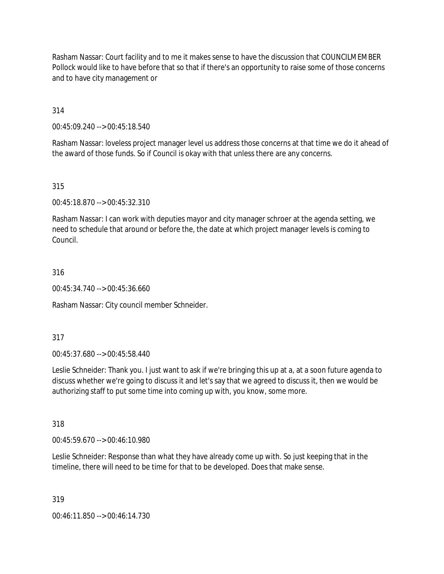Rasham Nassar: Court facility and to me it makes sense to have the discussion that COUNCILMEMBER Pollock would like to have before that so that if there's an opportunity to raise some of those concerns and to have city management or

314

00:45:09.240 --> 00:45:18.540

Rasham Nassar: loveless project manager level us address those concerns at that time we do it ahead of the award of those funds. So if Council is okay with that unless there are any concerns.

315

00:45:18.870 --> 00:45:32.310

Rasham Nassar: I can work with deputies mayor and city manager schroer at the agenda setting, we need to schedule that around or before the, the date at which project manager levels is coming to Council.

316

00:45:34.740 --> 00:45:36.660

Rasham Nassar: City council member Schneider.

317

00:45:37.680 --> 00:45:58.440

Leslie Schneider: Thank you. I just want to ask if we're bringing this up at a, at a soon future agenda to discuss whether we're going to discuss it and let's say that we agreed to discuss it, then we would be authorizing staff to put some time into coming up with, you know, some more.

318

00:45:59.670 --> 00:46:10.980

Leslie Schneider: Response than what they have already come up with. So just keeping that in the timeline, there will need to be time for that to be developed. Does that make sense.

319

00:46:11.850 --> 00:46:14.730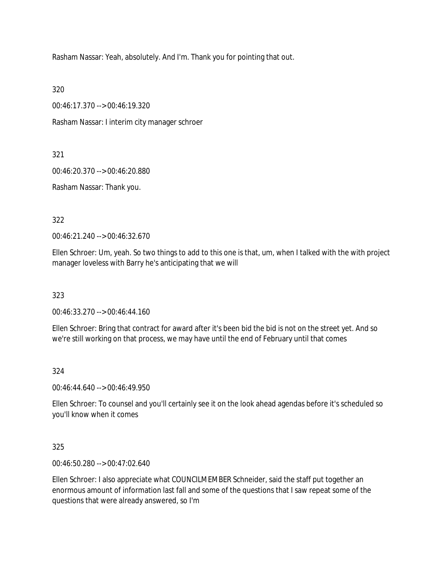Rasham Nassar: Yeah, absolutely. And I'm. Thank you for pointing that out.

320

00:46:17.370 --> 00:46:19.320

Rasham Nassar: I interim city manager schroer

321

00:46:20.370 --> 00:46:20.880

Rasham Nassar: Thank you.

322

00:46:21.240 --> 00:46:32.670

Ellen Schroer: Um, yeah. So two things to add to this one is that, um, when I talked with the with project manager loveless with Barry he's anticipating that we will

323

00:46:33.270 --> 00:46:44.160

Ellen Schroer: Bring that contract for award after it's been bid the bid is not on the street yet. And so we're still working on that process, we may have until the end of February until that comes

324

00:46:44.640 --> 00:46:49.950

Ellen Schroer: To counsel and you'll certainly see it on the look ahead agendas before it's scheduled so you'll know when it comes

325

00:46:50.280 --> 00:47:02.640

Ellen Schroer: I also appreciate what COUNCILMEMBER Schneider, said the staff put together an enormous amount of information last fall and some of the questions that I saw repeat some of the questions that were already answered, so I'm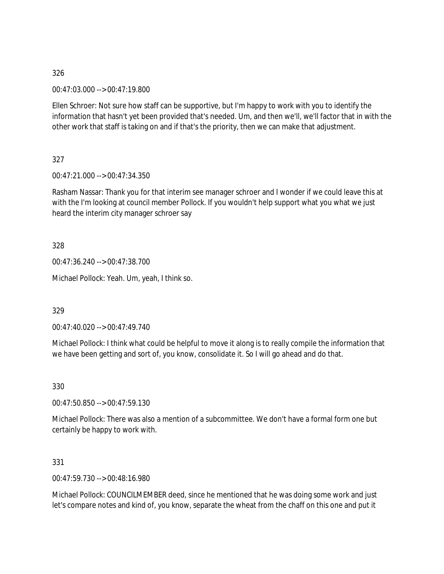00:47:03.000 --> 00:47:19.800

Ellen Schroer: Not sure how staff can be supportive, but I'm happy to work with you to identify the information that hasn't yet been provided that's needed. Um, and then we'll, we'll factor that in with the other work that staff is taking on and if that's the priority, then we can make that adjustment.

327

00:47:21.000 --> 00:47:34.350

Rasham Nassar: Thank you for that interim see manager schroer and I wonder if we could leave this at with the I'm looking at council member Pollock. If you wouldn't help support what you what we just heard the interim city manager schroer say

328

00:47:36.240 --> 00:47:38.700

Michael Pollock: Yeah. Um, yeah, I think so.

329

00:47:40.020 --> 00:47:49.740

Michael Pollock: I think what could be helpful to move it along is to really compile the information that we have been getting and sort of, you know, consolidate it. So I will go ahead and do that.

330

00:47:50.850 --> 00:47:59.130

Michael Pollock: There was also a mention of a subcommittee. We don't have a formal form one but certainly be happy to work with.

331

00:47:59.730 --> 00:48:16.980

Michael Pollock: COUNCILMEMBER deed, since he mentioned that he was doing some work and just let's compare notes and kind of, you know, separate the wheat from the chaff on this one and put it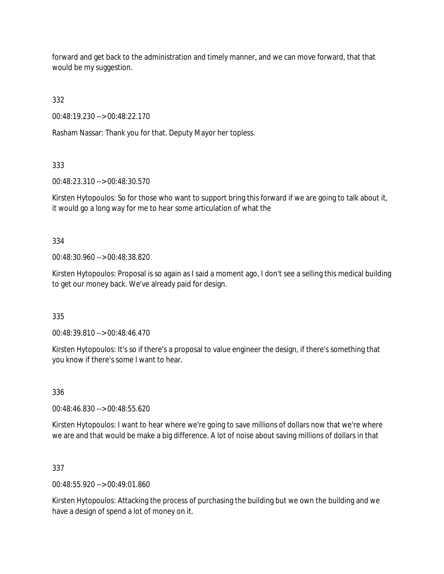forward and get back to the administration and timely manner, and we can move forward, that that would be my suggestion.

332

00:48:19.230 --> 00:48:22.170

Rasham Nassar: Thank you for that. Deputy Mayor her topless.

333

00:48:23.310 --> 00:48:30.570

Kirsten Hytopoulos: So for those who want to support bring this forward if we are going to talk about it, it would go a long way for me to hear some articulation of what the

334

00:48:30.960 --> 00:48:38.820

Kirsten Hytopoulos: Proposal is so again as I said a moment ago, I don't see a selling this medical building to get our money back. We've already paid for design.

335

00:48:39.810 --> 00:48:46.470

Kirsten Hytopoulos: It's so if there's a proposal to value engineer the design, if there's something that you know if there's some I want to hear.

336

00:48:46.830 --> 00:48:55.620

Kirsten Hytopoulos: I want to hear where we're going to save millions of dollars now that we're where we are and that would be make a big difference. A lot of noise about saving millions of dollars in that

## 337

00:48:55.920 --> 00:49:01.860

Kirsten Hytopoulos: Attacking the process of purchasing the building but we own the building and we have a design of spend a lot of money on it.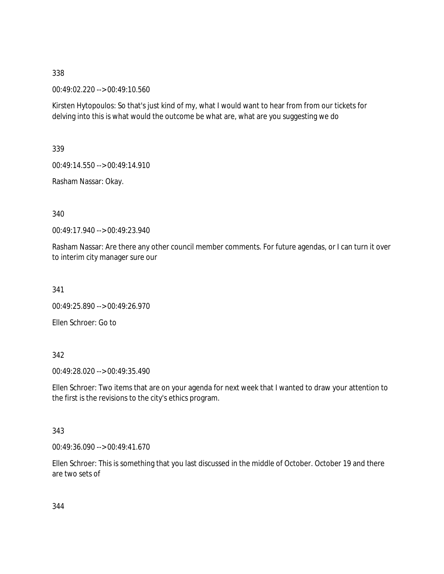00:49:02.220 --> 00:49:10.560

Kirsten Hytopoulos: So that's just kind of my, what I would want to hear from from our tickets for delving into this is what would the outcome be what are, what are you suggesting we do

339

00:49:14.550 --> 00:49:14.910

Rasham Nassar: Okay.

340

00:49:17.940 --> 00:49:23.940

Rasham Nassar: Are there any other council member comments. For future agendas, or I can turn it over to interim city manager sure our

341

00:49:25.890 --> 00:49:26.970

Ellen Schroer: Go to

342

00:49:28.020 --> 00:49:35.490

Ellen Schroer: Two items that are on your agenda for next week that I wanted to draw your attention to the first is the revisions to the city's ethics program.

## 343

00:49:36.090 --> 00:49:41.670

Ellen Schroer: This is something that you last discussed in the middle of October. October 19 and there are two sets of

344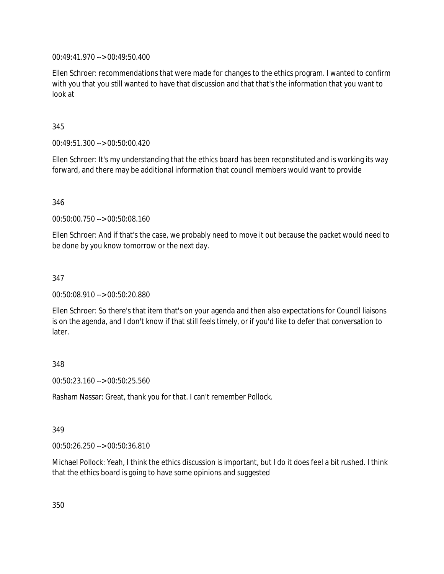00:49:41.970 --> 00:49:50.400

Ellen Schroer: recommendations that were made for changes to the ethics program. I wanted to confirm with you that you still wanted to have that discussion and that that's the information that you want to look at

345

00:49:51.300 --> 00:50:00.420

Ellen Schroer: It's my understanding that the ethics board has been reconstituted and is working its way forward, and there may be additional information that council members would want to provide

346

00:50:00.750 --> 00:50:08.160

Ellen Schroer: And if that's the case, we probably need to move it out because the packet would need to be done by you know tomorrow or the next day.

347

00:50:08.910 --> 00:50:20.880

Ellen Schroer: So there's that item that's on your agenda and then also expectations for Council liaisons is on the agenda, and I don't know if that still feels timely, or if you'd like to defer that conversation to later.

348

00:50:23.160 --> 00:50:25.560

Rasham Nassar: Great, thank you for that. I can't remember Pollock.

349

00:50:26.250 --> 00:50:36.810

Michael Pollock: Yeah, I think the ethics discussion is important, but I do it does feel a bit rushed. I think that the ethics board is going to have some opinions and suggested

350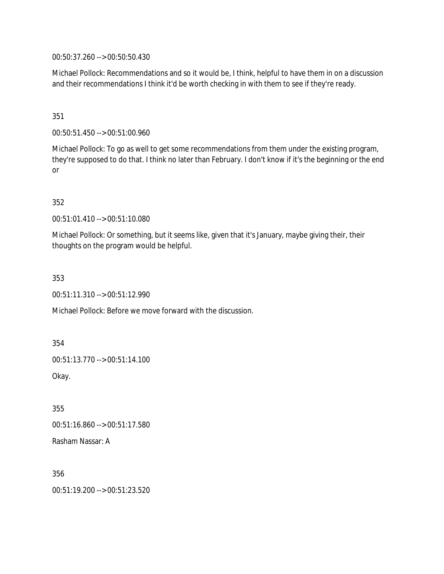00:50:37.260 --> 00:50:50.430

Michael Pollock: Recommendations and so it would be, I think, helpful to have them in on a discussion and their recommendations I think it'd be worth checking in with them to see if they're ready.

351

00:50:51.450 --> 00:51:00.960

Michael Pollock: To go as well to get some recommendations from them under the existing program, they're supposed to do that. I think no later than February. I don't know if it's the beginning or the end or

352

00:51:01.410 --> 00:51:10.080

Michael Pollock: Or something, but it seems like, given that it's January, maybe giving their, their thoughts on the program would be helpful.

353

00:51:11.310 --> 00:51:12.990

Michael Pollock: Before we move forward with the discussion.

354

00:51:13.770 --> 00:51:14.100

Okay.

355

00:51:16.860 --> 00:51:17.580

Rasham Nassar: A

356 00:51:19.200 --> 00:51:23.520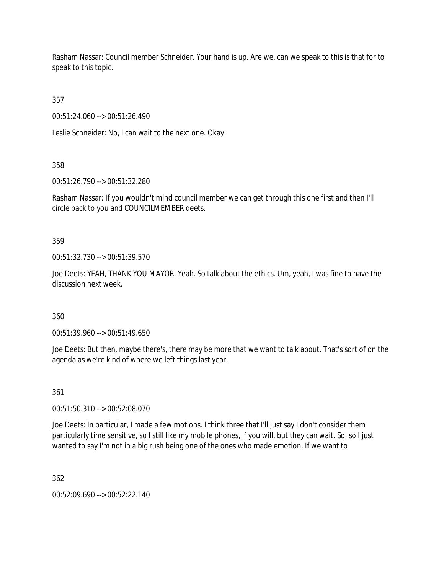Rasham Nassar: Council member Schneider. Your hand is up. Are we, can we speak to this is that for to speak to this topic.

357

00:51:24.060 --> 00:51:26.490

Leslie Schneider: No, I can wait to the next one. Okay.

358

00:51:26.790 --> 00:51:32.280

Rasham Nassar: If you wouldn't mind council member we can get through this one first and then I'll circle back to you and COUNCILMEMBER deets.

359

00:51:32.730 --> 00:51:39.570

Joe Deets: YEAH, THANK YOU MAYOR. Yeah. So talk about the ethics. Um, yeah, I was fine to have the discussion next week.

360

00:51:39.960 --> 00:51:49.650

Joe Deets: But then, maybe there's, there may be more that we want to talk about. That's sort of on the agenda as we're kind of where we left things last year.

361

00:51:50.310 --> 00:52:08.070

Joe Deets: In particular, I made a few motions. I think three that I'll just say I don't consider them particularly time sensitive, so I still like my mobile phones, if you will, but they can wait. So, so I just wanted to say I'm not in a big rush being one of the ones who made emotion. If we want to

362

00:52:09.690 --> 00:52:22.140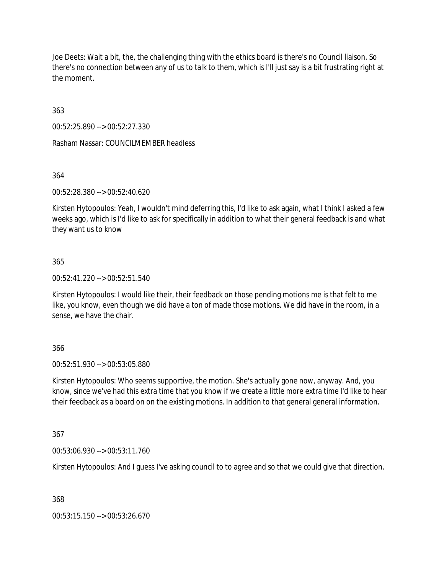Joe Deets: Wait a bit, the, the challenging thing with the ethics board is there's no Council liaison. So there's no connection between any of us to talk to them, which is I'll just say is a bit frustrating right at the moment.

363

00:52:25.890 --> 00:52:27.330

Rasham Nassar: COUNCILMEMBER headless

364

00:52:28.380 --> 00:52:40.620

Kirsten Hytopoulos: Yeah, I wouldn't mind deferring this, I'd like to ask again, what I think I asked a few weeks ago, which is I'd like to ask for specifically in addition to what their general feedback is and what they want us to know

## 365

00:52:41.220 --> 00:52:51.540

Kirsten Hytopoulos: I would like their, their feedback on those pending motions me is that felt to me like, you know, even though we did have a ton of made those motions. We did have in the room, in a sense, we have the chair.

## 366

00:52:51.930 --> 00:53:05.880

Kirsten Hytopoulos: Who seems supportive, the motion. She's actually gone now, anyway. And, you know, since we've had this extra time that you know if we create a little more extra time I'd like to hear their feedback as a board on on the existing motions. In addition to that general general information.

## 367

00:53:06.930 --> 00:53:11.760

Kirsten Hytopoulos: And I guess I've asking council to to agree and so that we could give that direction.

368

00:53:15.150 --> 00:53:26.670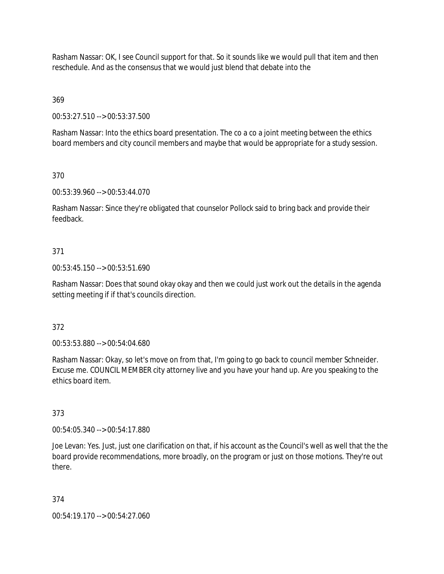Rasham Nassar: OK, I see Council support for that. So it sounds like we would pull that item and then reschedule. And as the consensus that we would just blend that debate into the

369

00:53:27.510 --> 00:53:37.500

Rasham Nassar: Into the ethics board presentation. The co a co a joint meeting between the ethics board members and city council members and maybe that would be appropriate for a study session.

370

00:53:39.960 --> 00:53:44.070

Rasham Nassar: Since they're obligated that counselor Pollock said to bring back and provide their feedback.

## 371

00:53:45.150 --> 00:53:51.690

Rasham Nassar: Does that sound okay okay and then we could just work out the details in the agenda setting meeting if if that's councils direction.

#### 372

00:53:53.880 --> 00:54:04.680

Rasham Nassar: Okay, so let's move on from that, I'm going to go back to council member Schneider. Excuse me. COUNCIL MEMBER city attorney live and you have your hand up. Are you speaking to the ethics board item.

373

00:54:05.340 --> 00:54:17.880

Joe Levan: Yes. Just, just one clarification on that, if his account as the Council's well as well that the the board provide recommendations, more broadly, on the program or just on those motions. They're out there.

374

00:54:19.170 --> 00:54:27.060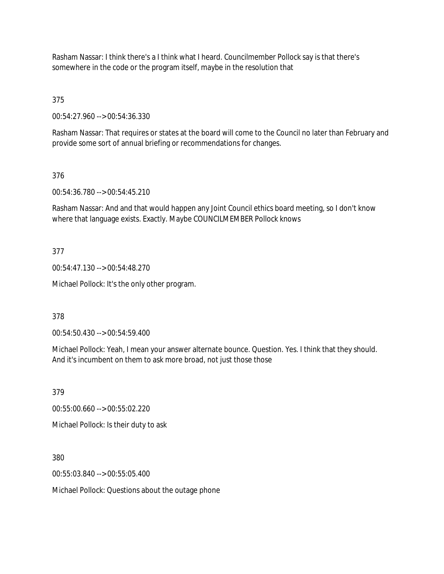Rasham Nassar: I think there's a I think what I heard. Councilmember Pollock say is that there's somewhere in the code or the program itself, maybe in the resolution that

375

00:54:27.960 --> 00:54:36.330

Rasham Nassar: That requires or states at the board will come to the Council no later than February and provide some sort of annual briefing or recommendations for changes.

376

00:54:36.780 --> 00:54:45.210

Rasham Nassar: And and that would happen any Joint Council ethics board meeting, so I don't know where that language exists. Exactly. Maybe COUNCILMEMBER Pollock knows

377

00:54:47.130 --> 00:54:48.270

Michael Pollock: It's the only other program.

378

00:54:50.430 --> 00:54:59.400

Michael Pollock: Yeah, I mean your answer alternate bounce. Question. Yes. I think that they should. And it's incumbent on them to ask more broad, not just those those

379

00:55:00.660 --> 00:55:02.220

Michael Pollock: Is their duty to ask

380

00:55:03.840 --> 00:55:05.400

Michael Pollock: Questions about the outage phone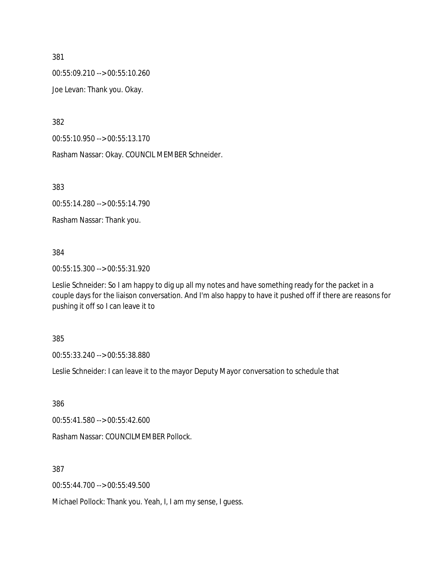00:55:09.210 --> 00:55:10.260

Joe Levan: Thank you. Okay.

382

00:55:10.950 --> 00:55:13.170

Rasham Nassar: Okay. COUNCIL MEMBER Schneider.

383

00:55:14.280 --> 00:55:14.790

Rasham Nassar: Thank you.

384

00:55:15.300 --> 00:55:31.920

Leslie Schneider: So I am happy to dig up all my notes and have something ready for the packet in a couple days for the liaison conversation. And I'm also happy to have it pushed off if there are reasons for pushing it off so I can leave it to

385

00:55:33.240 --> 00:55:38.880

Leslie Schneider: I can leave it to the mayor Deputy Mayor conversation to schedule that

386

00:55:41.580 --> 00:55:42.600

Rasham Nassar: COUNCILMEMBER Pollock.

387

00:55:44.700 --> 00:55:49.500

Michael Pollock: Thank you. Yeah, I, I am my sense, I guess.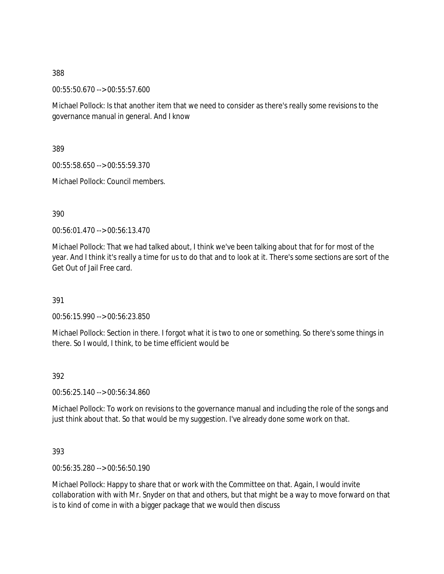00:55:50.670 --> 00:55:57.600

Michael Pollock: Is that another item that we need to consider as there's really some revisions to the governance manual in general. And I know

389

00:55:58.650 --> 00:55:59.370

Michael Pollock: Council members.

390

00:56:01.470 --> 00:56:13.470

Michael Pollock: That we had talked about, I think we've been talking about that for for most of the year. And I think it's really a time for us to do that and to look at it. There's some sections are sort of the Get Out of Jail Free card.

391

00:56:15.990 --> 00:56:23.850

Michael Pollock: Section in there. I forgot what it is two to one or something. So there's some things in there. So I would, I think, to be time efficient would be

392

00:56:25.140 --> 00:56:34.860

Michael Pollock: To work on revisions to the governance manual and including the role of the songs and just think about that. So that would be my suggestion. I've already done some work on that.

393

00:56:35.280 --> 00:56:50.190

Michael Pollock: Happy to share that or work with the Committee on that. Again, I would invite collaboration with with Mr. Snyder on that and others, but that might be a way to move forward on that is to kind of come in with a bigger package that we would then discuss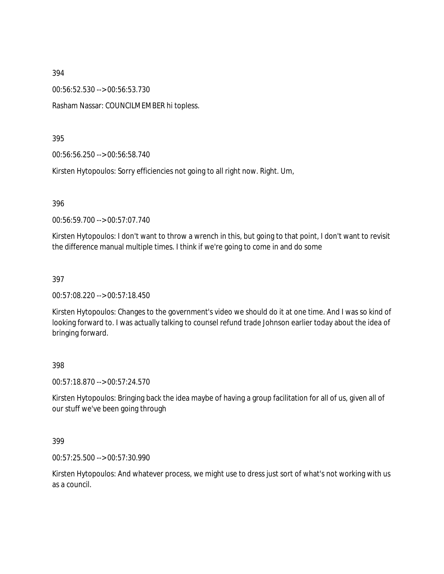00:56:52.530 --> 00:56:53.730

Rasham Nassar: COUNCILMEMBER hi topless.

395

00:56:56.250 --> 00:56:58.740

Kirsten Hytopoulos: Sorry efficiencies not going to all right now. Right. Um,

396

00:56:59.700 --> 00:57:07.740

Kirsten Hytopoulos: I don't want to throw a wrench in this, but going to that point, I don't want to revisit the difference manual multiple times. I think if we're going to come in and do some

397

00:57:08.220 --> 00:57:18.450

Kirsten Hytopoulos: Changes to the government's video we should do it at one time. And I was so kind of looking forward to. I was actually talking to counsel refund trade Johnson earlier today about the idea of bringing forward.

#### 398

00:57:18.870 --> 00:57:24.570

Kirsten Hytopoulos: Bringing back the idea maybe of having a group facilitation for all of us, given all of our stuff we've been going through

399

00:57:25.500 --> 00:57:30.990

Kirsten Hytopoulos: And whatever process, we might use to dress just sort of what's not working with us as a council.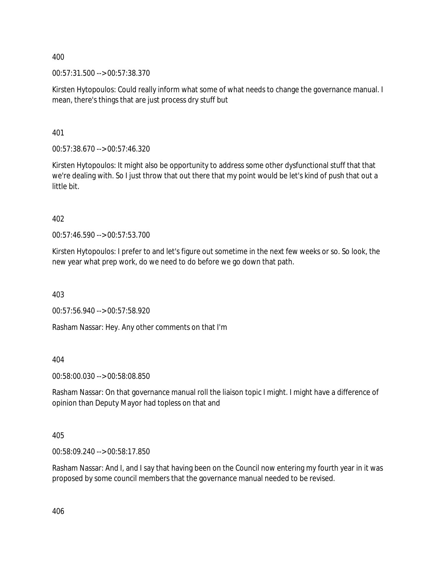00:57:31.500 --> 00:57:38.370

Kirsten Hytopoulos: Could really inform what some of what needs to change the governance manual. I mean, there's things that are just process dry stuff but

401

00:57:38.670 --> 00:57:46.320

Kirsten Hytopoulos: It might also be opportunity to address some other dysfunctional stuff that that we're dealing with. So I just throw that out there that my point would be let's kind of push that out a little bit.

402

00:57:46.590 --> 00:57:53.700

Kirsten Hytopoulos: I prefer to and let's figure out sometime in the next few weeks or so. So look, the new year what prep work, do we need to do before we go down that path.

403

00:57:56.940 --> 00:57:58.920

Rasham Nassar: Hey. Any other comments on that I'm

404

00:58:00.030 --> 00:58:08.850

Rasham Nassar: On that governance manual roll the liaison topic I might. I might have a difference of opinion than Deputy Mayor had topless on that and

405

00:58:09.240 --> 00:58:17.850

Rasham Nassar: And I, and I say that having been on the Council now entering my fourth year in it was proposed by some council members that the governance manual needed to be revised.

406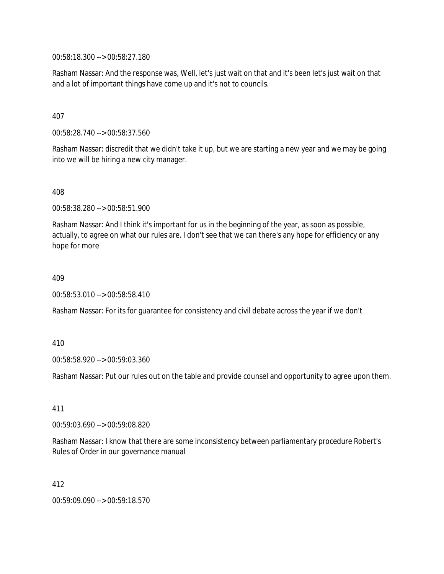00:58:18.300 --> 00:58:27.180

Rasham Nassar: And the response was, Well, let's just wait on that and it's been let's just wait on that and a lot of important things have come up and it's not to councils.

407

00:58:28.740 --> 00:58:37.560

Rasham Nassar: discredit that we didn't take it up, but we are starting a new year and we may be going into we will be hiring a new city manager.

408

00:58:38.280 --> 00:58:51.900

Rasham Nassar: And I think it's important for us in the beginning of the year, as soon as possible, actually, to agree on what our rules are. I don't see that we can there's any hope for efficiency or any hope for more

409

00:58:53.010 --> 00:58:58.410

Rasham Nassar: For its for guarantee for consistency and civil debate across the year if we don't

410

00:58:58.920 --> 00:59:03.360

Rasham Nassar: Put our rules out on the table and provide counsel and opportunity to agree upon them.

411

00:59:03.690 --> 00:59:08.820

Rasham Nassar: I know that there are some inconsistency between parliamentary procedure Robert's Rules of Order in our governance manual

412

00:59:09.090 --> 00:59:18.570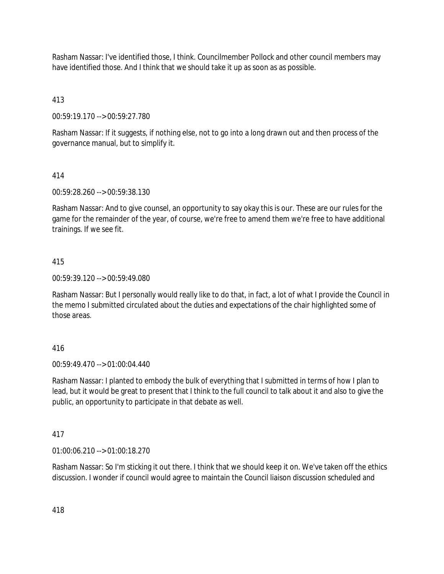Rasham Nassar: I've identified those, I think. Councilmember Pollock and other council members may have identified those. And I think that we should take it up as soon as as possible.

413

00:59:19.170 --> 00:59:27.780

Rasham Nassar: If it suggests, if nothing else, not to go into a long drawn out and then process of the governance manual, but to simplify it.

# 414

00:59:28.260 --> 00:59:38.130

Rasham Nassar: And to give counsel, an opportunity to say okay this is our. These are our rules for the game for the remainder of the year, of course, we're free to amend them we're free to have additional trainings. If we see fit.

## 415

00:59:39.120 --> 00:59:49.080

Rasham Nassar: But I personally would really like to do that, in fact, a lot of what I provide the Council in the memo I submitted circulated about the duties and expectations of the chair highlighted some of those areas.

# 416

00:59:49.470 --> 01:00:04.440

Rasham Nassar: I planted to embody the bulk of everything that I submitted in terms of how I plan to lead, but it would be great to present that I think to the full council to talk about it and also to give the public, an opportunity to participate in that debate as well.

# 417

01:00:06.210 --> 01:00:18.270

Rasham Nassar: So I'm sticking it out there. I think that we should keep it on. We've taken off the ethics discussion. I wonder if council would agree to maintain the Council liaison discussion scheduled and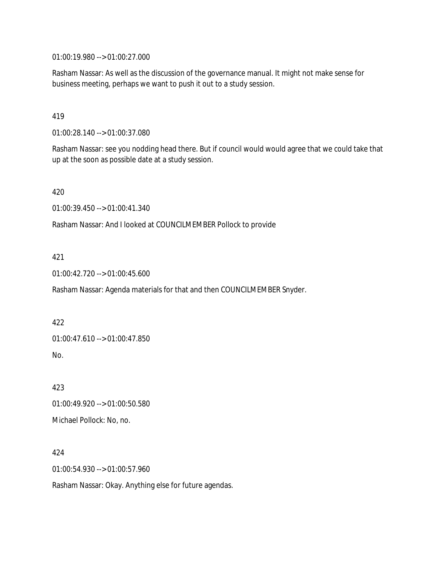01:00:19.980 --> 01:00:27.000

Rasham Nassar: As well as the discussion of the governance manual. It might not make sense for business meeting, perhaps we want to push it out to a study session.

419

01:00:28.140 --> 01:00:37.080

Rasham Nassar: see you nodding head there. But if council would would agree that we could take that up at the soon as possible date at a study session.

420

01:00:39.450 --> 01:00:41.340

Rasham Nassar: And I looked at COUNCILMEMBER Pollock to provide

#### 421

01:00:42.720 --> 01:00:45.600

Rasham Nassar: Agenda materials for that and then COUNCILMEMBER Snyder.

#### 422

01:00:47.610 --> 01:00:47.850

No.

423 01:00:49.920 --> 01:00:50.580

Michael Pollock: No, no.

## 424

01:00:54.930 --> 01:00:57.960

Rasham Nassar: Okay. Anything else for future agendas.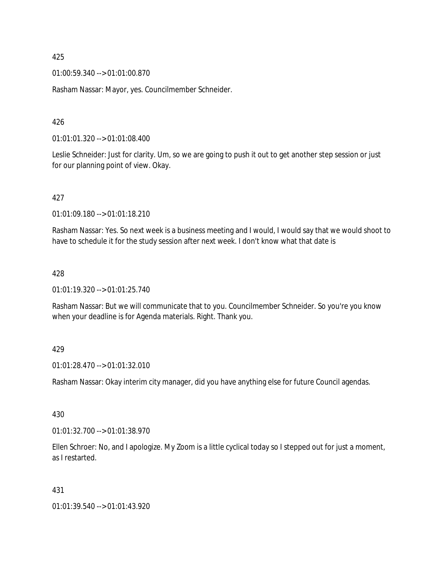01:00:59.340 --> 01:01:00.870

Rasham Nassar: Mayor, yes. Councilmember Schneider.

426

01:01:01.320 --> 01:01:08.400

Leslie Schneider: Just for clarity. Um, so we are going to push it out to get another step session or just for our planning point of view. Okay.

## 427

01:01:09.180 --> 01:01:18.210

Rasham Nassar: Yes. So next week is a business meeting and I would, I would say that we would shoot to have to schedule it for the study session after next week. I don't know what that date is

## 428

01:01:19.320 --> 01:01:25.740

Rasham Nassar: But we will communicate that to you. Councilmember Schneider. So you're you know when your deadline is for Agenda materials. Right. Thank you.

## 429

01:01:28.470 --> 01:01:32.010

Rasham Nassar: Okay interim city manager, did you have anything else for future Council agendas.

## 430

01:01:32.700 --> 01:01:38.970

Ellen Schroer: No, and I apologize. My Zoom is a little cyclical today so I stepped out for just a moment, as I restarted.

## 431

01:01:39.540 --> 01:01:43.920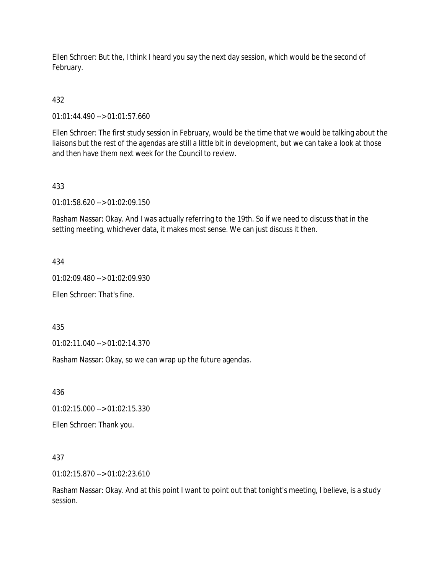Ellen Schroer: But the, I think I heard you say the next day session, which would be the second of February.

# 432

01:01:44.490 --> 01:01:57.660

Ellen Schroer: The first study session in February, would be the time that we would be talking about the liaisons but the rest of the agendas are still a little bit in development, but we can take a look at those and then have them next week for the Council to review.

## 433

01:01:58.620 --> 01:02:09.150

Rasham Nassar: Okay. And I was actually referring to the 19th. So if we need to discuss that in the setting meeting, whichever data, it makes most sense. We can just discuss it then.

## 434

01:02:09.480 --> 01:02:09.930

Ellen Schroer: That's fine.

435

01:02:11.040 --> 01:02:14.370

Rasham Nassar: Okay, so we can wrap up the future agendas.

436

01:02:15.000 --> 01:02:15.330

Ellen Schroer: Thank you.

437

01:02:15.870 --> 01:02:23.610

Rasham Nassar: Okay. And at this point I want to point out that tonight's meeting, I believe, is a study session.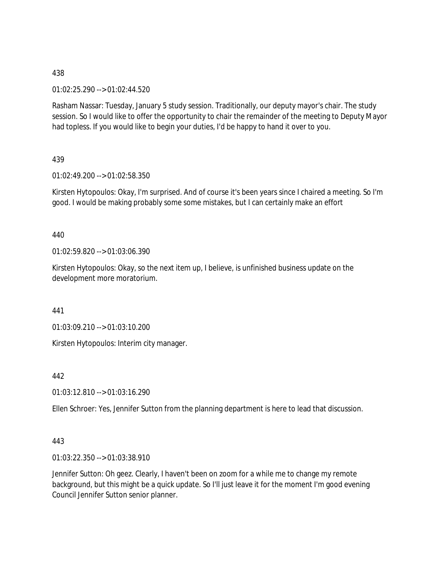01:02:25.290 --> 01:02:44.520

Rasham Nassar: Tuesday, January 5 study session. Traditionally, our deputy mayor's chair. The study session. So I would like to offer the opportunity to chair the remainder of the meeting to Deputy Mayor had topless. If you would like to begin your duties, I'd be happy to hand it over to you.

## 439

01:02:49.200 --> 01:02:58.350

Kirsten Hytopoulos: Okay, I'm surprised. And of course it's been years since I chaired a meeting. So I'm good. I would be making probably some some mistakes, but I can certainly make an effort

## 440

01:02:59.820 --> 01:03:06.390

Kirsten Hytopoulos: Okay, so the next item up, I believe, is unfinished business update on the development more moratorium.

441

01:03:09.210 --> 01:03:10.200

Kirsten Hytopoulos: Interim city manager.

442

01:03:12.810 --> 01:03:16.290

Ellen Schroer: Yes, Jennifer Sutton from the planning department is here to lead that discussion.

# 443

01:03:22.350 --> 01:03:38.910

Jennifer Sutton: Oh geez. Clearly, I haven't been on zoom for a while me to change my remote background, but this might be a quick update. So I'll just leave it for the moment I'm good evening Council Jennifer Sutton senior planner.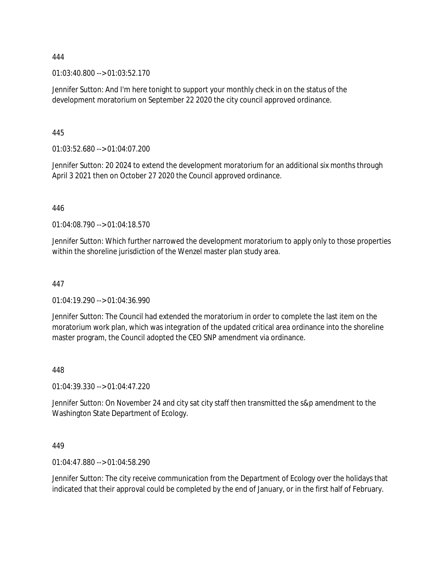01:03:40.800 --> 01:03:52.170

Jennifer Sutton: And I'm here tonight to support your monthly check in on the status of the development moratorium on September 22 2020 the city council approved ordinance.

445

01:03:52.680 --> 01:04:07.200

Jennifer Sutton: 20 2024 to extend the development moratorium for an additional six months through April 3 2021 then on October 27 2020 the Council approved ordinance.

446

01:04:08.790 --> 01:04:18.570

Jennifer Sutton: Which further narrowed the development moratorium to apply only to those properties within the shoreline jurisdiction of the Wenzel master plan study area.

#### 447

01:04:19.290 --> 01:04:36.990

Jennifer Sutton: The Council had extended the moratorium in order to complete the last item on the moratorium work plan, which was integration of the updated critical area ordinance into the shoreline master program, the Council adopted the CEO SNP amendment via ordinance.

## 448

01:04:39.330 --> 01:04:47.220

Jennifer Sutton: On November 24 and city sat city staff then transmitted the s&p amendment to the Washington State Department of Ecology.

449

01:04:47.880 --> 01:04:58.290

Jennifer Sutton: The city receive communication from the Department of Ecology over the holidays that indicated that their approval could be completed by the end of January, or in the first half of February.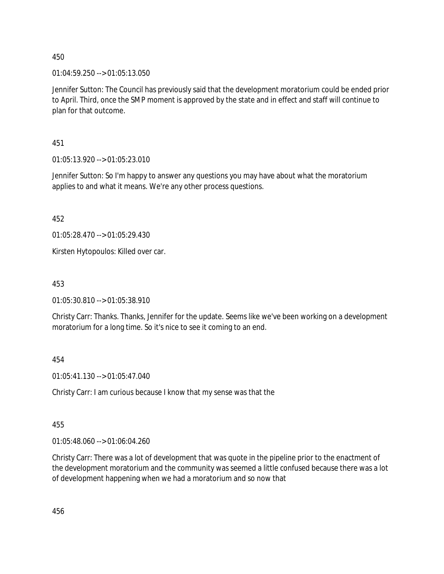01:04:59.250 --> 01:05:13.050

Jennifer Sutton: The Council has previously said that the development moratorium could be ended prior to April. Third, once the SMP moment is approved by the state and in effect and staff will continue to plan for that outcome.

451

01:05:13.920 --> 01:05:23.010

Jennifer Sutton: So I'm happy to answer any questions you may have about what the moratorium applies to and what it means. We're any other process questions.

452

01:05:28.470 --> 01:05:29.430

Kirsten Hytopoulos: Killed over car.

453

01:05:30.810 --> 01:05:38.910

Christy Carr: Thanks. Thanks, Jennifer for the update. Seems like we've been working on a development moratorium for a long time. So it's nice to see it coming to an end.

454

01:05:41.130 --> 01:05:47.040

Christy Carr: I am curious because I know that my sense was that the

455

01:05:48.060 --> 01:06:04.260

Christy Carr: There was a lot of development that was quote in the pipeline prior to the enactment of the development moratorium and the community was seemed a little confused because there was a lot of development happening when we had a moratorium and so now that

456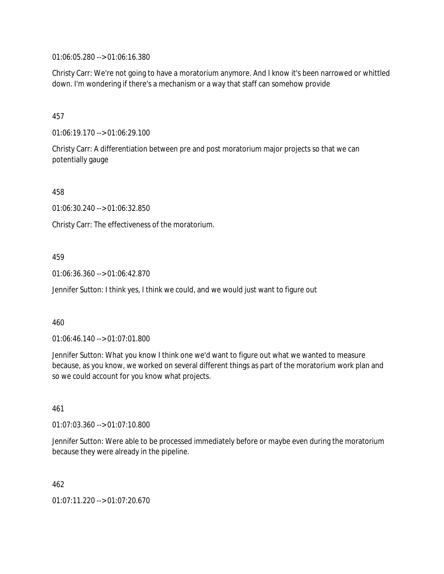01:06:05.280 --> 01:06:16.380

Christy Carr: We're not going to have a moratorium anymore. And I know it's been narrowed or whittled down. I'm wondering if there's a mechanism or a way that staff can somehow provide

# 457

01:06:19.170 --> 01:06:29.100

Christy Carr: A differentiation between pre and post moratorium major projects so that we can potentially gauge

458

01:06:30.240 --> 01:06:32.850

Christy Carr: The effectiveness of the moratorium.

# 459

01:06:36.360 --> 01:06:42.870

Jennifer Sutton: I think yes, I think we could, and we would just want to figure out

## 460

01:06:46.140 --> 01:07:01.800

Jennifer Sutton: What you know I think one we'd want to figure out what we wanted to measure because, as you know, we worked on several different things as part of the moratorium work plan and so we could account for you know what projects.

## 461

01:07:03.360 --> 01:07:10.800

Jennifer Sutton: Were able to be processed immediately before or maybe even during the moratorium because they were already in the pipeline.

462

01:07:11.220 --> 01:07:20.670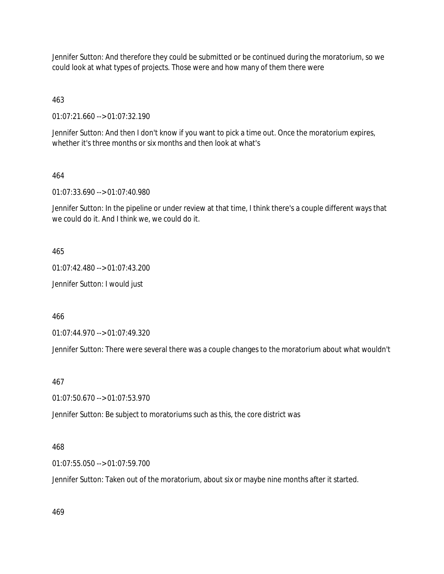Jennifer Sutton: And therefore they could be submitted or be continued during the moratorium, so we could look at what types of projects. Those were and how many of them there were

463

01:07:21.660 --> 01:07:32.190

Jennifer Sutton: And then I don't know if you want to pick a time out. Once the moratorium expires, whether it's three months or six months and then look at what's

## 464

01:07:33.690 --> 01:07:40.980

Jennifer Sutton: In the pipeline or under review at that time, I think there's a couple different ways that we could do it. And I think we, we could do it.

465

01:07:42.480 --> 01:07:43.200

Jennifer Sutton: I would just

466

01:07:44.970 --> 01:07:49.320

Jennifer Sutton: There were several there was a couple changes to the moratorium about what wouldn't

467

01:07:50.670 --> 01:07:53.970

Jennifer Sutton: Be subject to moratoriums such as this, the core district was

## 468

01:07:55.050 --> 01:07:59.700

Jennifer Sutton: Taken out of the moratorium, about six or maybe nine months after it started.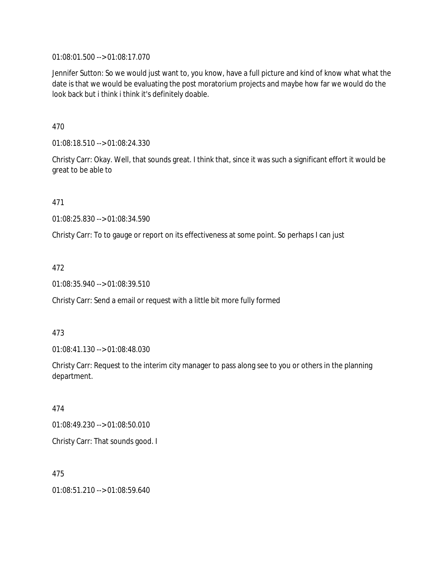01:08:01.500 --> 01:08:17.070

Jennifer Sutton: So we would just want to, you know, have a full picture and kind of know what what the date is that we would be evaluating the post moratorium projects and maybe how far we would do the look back but i think i think it's definitely doable.

470

01:08:18.510 --> 01:08:24.330

Christy Carr: Okay. Well, that sounds great. I think that, since it was such a significant effort it would be great to be able to

471

01:08:25.830 --> 01:08:34.590

Christy Carr: To to gauge or report on its effectiveness at some point. So perhaps I can just

472

01:08:35.940 --> 01:08:39.510

Christy Carr: Send a email or request with a little bit more fully formed

473

01:08:41.130 --> 01:08:48.030

Christy Carr: Request to the interim city manager to pass along see to you or others in the planning department.

474

01:08:49.230 --> 01:08:50.010

Christy Carr: That sounds good. I

475

01:08:51.210 --> 01:08:59.640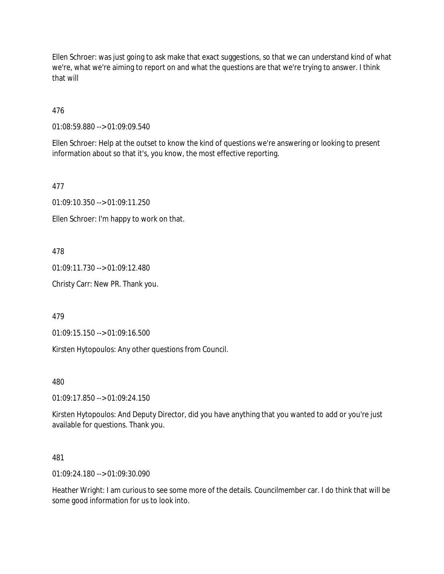Ellen Schroer: was just going to ask make that exact suggestions, so that we can understand kind of what we're, what we're aiming to report on and what the questions are that we're trying to answer. I think that will

476

01:08:59.880 --> 01:09:09.540

Ellen Schroer: Help at the outset to know the kind of questions we're answering or looking to present information about so that it's, you know, the most effective reporting.

477

01:09:10.350 --> 01:09:11.250

Ellen Schroer: I'm happy to work on that.

478

01:09:11.730 --> 01:09:12.480

Christy Carr: New PR. Thank you.

479

01:09:15.150 --> 01:09:16.500

Kirsten Hytopoulos: Any other questions from Council.

480

01:09:17.850 --> 01:09:24.150

Kirsten Hytopoulos: And Deputy Director, did you have anything that you wanted to add or you're just available for questions. Thank you.

481

01:09:24.180 --> 01:09:30.090

Heather Wright: I am curious to see some more of the details. Councilmember car. I do think that will be some good information for us to look into.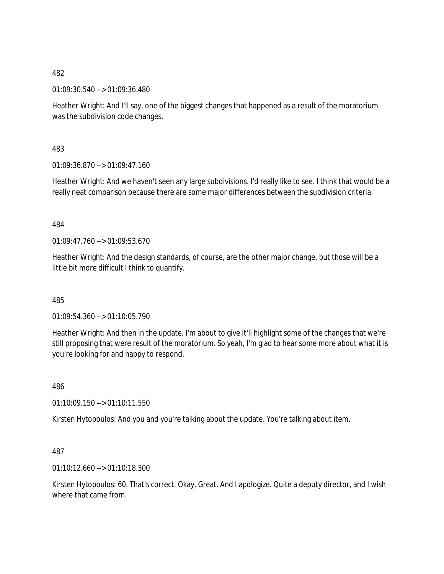01:09:30.540 --> 01:09:36.480

Heather Wright: And I'll say, one of the biggest changes that happened as a result of the moratorium was the subdivision code changes.

483

01:09:36.870 --> 01:09:47.160

Heather Wright: And we haven't seen any large subdivisions. I'd really like to see. I think that would be a really neat comparison because there are some major differences between the subdivision criteria.

484

 $01:09:47.760 \rightarrow 01:09:53.670$ 

Heather Wright: And the design standards, of course, are the other major change, but those will be a little bit more difficult I think to quantify.

485

01:09:54.360 --> 01:10:05.790

Heather Wright: And then in the update. I'm about to give it'll highlight some of the changes that we're still proposing that were result of the moratorium. So yeah, I'm glad to hear some more about what it is you're looking for and happy to respond.

486

01:10:09.150 --> 01:10:11.550

Kirsten Hytopoulos: And you and you're talking about the update. You're talking about item.

487

01:10:12.660 --> 01:10:18.300

Kirsten Hytopoulos: 60. That's correct. Okay. Great. And I apologize. Quite a deputy director, and I wish where that came from.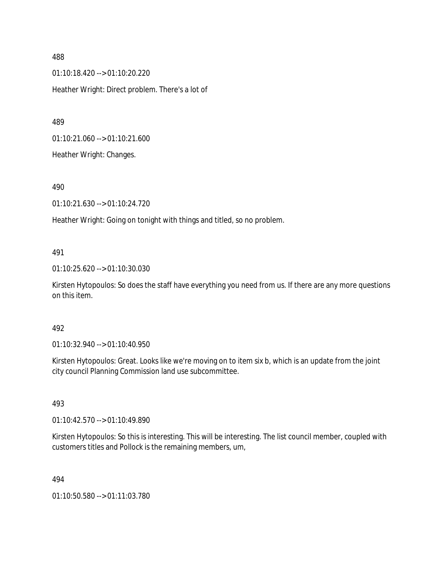01:10:18.420 --> 01:10:20.220 Heather Wright: Direct problem. There's a lot of

489

01:10:21.060 --> 01:10:21.600

Heather Wright: Changes.

490

01:10:21.630 --> 01:10:24.720

Heather Wright: Going on tonight with things and titled, so no problem.

#### 491

01:10:25.620 --> 01:10:30.030

Kirsten Hytopoulos: So does the staff have everything you need from us. If there are any more questions on this item.

### 492

01:10:32.940 --> 01:10:40.950

Kirsten Hytopoulos: Great. Looks like we're moving on to item six b, which is an update from the joint city council Planning Commission land use subcommittee.

#### 493

01:10:42.570 --> 01:10:49.890

Kirsten Hytopoulos: So this is interesting. This will be interesting. The list council member, coupled with customers titles and Pollock is the remaining members, um,

494

01:10:50.580 --> 01:11:03.780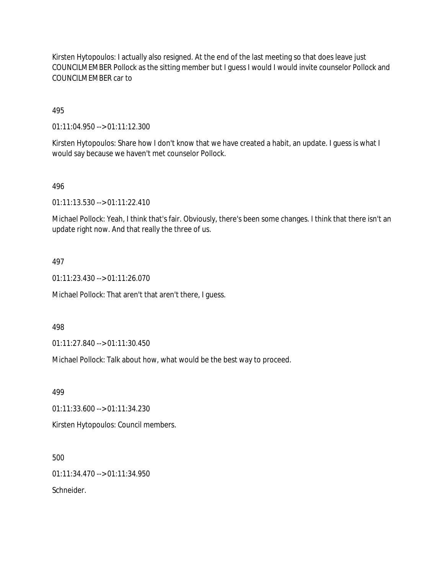Kirsten Hytopoulos: I actually also resigned. At the end of the last meeting so that does leave just COUNCILMEMBER Pollock as the sitting member but I guess I would I would invite counselor Pollock and COUNCILMEMBER car to

## 495

01:11:04.950 --> 01:11:12.300

Kirsten Hytopoulos: Share how I don't know that we have created a habit, an update. I guess is what I would say because we haven't met counselor Pollock.

## 496

01:11:13.530 --> 01:11:22.410

Michael Pollock: Yeah, I think that's fair. Obviously, there's been some changes. I think that there isn't an update right now. And that really the three of us.

## 497

01:11:23.430 --> 01:11:26.070

Michael Pollock: That aren't that aren't there, I guess.

#### 498

01:11:27.840 --> 01:11:30.450

Michael Pollock: Talk about how, what would be the best way to proceed.

499

01:11:33.600 --> 01:11:34.230

Kirsten Hytopoulos: Council members.

500

01:11:34.470 --> 01:11:34.950

Schneider.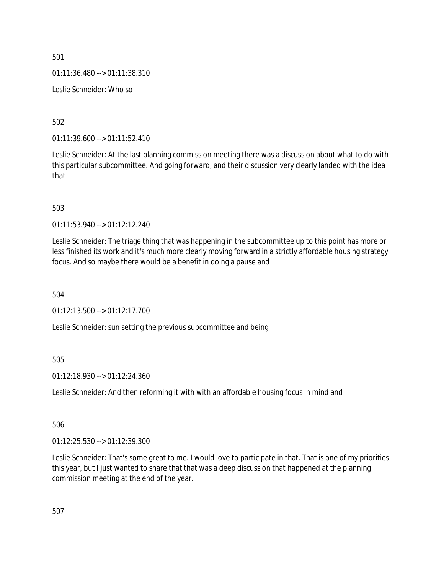01:11:36.480 --> 01:11:38.310

Leslie Schneider: Who so

502

01:11:39.600 --> 01:11:52.410

Leslie Schneider: At the last planning commission meeting there was a discussion about what to do with this particular subcommittee. And going forward, and their discussion very clearly landed with the idea that

503

01:11:53.940 --> 01:12:12.240

Leslie Schneider: The triage thing that was happening in the subcommittee up to this point has more or less finished its work and it's much more clearly moving forward in a strictly affordable housing strategy focus. And so maybe there would be a benefit in doing a pause and

504

01:12:13.500 --> 01:12:17.700

Leslie Schneider: sun setting the previous subcommittee and being

505

01:12:18.930 --> 01:12:24.360

Leslie Schneider: And then reforming it with with an affordable housing focus in mind and

506

01:12:25.530 --> 01:12:39.300

Leslie Schneider: That's some great to me. I would love to participate in that. That is one of my priorities this year, but I just wanted to share that that was a deep discussion that happened at the planning commission meeting at the end of the year.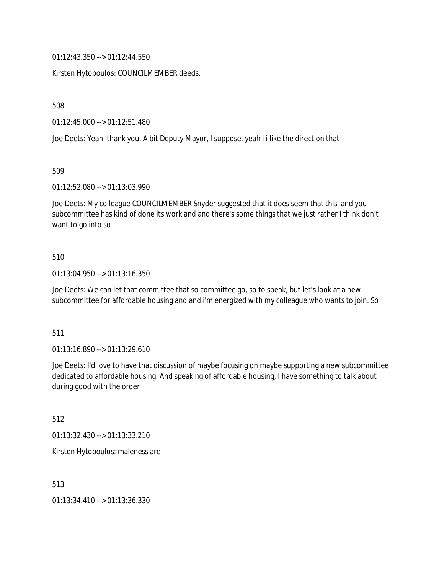01:12:43.350 --> 01:12:44.550

Kirsten Hytopoulos: COUNCILMEMBER deeds.

508

01:12:45.000 --> 01:12:51.480

Joe Deets: Yeah, thank you. A bit Deputy Mayor, I suppose, yeah i i like the direction that

509

01:12:52.080 --> 01:13:03.990

Joe Deets: My colleague COUNCILMEMBER Snyder suggested that it does seem that this land you subcommittee has kind of done its work and and there's some things that we just rather I think don't want to go into so

#### 510

01:13:04.950 --> 01:13:16.350

Joe Deets: We can let that committee that so committee go, so to speak, but let's look at a new subcommittee for affordable housing and and i'm energized with my colleague who wants to join. So

#### 511

01:13:16.890 --> 01:13:29.610

Joe Deets: I'd love to have that discussion of maybe focusing on maybe supporting a new subcommittee dedicated to affordable housing. And speaking of affordable housing, I have something to talk about during good with the order

512

01:13:32.430 --> 01:13:33.210

Kirsten Hytopoulos: maleness are

513

01:13:34.410 --> 01:13:36.330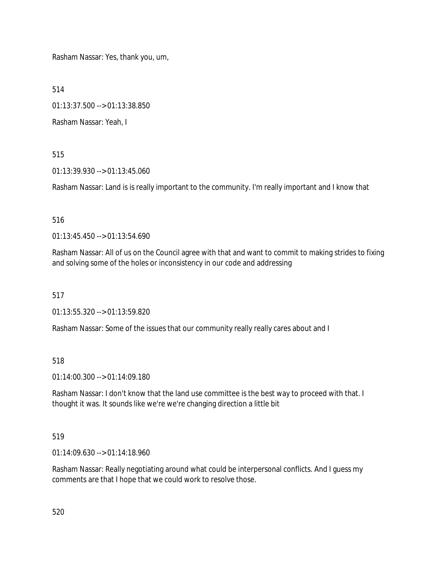Rasham Nassar: Yes, thank you, um,

514

01:13:37.500 --> 01:13:38.850

Rasham Nassar: Yeah, I

515

01:13:39.930 --> 01:13:45.060

Rasham Nassar: Land is is really important to the community. I'm really important and I know that

516

01:13:45.450 --> 01:13:54.690

Rasham Nassar: All of us on the Council agree with that and want to commit to making strides to fixing and solving some of the holes or inconsistency in our code and addressing

517

01:13:55.320 --> 01:13:59.820

Rasham Nassar: Some of the issues that our community really really cares about and I

518

01:14:00.300 --> 01:14:09.180

Rasham Nassar: I don't know that the land use committee is the best way to proceed with that. I thought it was. It sounds like we're we're changing direction a little bit

519

01:14:09.630 --> 01:14:18.960

Rasham Nassar: Really negotiating around what could be interpersonal conflicts. And I guess my comments are that I hope that we could work to resolve those.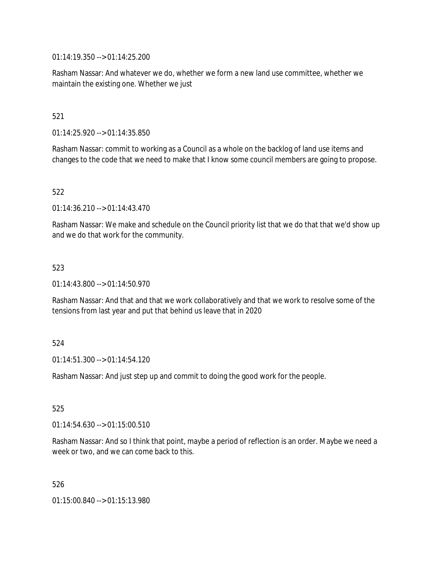01:14:19.350 --> 01:14:25.200

Rasham Nassar: And whatever we do, whether we form a new land use committee, whether we maintain the existing one. Whether we just

521

01:14:25.920 --> 01:14:35.850

Rasham Nassar: commit to working as a Council as a whole on the backlog of land use items and changes to the code that we need to make that I know some council members are going to propose.

522

01:14:36.210 --> 01:14:43.470

Rasham Nassar: We make and schedule on the Council priority list that we do that that we'd show up and we do that work for the community.

523

01:14:43.800 --> 01:14:50.970

Rasham Nassar: And that and that we work collaboratively and that we work to resolve some of the tensions from last year and put that behind us leave that in 2020

524

01:14:51.300 --> 01:14:54.120

Rasham Nassar: And just step up and commit to doing the good work for the people.

525

 $01:14:54.630 \rightarrow 01:15:00.510$ 

Rasham Nassar: And so I think that point, maybe a period of reflection is an order. Maybe we need a week or two, and we can come back to this.

526

01:15:00.840 --> 01:15:13.980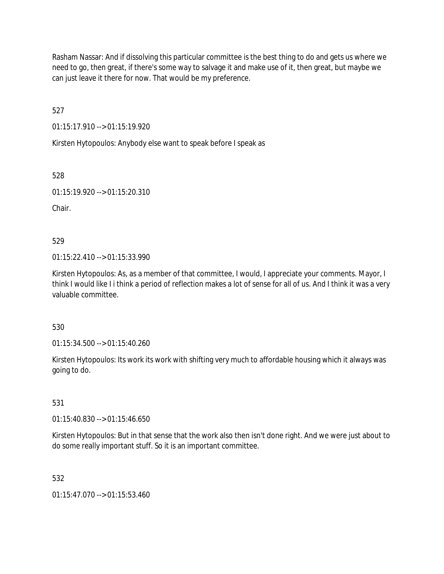Rasham Nassar: And if dissolving this particular committee is the best thing to do and gets us where we need to go, then great, if there's some way to salvage it and make use of it, then great, but maybe we can just leave it there for now. That would be my preference.

527

01:15:17.910 --> 01:15:19.920

Kirsten Hytopoulos: Anybody else want to speak before I speak as

528

01:15:19.920 --> 01:15:20.310

Chair.

529

01:15:22.410 --> 01:15:33.990

Kirsten Hytopoulos: As, as a member of that committee, I would, I appreciate your comments. Mayor, I think I would like I i think a period of reflection makes a lot of sense for all of us. And I think it was a very valuable committee.

530

01:15:34.500 --> 01:15:40.260

Kirsten Hytopoulos: Its work its work with shifting very much to affordable housing which it always was going to do.

## 531

01:15:40.830 --> 01:15:46.650

Kirsten Hytopoulos: But in that sense that the work also then isn't done right. And we were just about to do some really important stuff. So it is an important committee.

# 532

01:15:47.070 --> 01:15:53.460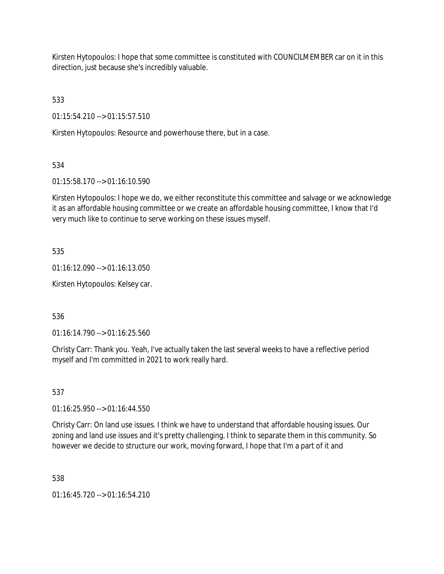Kirsten Hytopoulos: I hope that some committee is constituted with COUNCILMEMBER car on it in this direction, just because she's incredibly valuable.

533

01:15:54.210 --> 01:15:57.510

Kirsten Hytopoulos: Resource and powerhouse there, but in a case.

534

01:15:58.170 --> 01:16:10.590

Kirsten Hytopoulos: I hope we do, we either reconstitute this committee and salvage or we acknowledge it as an affordable housing committee or we create an affordable housing committee, I know that I'd very much like to continue to serve working on these issues myself.

535

01:16:12.090 --> 01:16:13.050

Kirsten Hytopoulos: Kelsey car.

536

01:16:14.790 --> 01:16:25.560

Christy Carr: Thank you. Yeah, I've actually taken the last several weeks to have a reflective period myself and I'm committed in 2021 to work really hard.

537

01:16:25.950 --> 01:16:44.550

Christy Carr: On land use issues. I think we have to understand that affordable housing issues. Our zoning and land use issues and it's pretty challenging. I think to separate them in this community. So however we decide to structure our work, moving forward, I hope that I'm a part of it and

538

01:16:45.720 --> 01:16:54.210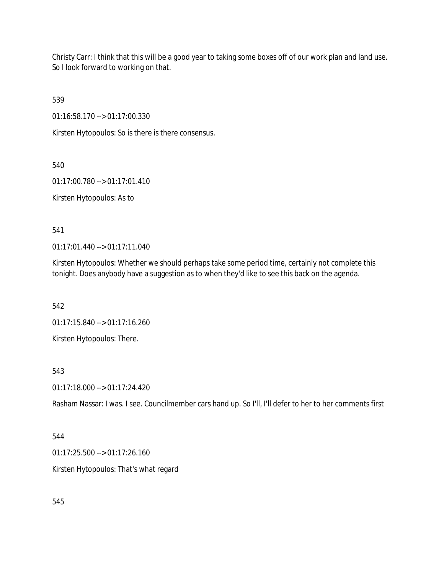Christy Carr: I think that this will be a good year to taking some boxes off of our work plan and land use. So I look forward to working on that.

539

01:16:58.170 --> 01:17:00.330

Kirsten Hytopoulos: So is there is there consensus.

540

01:17:00.780 --> 01:17:01.410

Kirsten Hytopoulos: As to

541

01:17:01.440 --> 01:17:11.040

Kirsten Hytopoulos: Whether we should perhaps take some period time, certainly not complete this tonight. Does anybody have a suggestion as to when they'd like to see this back on the agenda.

542

01:17:15.840 --> 01:17:16.260

Kirsten Hytopoulos: There.

543

01:17:18.000 --> 01:17:24.420

Rasham Nassar: I was. I see. Councilmember cars hand up. So I'll, I'll defer to her to her comments first

544

01:17:25.500 --> 01:17:26.160

Kirsten Hytopoulos: That's what regard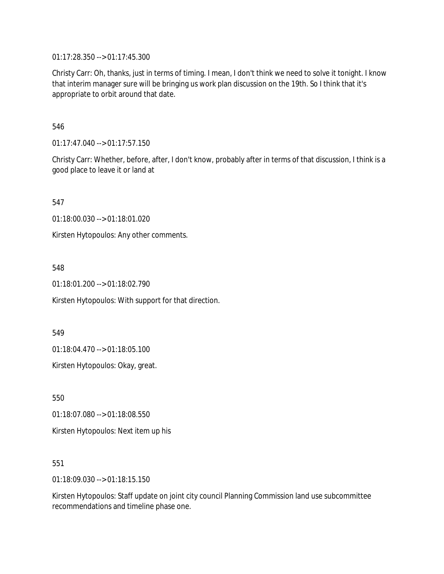01:17:28.350 --> 01:17:45.300

Christy Carr: Oh, thanks, just in terms of timing. I mean, I don't think we need to solve it tonight. I know that interim manager sure will be bringing us work plan discussion on the 19th. So I think that it's appropriate to orbit around that date.

546

01:17:47.040 --> 01:17:57.150

Christy Carr: Whether, before, after, I don't know, probably after in terms of that discussion, I think is a good place to leave it or land at

547

01:18:00.030 --> 01:18:01.020

Kirsten Hytopoulos: Any other comments.

548

01:18:01.200 --> 01:18:02.790

Kirsten Hytopoulos: With support for that direction.

549

01:18:04.470 --> 01:18:05.100

Kirsten Hytopoulos: Okay, great.

550

01:18:07.080 --> 01:18:08.550 Kirsten Hytopoulos: Next item up his

551

01:18:09.030 --> 01:18:15.150

Kirsten Hytopoulos: Staff update on joint city council Planning Commission land use subcommittee recommendations and timeline phase one.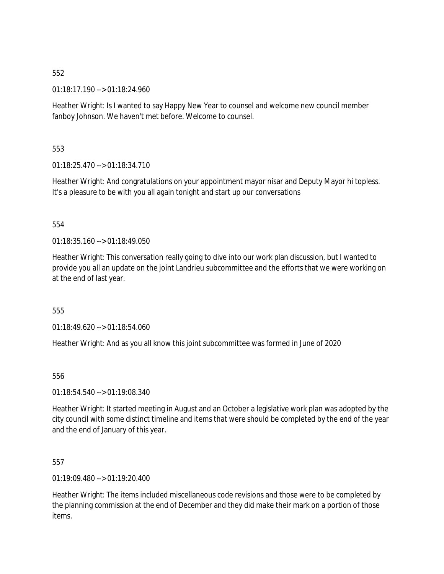01:18:17.190 --> 01:18:24.960

Heather Wright: Is I wanted to say Happy New Year to counsel and welcome new council member fanboy Johnson. We haven't met before. Welcome to counsel.

553

01:18:25.470 --> 01:18:34.710

Heather Wright: And congratulations on your appointment mayor nisar and Deputy Mayor hi topless. It's a pleasure to be with you all again tonight and start up our conversations

## 554

 $01.18:35.160 \rightarrow 01.18:49.050$ 

Heather Wright: This conversation really going to dive into our work plan discussion, but I wanted to provide you all an update on the joint Landrieu subcommittee and the efforts that we were working on at the end of last year.

555

01:18:49.620 --> 01:18:54.060

Heather Wright: And as you all know this joint subcommittee was formed in June of 2020

556

01:18:54.540 --> 01:19:08.340

Heather Wright: It started meeting in August and an October a legislative work plan was adopted by the city council with some distinct timeline and items that were should be completed by the end of the year and the end of January of this year.

557

01:19:09.480 --> 01:19:20.400

Heather Wright: The items included miscellaneous code revisions and those were to be completed by the planning commission at the end of December and they did make their mark on a portion of those items.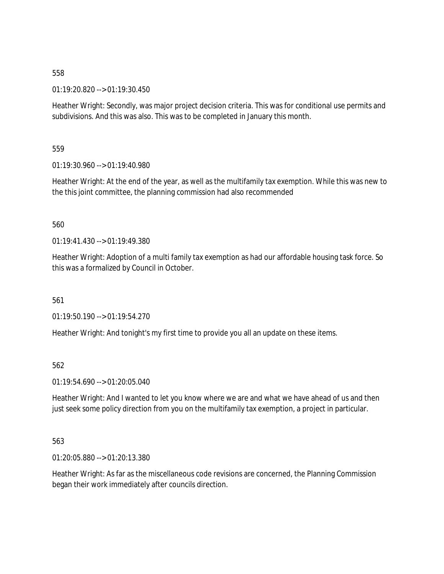01:19:20.820 --> 01:19:30.450

Heather Wright: Secondly, was major project decision criteria. This was for conditional use permits and subdivisions. And this was also. This was to be completed in January this month.

559

01:19:30.960 --> 01:19:40.980

Heather Wright: At the end of the year, as well as the multifamily tax exemption. While this was new to the this joint committee, the planning commission had also recommended

## 560

01:19:41.430 --> 01:19:49.380

Heather Wright: Adoption of a multi family tax exemption as had our affordable housing task force. So this was a formalized by Council in October.

561

01:19:50.190 --> 01:19:54.270

Heather Wright: And tonight's my first time to provide you all an update on these items.

562

01:19:54.690 --> 01:20:05.040

Heather Wright: And I wanted to let you know where we are and what we have ahead of us and then just seek some policy direction from you on the multifamily tax exemption, a project in particular.

#### 563

01:20:05.880 --> 01:20:13.380

Heather Wright: As far as the miscellaneous code revisions are concerned, the Planning Commission began their work immediately after councils direction.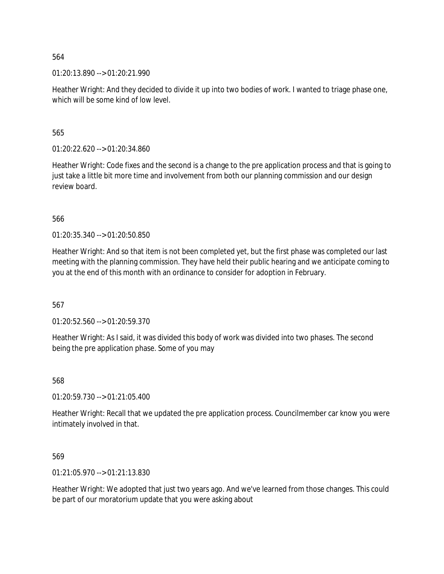01:20:13.890 --> 01:20:21.990

Heather Wright: And they decided to divide it up into two bodies of work. I wanted to triage phase one, which will be some kind of low level.

565

01:20:22.620 --> 01:20:34.860

Heather Wright: Code fixes and the second is a change to the pre application process and that is going to just take a little bit more time and involvement from both our planning commission and our design review board.

566

01:20:35.340 --> 01:20:50.850

Heather Wright: And so that item is not been completed yet, but the first phase was completed our last meeting with the planning commission. They have held their public hearing and we anticipate coming to you at the end of this month with an ordinance to consider for adoption in February.

567

01:20:52.560 --> 01:20:59.370

Heather Wright: As I said, it was divided this body of work was divided into two phases. The second being the pre application phase. Some of you may

568

01:20:59.730 --> 01:21:05.400

Heather Wright: Recall that we updated the pre application process. Councilmember car know you were intimately involved in that.

569

01:21:05.970 --> 01:21:13.830

Heather Wright: We adopted that just two years ago. And we've learned from those changes. This could be part of our moratorium update that you were asking about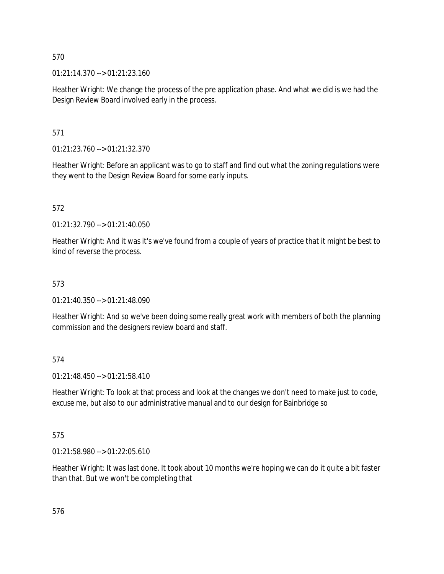01:21:14.370 --> 01:21:23.160

Heather Wright: We change the process of the pre application phase. And what we did is we had the Design Review Board involved early in the process.

571

01:21:23.760 --> 01:21:32.370

Heather Wright: Before an applicant was to go to staff and find out what the zoning regulations were they went to the Design Review Board for some early inputs.

572

01:21:32.790 --> 01:21:40.050

Heather Wright: And it was it's we've found from a couple of years of practice that it might be best to kind of reverse the process.

# 573

01:21:40.350 --> 01:21:48.090

Heather Wright: And so we've been doing some really great work with members of both the planning commission and the designers review board and staff.

574

01:21:48.450 --> 01:21:58.410

Heather Wright: To look at that process and look at the changes we don't need to make just to code, excuse me, but also to our administrative manual and to our design for Bainbridge so

575

01:21:58.980 --> 01:22:05.610

Heather Wright: It was last done. It took about 10 months we're hoping we can do it quite a bit faster than that. But we won't be completing that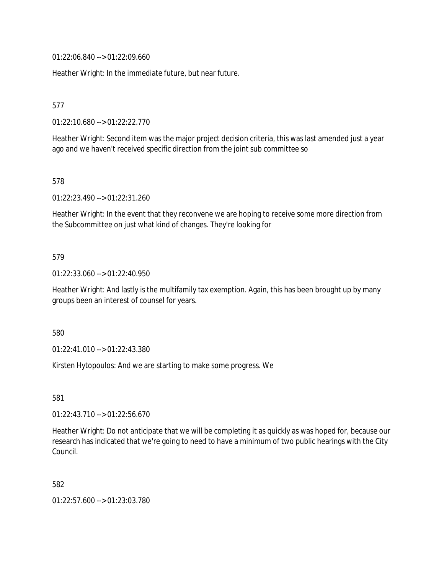01:22:06.840 --> 01:22:09.660

Heather Wright: In the immediate future, but near future.

577

01:22:10.680 --> 01:22:22.770

Heather Wright: Second item was the major project decision criteria, this was last amended just a year ago and we haven't received specific direction from the joint sub committee so

578

01:22:23.490 --> 01:22:31.260

Heather Wright: In the event that they reconvene we are hoping to receive some more direction from the Subcommittee on just what kind of changes. They're looking for

# 579

01:22:33.060 --> 01:22:40.950

Heather Wright: And lastly is the multifamily tax exemption. Again, this has been brought up by many groups been an interest of counsel for years.

580

01:22:41.010 --> 01:22:43.380

Kirsten Hytopoulos: And we are starting to make some progress. We

581

01:22:43.710 --> 01:22:56.670

Heather Wright: Do not anticipate that we will be completing it as quickly as was hoped for, because our research has indicated that we're going to need to have a minimum of two public hearings with the City Council.

582

01:22:57.600 --> 01:23:03.780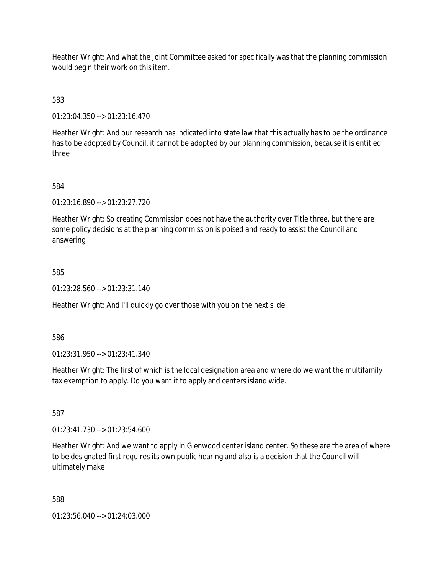Heather Wright: And what the Joint Committee asked for specifically was that the planning commission would begin their work on this item.

583

01:23:04.350 --> 01:23:16.470

Heather Wright: And our research has indicated into state law that this actually has to be the ordinance has to be adopted by Council, it cannot be adopted by our planning commission, because it is entitled three

584

01:23:16.890 --> 01:23:27.720

Heather Wright: So creating Commission does not have the authority over Title three, but there are some policy decisions at the planning commission is poised and ready to assist the Council and answering

585

01:23:28.560 --> 01:23:31.140

Heather Wright: And I'll quickly go over those with you on the next slide.

586

01:23:31.950 --> 01:23:41.340

Heather Wright: The first of which is the local designation area and where do we want the multifamily tax exemption to apply. Do you want it to apply and centers island wide.

587

01:23:41.730 --> 01:23:54.600

Heather Wright: And we want to apply in Glenwood center island center. So these are the area of where to be designated first requires its own public hearing and also is a decision that the Council will ultimately make

588

01:23:56.040 --> 01:24:03.000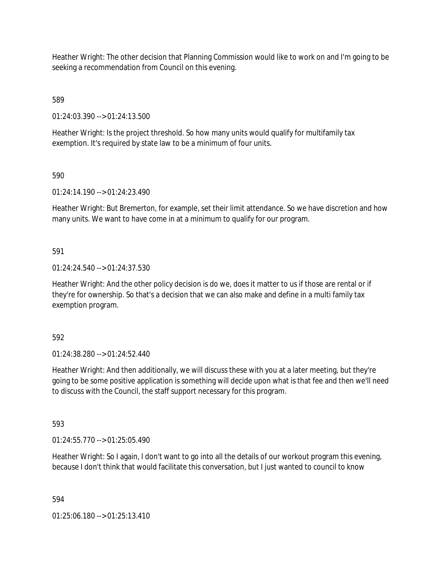Heather Wright: The other decision that Planning Commission would like to work on and I'm going to be seeking a recommendation from Council on this evening.

589

01:24:03.390 --> 01:24:13.500

Heather Wright: Is the project threshold. So how many units would qualify for multifamily tax exemption. It's required by state law to be a minimum of four units.

590

01:24:14.190 --> 01:24:23.490

Heather Wright: But Bremerton, for example, set their limit attendance. So we have discretion and how many units. We want to have come in at a minimum to qualify for our program.

591

01:24:24.540 --> 01:24:37.530

Heather Wright: And the other policy decision is do we, does it matter to us if those are rental or if they're for ownership. So that's a decision that we can also make and define in a multi family tax exemption program.

592

01:24:38.280 --> 01:24:52.440

Heather Wright: And then additionally, we will discuss these with you at a later meeting, but they're going to be some positive application is something will decide upon what is that fee and then we'll need to discuss with the Council, the staff support necessary for this program.

593

01:24:55.770 --> 01:25:05.490

Heather Wright: So I again, I don't want to go into all the details of our workout program this evening, because I don't think that would facilitate this conversation, but I just wanted to council to know

594

01:25:06.180 --> 01:25:13.410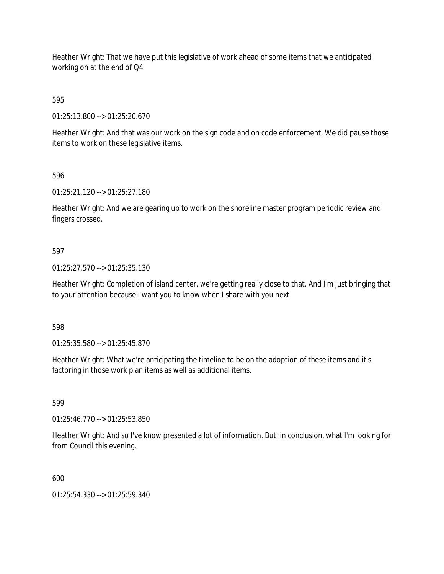Heather Wright: That we have put this legislative of work ahead of some items that we anticipated working on at the end of Q4

595

01:25:13.800 --> 01:25:20.670

Heather Wright: And that was our work on the sign code and on code enforcement. We did pause those items to work on these legislative items.

596

01:25:21.120 --> 01:25:27.180

Heather Wright: And we are gearing up to work on the shoreline master program periodic review and fingers crossed.

## 597

01:25:27.570 --> 01:25:35.130

Heather Wright: Completion of island center, we're getting really close to that. And I'm just bringing that to your attention because I want you to know when I share with you next

598

01:25:35.580 --> 01:25:45.870

Heather Wright: What we're anticipating the timeline to be on the adoption of these items and it's factoring in those work plan items as well as additional items.

599

01:25:46.770 --> 01:25:53.850

Heather Wright: And so I've know presented a lot of information. But, in conclusion, what I'm looking for from Council this evening.

600

01:25:54.330 --> 01:25:59.340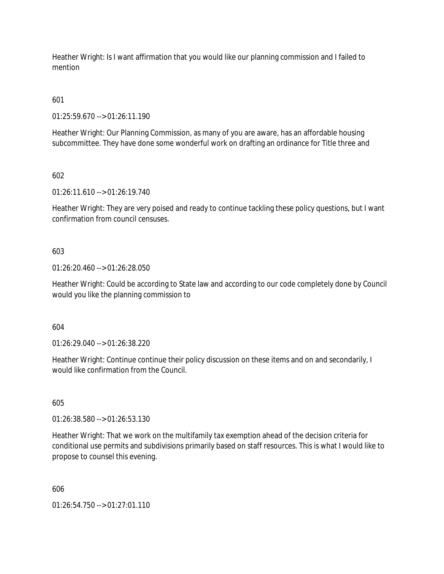Heather Wright: Is I want affirmation that you would like our planning commission and I failed to mention

601

01:25:59.670 --> 01:26:11.190

Heather Wright: Our Planning Commission, as many of you are aware, has an affordable housing subcommittee. They have done some wonderful work on drafting an ordinance for Title three and

602

01:26:11.610 --> 01:26:19.740

Heather Wright: They are very poised and ready to continue tackling these policy questions, but I want confirmation from council censuses.

603

01:26:20.460 --> 01:26:28.050

Heather Wright: Could be according to State law and according to our code completely done by Council would you like the planning commission to

604

01:26:29.040 --> 01:26:38.220

Heather Wright: Continue continue their policy discussion on these items and on and secondarily, I would like confirmation from the Council.

605

01:26:38.580 --> 01:26:53.130

Heather Wright: That we work on the multifamily tax exemption ahead of the decision criteria for conditional use permits and subdivisions primarily based on staff resources. This is what I would like to propose to counsel this evening.

606

01:26:54.750 --> 01:27:01.110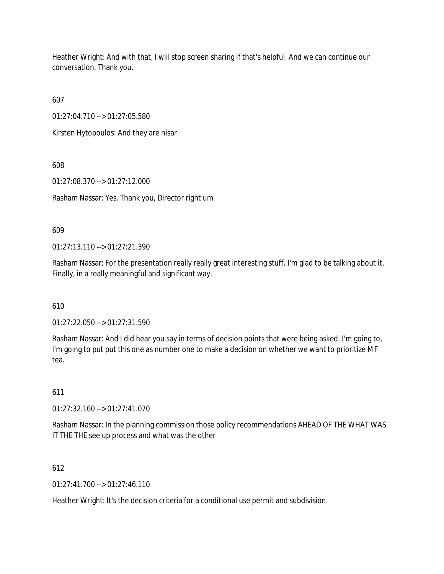Heather Wright: And with that, I will stop screen sharing if that's helpful. And we can continue our conversation. Thank you.

607

01:27:04.710 --> 01:27:05.580

Kirsten Hytopoulos: And they are nisar

608

01:27:08.370 --> 01:27:12.000

Rasham Nassar: Yes. Thank you, Director right um

609

01:27:13.110 --> 01:27:21.390

Rasham Nassar: For the presentation really really great interesting stuff. I'm glad to be talking about it. Finally, in a really meaningful and significant way.

610

01:27:22.050 --> 01:27:31.590

Rasham Nassar: And I did hear you say in terms of decision points that were being asked. I'm going to, I'm going to put put this one as number one to make a decision on whether we want to prioritize MF tea.

611

01:27:32.160 --> 01:27:41.070

Rasham Nassar: In the planning commission those policy recommendations AHEAD OF THE WHAT WAS IT THE THE see up process and what was the other

612

 $01:27:41.700 \rightarrow 01:27:46.110$ 

Heather Wright: It's the decision criteria for a conditional use permit and subdivision.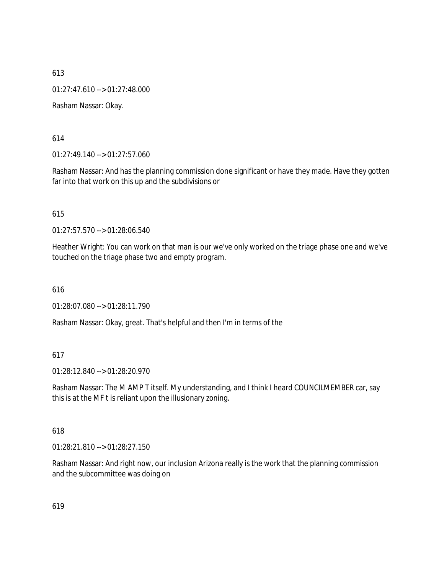01:27:47.610 --> 01:27:48.000

Rasham Nassar: Okay.

614

01:27:49.140 --> 01:27:57.060

Rasham Nassar: And has the planning commission done significant or have they made. Have they gotten far into that work on this up and the subdivisions or

615

01:27:57.570 --> 01:28:06.540

Heather Wright: You can work on that man is our we've only worked on the triage phase one and we've touched on the triage phase two and empty program.

616

01:28:07.080 --> 01:28:11.790

Rasham Nassar: Okay, great. That's helpful and then I'm in terms of the

### 617

01:28:12.840 --> 01:28:20.970

Rasham Nassar: The M AMP T itself. My understanding, and I think I heard COUNCILMEMBER car, say this is at the MF t is reliant upon the illusionary zoning.

#### 618

01:28:21.810 --> 01:28:27.150

Rasham Nassar: And right now, our inclusion Arizona really is the work that the planning commission and the subcommittee was doing on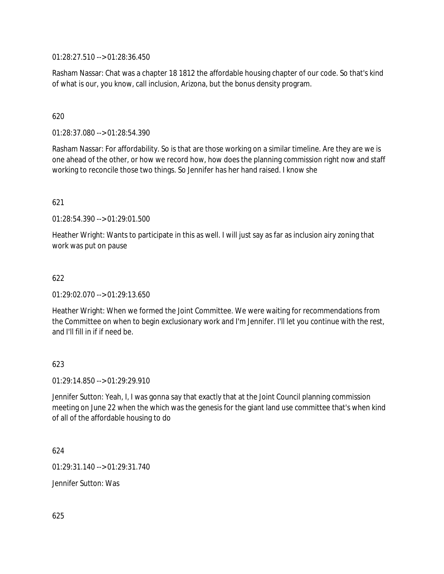01:28:27.510 --> 01:28:36.450

Rasham Nassar: Chat was a chapter 18 1812 the affordable housing chapter of our code. So that's kind of what is our, you know, call inclusion, Arizona, but the bonus density program.

# 620

01:28:37.080 --> 01:28:54.390

Rasham Nassar: For affordability. So is that are those working on a similar timeline. Are they are we is one ahead of the other, or how we record how, how does the planning commission right now and staff working to reconcile those two things. So Jennifer has her hand raised. I know she

## 621

01:28:54.390 --> 01:29:01.500

Heather Wright: Wants to participate in this as well. I will just say as far as inclusion airy zoning that work was put on pause

## 622

01:29:02.070 --> 01:29:13.650

Heather Wright: When we formed the Joint Committee. We were waiting for recommendations from the Committee on when to begin exclusionary work and I'm Jennifer. I'll let you continue with the rest, and I'll fill in if if need be.

## 623

01:29:14.850 --> 01:29:29.910

Jennifer Sutton: Yeah, I, I was gonna say that exactly that at the Joint Council planning commission meeting on June 22 when the which was the genesis for the giant land use committee that's when kind of all of the affordable housing to do

624

01:29:31.140 --> 01:29:31.740

Jennifer Sutton: Was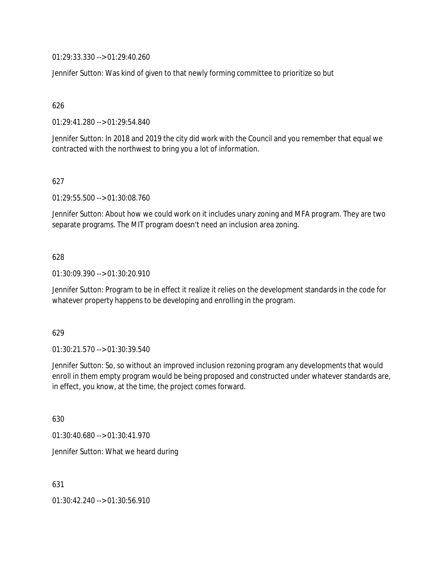01:29:33.330 --> 01:29:40.260

Jennifer Sutton: Was kind of given to that newly forming committee to prioritize so but

626

01:29:41.280 --> 01:29:54.840

Jennifer Sutton: In 2018 and 2019 the city did work with the Council and you remember that equal we contracted with the northwest to bring you a lot of information.

627

01:29:55.500 --> 01:30:08.760

Jennifer Sutton: About how we could work on it includes unary zoning and MFA program. They are two separate programs. The MIT program doesn't need an inclusion area zoning.

#### 628

01:30:09.390 --> 01:30:20.910

Jennifer Sutton: Program to be in effect it realize it relies on the development standards in the code for whatever property happens to be developing and enrolling in the program.

#### 629

01:30:21.570 --> 01:30:39.540

Jennifer Sutton: So, so without an improved inclusion rezoning program any developments that would enroll in them empty program would be being proposed and constructed under whatever standards are, in effect, you know, at the time, the project comes forward.

630

01:30:40.680 --> 01:30:41.970

Jennifer Sutton: What we heard during

631

01:30:42.240 --> 01:30:56.910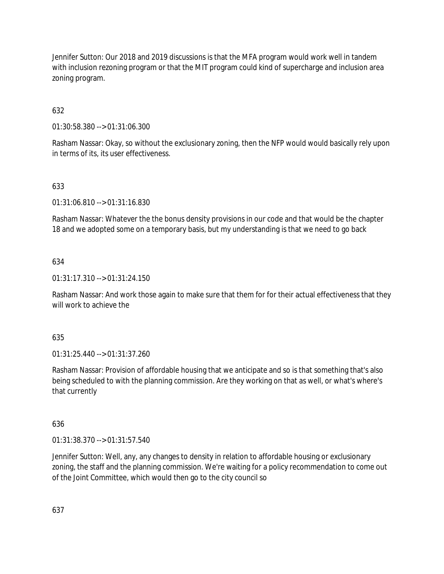Jennifer Sutton: Our 2018 and 2019 discussions is that the MFA program would work well in tandem with inclusion rezoning program or that the MIT program could kind of supercharge and inclusion area zoning program.

# 632

01:30:58.380 --> 01:31:06.300

Rasham Nassar: Okay, so without the exclusionary zoning, then the NFP would would basically rely upon in terms of its, its user effectiveness.

# 633

01:31:06.810 --> 01:31:16.830

Rasham Nassar: Whatever the the bonus density provisions in our code and that would be the chapter 18 and we adopted some on a temporary basis, but my understanding is that we need to go back

# 634

01:31:17.310 --> 01:31:24.150

Rasham Nassar: And work those again to make sure that them for for their actual effectiveness that they will work to achieve the

## 635

01:31:25.440 --> 01:31:37.260

Rasham Nassar: Provision of affordable housing that we anticipate and so is that something that's also being scheduled to with the planning commission. Are they working on that as well, or what's where's that currently

# 636

01:31:38.370 --> 01:31:57.540

Jennifer Sutton: Well, any, any changes to density in relation to affordable housing or exclusionary zoning, the staff and the planning commission. We're waiting for a policy recommendation to come out of the Joint Committee, which would then go to the city council so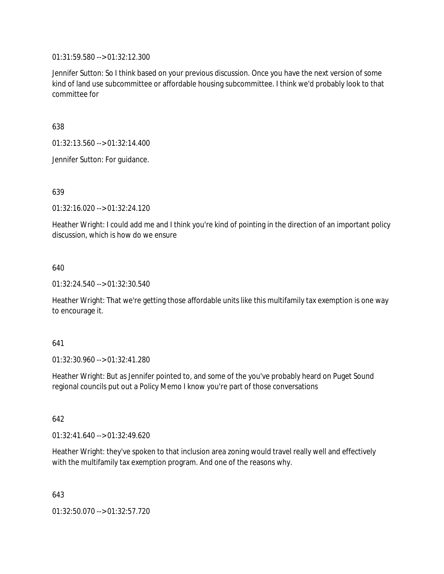01:31:59.580 --> 01:32:12.300

Jennifer Sutton: So I think based on your previous discussion. Once you have the next version of some kind of land use subcommittee or affordable housing subcommittee. I think we'd probably look to that committee for

638

01:32:13.560 --> 01:32:14.400

Jennifer Sutton: For guidance.

639

01:32:16.020 --> 01:32:24.120

Heather Wright: I could add me and I think you're kind of pointing in the direction of an important policy discussion, which is how do we ensure

640

01:32:24.540 --> 01:32:30.540

Heather Wright: That we're getting those affordable units like this multifamily tax exemption is one way to encourage it.

## 641

01:32:30.960 --> 01:32:41.280

Heather Wright: But as Jennifer pointed to, and some of the you've probably heard on Puget Sound regional councils put out a Policy Memo I know you're part of those conversations

642

01:32:41.640 --> 01:32:49.620

Heather Wright: they've spoken to that inclusion area zoning would travel really well and effectively with the multifamily tax exemption program. And one of the reasons why.

643

01:32:50.070 --> 01:32:57.720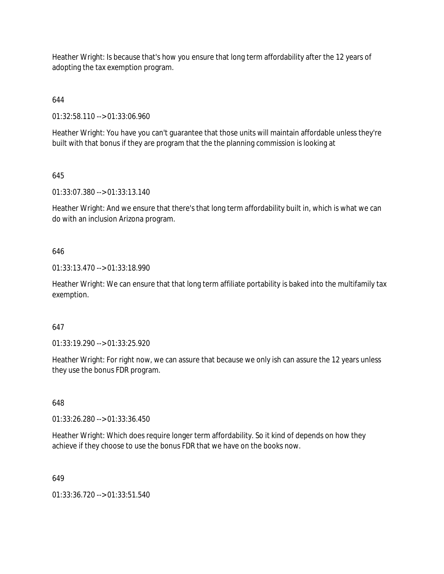Heather Wright: Is because that's how you ensure that long term affordability after the 12 years of adopting the tax exemption program.

# 644

01:32:58.110 --> 01:33:06.960

Heather Wright: You have you can't guarantee that those units will maintain affordable unless they're built with that bonus if they are program that the the planning commission is looking at

# 645

01:33:07.380 --> 01:33:13.140

Heather Wright: And we ensure that there's that long term affordability built in, which is what we can do with an inclusion Arizona program.

# 646

01:33:13.470 --> 01:33:18.990

Heather Wright: We can ensure that that long term affiliate portability is baked into the multifamily tax exemption.

# 647

01:33:19.290 --> 01:33:25.920

Heather Wright: For right now, we can assure that because we only ish can assure the 12 years unless they use the bonus FDR program.

# 648

01:33:26.280 --> 01:33:36.450

Heather Wright: Which does require longer term affordability. So it kind of depends on how they achieve if they choose to use the bonus FDR that we have on the books now.

# 649

01:33:36.720 --> 01:33:51.540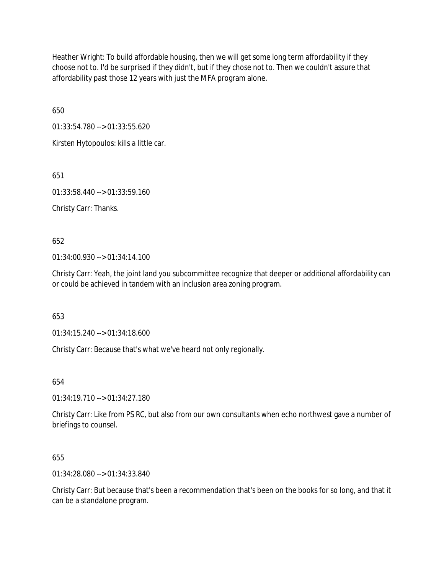Heather Wright: To build affordable housing, then we will get some long term affordability if they choose not to. I'd be surprised if they didn't, but if they chose not to. Then we couldn't assure that affordability past those 12 years with just the MFA program alone.

650

01:33:54.780 --> 01:33:55.620

Kirsten Hytopoulos: kills a little car.

651

01:33:58.440 --> 01:33:59.160

Christy Carr: Thanks.

652

01:34:00.930 --> 01:34:14.100

Christy Carr: Yeah, the joint land you subcommittee recognize that deeper or additional affordability can or could be achieved in tandem with an inclusion area zoning program.

653

01:34:15.240 --> 01:34:18.600

Christy Carr: Because that's what we've heard not only regionally.

654

01:34:19.710 --> 01:34:27.180

Christy Carr: Like from PS RC, but also from our own consultants when echo northwest gave a number of briefings to counsel.

655

01:34:28.080 --> 01:34:33.840

Christy Carr: But because that's been a recommendation that's been on the books for so long, and that it can be a standalone program.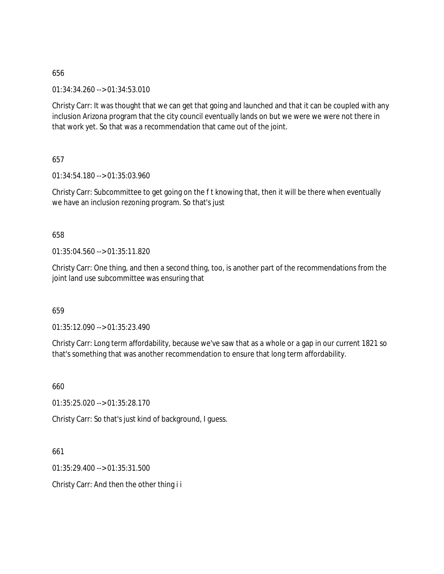01:34:34.260 --> 01:34:53.010

Christy Carr: It was thought that we can get that going and launched and that it can be coupled with any inclusion Arizona program that the city council eventually lands on but we were we were not there in that work yet. So that was a recommendation that came out of the joint.

657

01:34:54.180 --> 01:35:03.960

Christy Carr: Subcommittee to get going on the f t knowing that, then it will be there when eventually we have an inclusion rezoning program. So that's just

658

01:35:04.560 --> 01:35:11.820

Christy Carr: One thing, and then a second thing, too, is another part of the recommendations from the joint land use subcommittee was ensuring that

659

01:35:12.090 --> 01:35:23.490

Christy Carr: Long term affordability, because we've saw that as a whole or a gap in our current 1821 so that's something that was another recommendation to ensure that long term affordability.

660

01:35:25.020 --> 01:35:28.170

Christy Carr: So that's just kind of background, I guess.

661

01:35:29.400 --> 01:35:31.500

Christy Carr: And then the other thing i i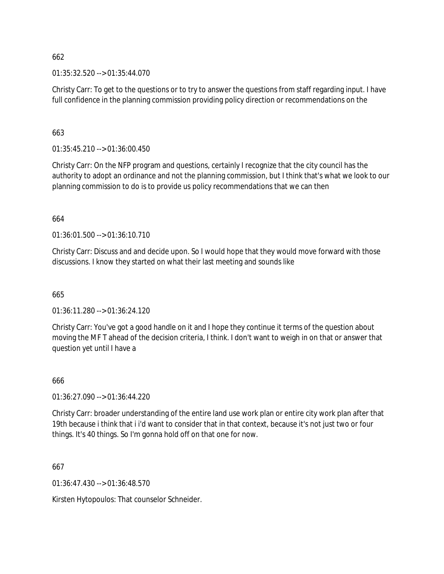01:35:32.520 --> 01:35:44.070

Christy Carr: To get to the questions or to try to answer the questions from staff regarding input. I have full confidence in the planning commission providing policy direction or recommendations on the

663

 $01:35:45.210 \rightarrow 01:36:00.450$ 

Christy Carr: On the NFP program and questions, certainly I recognize that the city council has the authority to adopt an ordinance and not the planning commission, but I think that's what we look to our planning commission to do is to provide us policy recommendations that we can then

664

01:36:01.500 --> 01:36:10.710

Christy Carr: Discuss and and decide upon. So I would hope that they would move forward with those discussions. I know they started on what their last meeting and sounds like

665

01:36:11.280 --> 01:36:24.120

Christy Carr: You've got a good handle on it and I hope they continue it terms of the question about moving the MF T ahead of the decision criteria, I think. I don't want to weigh in on that or answer that question yet until I have a

666

01:36:27.090 --> 01:36:44.220

Christy Carr: broader understanding of the entire land use work plan or entire city work plan after that 19th because i think that i i'd want to consider that in that context, because it's not just two or four things. It's 40 things. So I'm gonna hold off on that one for now.

667

01:36:47.430 --> 01:36:48.570

Kirsten Hytopoulos: That counselor Schneider.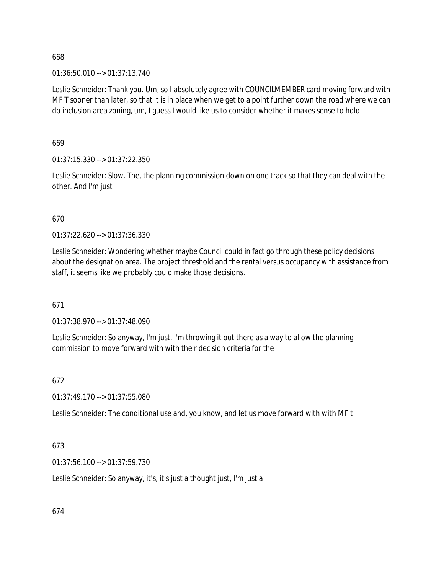01:36:50.010 --> 01:37:13.740

Leslie Schneider: Thank you. Um, so I absolutely agree with COUNCILMEMBER card moving forward with MF T sooner than later, so that it is in place when we get to a point further down the road where we can do inclusion area zoning, um, I guess I would like us to consider whether it makes sense to hold

669

01:37:15.330 --> 01:37:22.350

Leslie Schneider: Slow. The, the planning commission down on one track so that they can deal with the other. And I'm just

670

01:37:22.620 --> 01:37:36.330

Leslie Schneider: Wondering whether maybe Council could in fact go through these policy decisions about the designation area. The project threshold and the rental versus occupancy with assistance from staff, it seems like we probably could make those decisions.

671

01:37:38.970 --> 01:37:48.090

Leslie Schneider: So anyway, I'm just, I'm throwing it out there as a way to allow the planning commission to move forward with with their decision criteria for the

672

01:37:49.170 --> 01:37:55.080

Leslie Schneider: The conditional use and, you know, and let us move forward with with MF t

673

01:37:56.100 --> 01:37:59.730

Leslie Schneider: So anyway, it's, it's just a thought just, I'm just a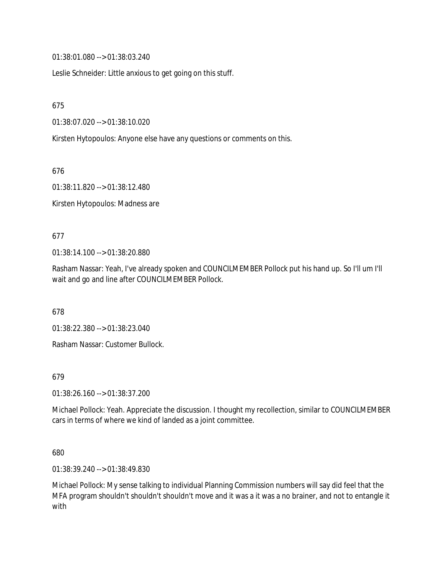01:38:01.080 --> 01:38:03.240

Leslie Schneider: Little anxious to get going on this stuff.

675

01:38:07.020 --> 01:38:10.020

Kirsten Hytopoulos: Anyone else have any questions or comments on this.

676

01:38:11.820 --> 01:38:12.480

Kirsten Hytopoulos: Madness are

### 677

01:38:14.100 --> 01:38:20.880

Rasham Nassar: Yeah, I've already spoken and COUNCILMEMBER Pollock put his hand up. So I'll um I'll wait and go and line after COUNCILMEMBER Pollock.

678

01:38:22.380 --> 01:38:23.040

Rasham Nassar: Customer Bullock.

679

01:38:26.160 --> 01:38:37.200

Michael Pollock: Yeah. Appreciate the discussion. I thought my recollection, similar to COUNCILMEMBER cars in terms of where we kind of landed as a joint committee.

680

01:38:39.240 --> 01:38:49.830

Michael Pollock: My sense talking to individual Planning Commission numbers will say did feel that the MFA program shouldn't shouldn't shouldn't move and it was a it was a no brainer, and not to entangle it with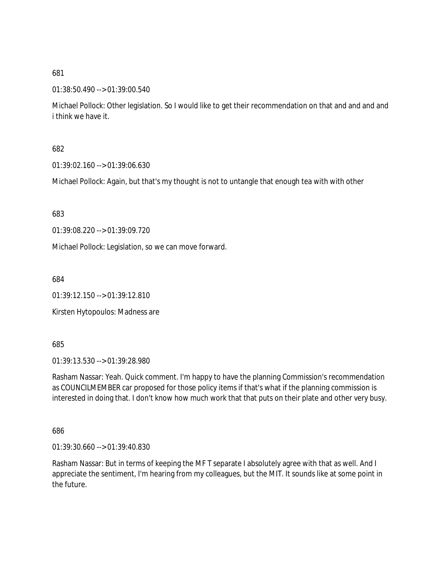01:38:50.490 --> 01:39:00.540

Michael Pollock: Other legislation. So I would like to get their recommendation on that and and and and i think we have it.

682

01:39:02.160 --> 01:39:06.630

Michael Pollock: Again, but that's my thought is not to untangle that enough tea with with other

683

01:39:08.220 --> 01:39:09.720

Michael Pollock: Legislation, so we can move forward.

684

01:39:12.150 --> 01:39:12.810

Kirsten Hytopoulos: Madness are

685

01:39:13.530 --> 01:39:28.980

Rasham Nassar: Yeah. Quick comment. I'm happy to have the planning Commission's recommendation as COUNCILMEMBER car proposed for those policy items if that's what if the planning commission is interested in doing that. I don't know how much work that that puts on their plate and other very busy.

686

01:39:30.660 --> 01:39:40.830

Rasham Nassar: But in terms of keeping the MF T separate I absolutely agree with that as well. And I appreciate the sentiment, I'm hearing from my colleagues, but the MIT. It sounds like at some point in the future.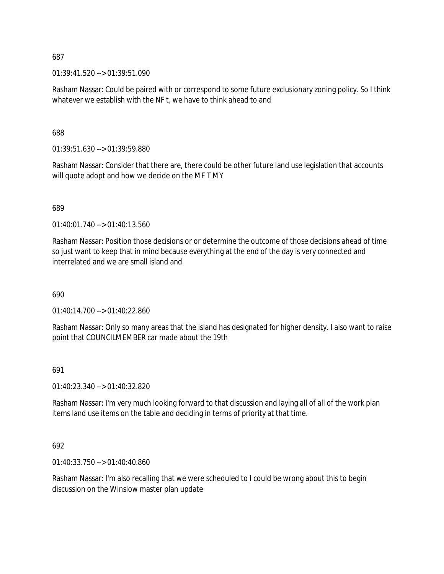01:39:41.520 --> 01:39:51.090

Rasham Nassar: Could be paired with or correspond to some future exclusionary zoning policy. So I think whatever we establish with the NF t, we have to think ahead to and

688

01:39:51.630 --> 01:39:59.880

Rasham Nassar: Consider that there are, there could be other future land use legislation that accounts will quote adopt and how we decide on the MF T MY

689

01:40:01.740 --> 01:40:13.560

Rasham Nassar: Position those decisions or or determine the outcome of those decisions ahead of time so just want to keep that in mind because everything at the end of the day is very connected and interrelated and we are small island and

690

01:40:14.700 --> 01:40:22.860

Rasham Nassar: Only so many areas that the island has designated for higher density. I also want to raise point that COUNCILMEMBER car made about the 19th

691

01:40:23.340 --> 01:40:32.820

Rasham Nassar: I'm very much looking forward to that discussion and laying all of all of the work plan items land use items on the table and deciding in terms of priority at that time.

692

01:40:33.750 --> 01:40:40.860

Rasham Nassar: I'm also recalling that we were scheduled to I could be wrong about this to begin discussion on the Winslow master plan update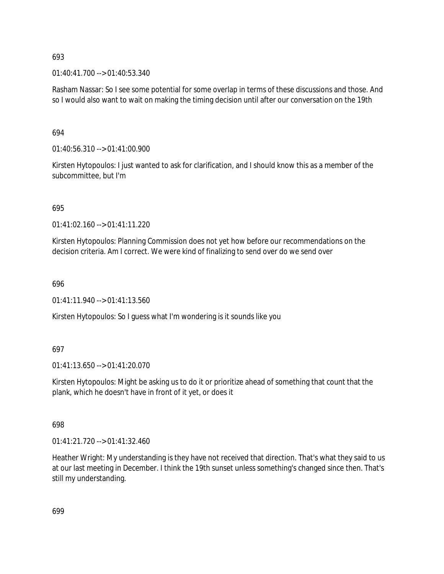01:40:41.700 --> 01:40:53.340

Rasham Nassar: So I see some potential for some overlap in terms of these discussions and those. And so I would also want to wait on making the timing decision until after our conversation on the 19th

# 694

01:40:56.310 --> 01:41:00.900

Kirsten Hytopoulos: I just wanted to ask for clarification, and I should know this as a member of the subcommittee, but I'm

# 695

01:41:02.160 --> 01:41:11.220

Kirsten Hytopoulos: Planning Commission does not yet how before our recommendations on the decision criteria. Am I correct. We were kind of finalizing to send over do we send over

## 696

 $01:41:11.940 \rightarrow 01:41:13.560$ 

Kirsten Hytopoulos: So I guess what I'm wondering is it sounds like you

# 697

01:41:13.650 --> 01:41:20.070

Kirsten Hytopoulos: Might be asking us to do it or prioritize ahead of something that count that the plank, which he doesn't have in front of it yet, or does it

# 698

01:41:21.720 --> 01:41:32.460

Heather Wright: My understanding is they have not received that direction. That's what they said to us at our last meeting in December. I think the 19th sunset unless something's changed since then. That's still my understanding.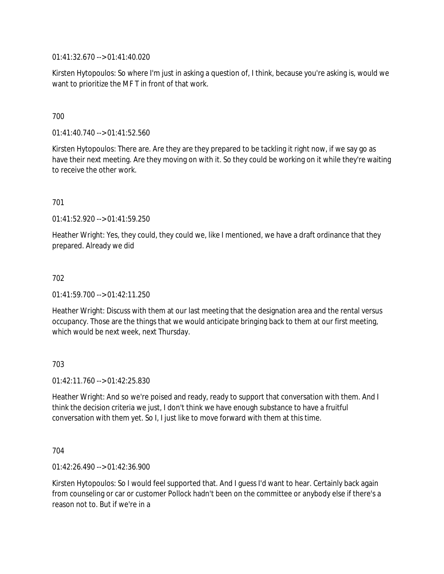01:41:32.670 --> 01:41:40.020

Kirsten Hytopoulos: So where I'm just in asking a question of, I think, because you're asking is, would we want to prioritize the MF T in front of that work.

## 700

01:41:40.740 --> 01:41:52.560

Kirsten Hytopoulos: There are. Are they are they prepared to be tackling it right now, if we say go as have their next meeting. Are they moving on with it. So they could be working on it while they're waiting to receive the other work.

## 701

01:41:52.920 --> 01:41:59.250

Heather Wright: Yes, they could, they could we, like I mentioned, we have a draft ordinance that they prepared. Already we did

## 702

01:41:59.700 --> 01:42:11.250

Heather Wright: Discuss with them at our last meeting that the designation area and the rental versus occupancy. Those are the things that we would anticipate bringing back to them at our first meeting, which would be next week, next Thursday.

## 703

01:42:11.760 --> 01:42:25.830

Heather Wright: And so we're poised and ready, ready to support that conversation with them. And I think the decision criteria we just, I don't think we have enough substance to have a fruitful conversation with them yet. So I, I just like to move forward with them at this time.

## 704

01:42:26.490 --> 01:42:36.900

Kirsten Hytopoulos: So I would feel supported that. And I guess I'd want to hear. Certainly back again from counseling or car or customer Pollock hadn't been on the committee or anybody else if there's a reason not to. But if we're in a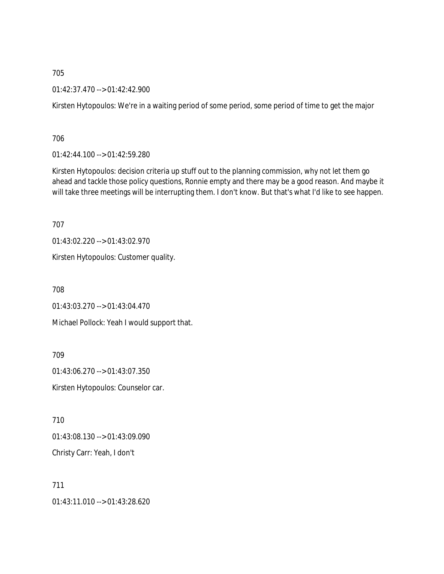01:42:37.470 --> 01:42:42.900

Kirsten Hytopoulos: We're in a waiting period of some period, some period of time to get the major

706

01:42:44.100 --> 01:42:59.280

Kirsten Hytopoulos: decision criteria up stuff out to the planning commission, why not let them go ahead and tackle those policy questions, Ronnie empty and there may be a good reason. And maybe it will take three meetings will be interrupting them. I don't know. But that's what I'd like to see happen.

707

01:43:02.220 --> 01:43:02.970

Kirsten Hytopoulos: Customer quality.

708

01:43:03.270 --> 01:43:04.470

Michael Pollock: Yeah I would support that.

709

01:43:06.270 --> 01:43:07.350 Kirsten Hytopoulos: Counselor car.

710

01:43:08.130 --> 01:43:09.090

Christy Carr: Yeah, I don't

711 01:43:11.010 --> 01:43:28.620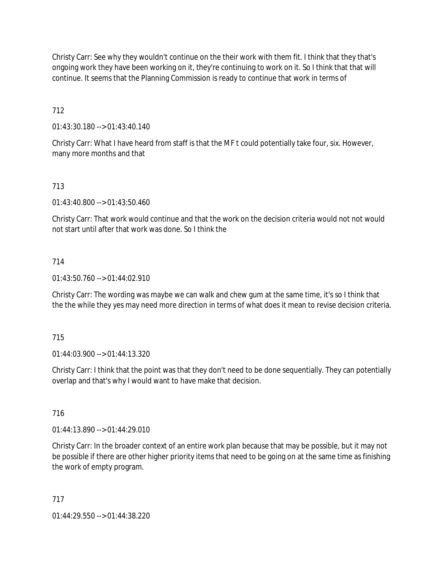Christy Carr: See why they wouldn't continue on the their work with them fit. I think that they that's ongoing work they have been working on it, they're continuing to work on it. So I think that that will continue. It seems that the Planning Commission is ready to continue that work in terms of

712

01:43:30.180 --> 01:43:40.140

Christy Carr: What I have heard from staff is that the MF t could potentially take four, six. However, many more months and that

# 713

01:43:40.800 --> 01:43:50.460

Christy Carr: That work would continue and that the work on the decision criteria would not not would not start until after that work was done. So I think the

# 714

 $01:43:50.760 \rightarrow 01:44:02.910$ 

Christy Carr: The wording was maybe we can walk and chew gum at the same time, it's so I think that the the while they yes may need more direction in terms of what does it mean to revise decision criteria.

## 715

01:44:03.900 --> 01:44:13.320

Christy Carr: I think that the point was that they don't need to be done sequentially. They can potentially overlap and that's why I would want to have make that decision.

## 716

01:44:13.890 --> 01:44:29.010

Christy Carr: In the broader context of an entire work plan because that may be possible, but it may not be possible if there are other higher priority items that need to be going on at the same time as finishing the work of empty program.

## 717

01:44:29.550 --> 01:44:38.220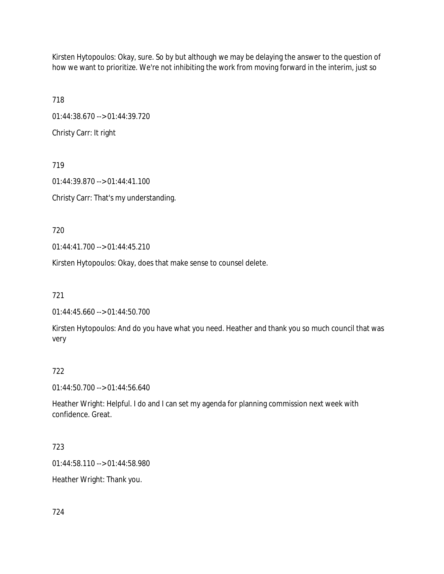Kirsten Hytopoulos: Okay, sure. So by but although we may be delaying the answer to the question of how we want to prioritize. We're not inhibiting the work from moving forward in the interim, just so

718 01:44:38.670 --> 01:44:39.720 Christy Carr: It right

719 01:44:39.870 --> 01:44:41.100 Christy Carr: That's my understanding.

720

01:44:41.700 --> 01:44:45.210

Kirsten Hytopoulos: Okay, does that make sense to counsel delete.

721

01:44:45.660 --> 01:44:50.700

Kirsten Hytopoulos: And do you have what you need. Heather and thank you so much council that was very

# 722

01:44:50.700 --> 01:44:56.640

Heather Wright: Helpful. I do and I can set my agenda for planning commission next week with confidence. Great.

# 723

01:44:58.110 --> 01:44:58.980

Heather Wright: Thank you.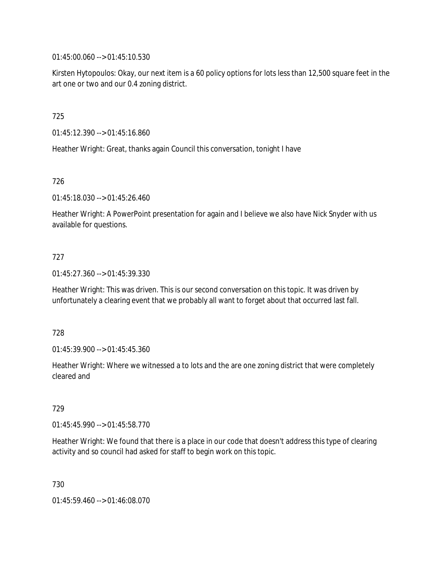01:45:00.060 --> 01:45:10.530

Kirsten Hytopoulos: Okay, our next item is a 60 policy options for lots less than 12,500 square feet in the art one or two and our 0.4 zoning district.

725

01:45:12.390 --> 01:45:16.860

Heather Wright: Great, thanks again Council this conversation, tonight I have

726

01:45:18.030 --> 01:45:26.460

Heather Wright: A PowerPoint presentation for again and I believe we also have Nick Snyder with us available for questions.

## 727

01:45:27.360 --> 01:45:39.330

Heather Wright: This was driven. This is our second conversation on this topic. It was driven by unfortunately a clearing event that we probably all want to forget about that occurred last fall.

#### 728

01:45:39.900 --> 01:45:45.360

Heather Wright: Where we witnessed a to lots and the are one zoning district that were completely cleared and

## 729

01:45:45.990 --> 01:45:58.770

Heather Wright: We found that there is a place in our code that doesn't address this type of clearing activity and so council had asked for staff to begin work on this topic.

730

01:45:59.460 --> 01:46:08.070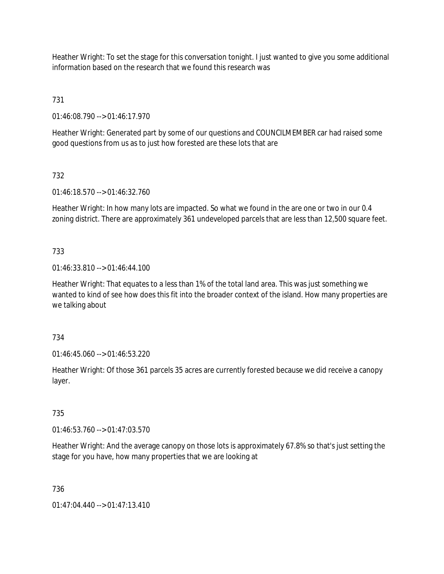Heather Wright: To set the stage for this conversation tonight. I just wanted to give you some additional information based on the research that we found this research was

731

01:46:08.790 --> 01:46:17.970

Heather Wright: Generated part by some of our questions and COUNCILMEMBER car had raised some good questions from us as to just how forested are these lots that are

# 732

01:46:18.570 --> 01:46:32.760

Heather Wright: In how many lots are impacted. So what we found in the are one or two in our 0.4 zoning district. There are approximately 361 undeveloped parcels that are less than 12,500 square feet.

# 733

01:46:33.810 --> 01:46:44.100

Heather Wright: That equates to a less than 1% of the total land area. This was just something we wanted to kind of see how does this fit into the broader context of the island. How many properties are we talking about

# 734

01:46:45.060 --> 01:46:53.220

Heather Wright: Of those 361 parcels 35 acres are currently forested because we did receive a canopy layer.

# 735

01:46:53.760 --> 01:47:03.570

Heather Wright: And the average canopy on those lots is approximately 67.8% so that's just setting the stage for you have, how many properties that we are looking at

# 736

01:47:04.440 --> 01:47:13.410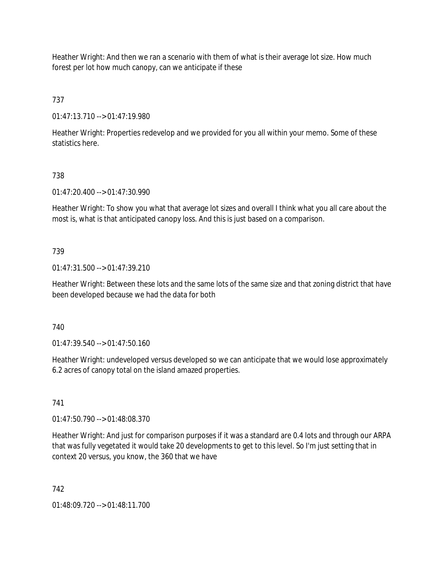Heather Wright: And then we ran a scenario with them of what is their average lot size. How much forest per lot how much canopy, can we anticipate if these

737

01:47:13.710 --> 01:47:19.980

Heather Wright: Properties redevelop and we provided for you all within your memo. Some of these statistics here.

# 738

01:47:20.400 --> 01:47:30.990

Heather Wright: To show you what that average lot sizes and overall I think what you all care about the most is, what is that anticipated canopy loss. And this is just based on a comparison.

# 739

01:47:31.500 --> 01:47:39.210

Heather Wright: Between these lots and the same lots of the same size and that zoning district that have been developed because we had the data for both

740

01:47:39.540 --> 01:47:50.160

Heather Wright: undeveloped versus developed so we can anticipate that we would lose approximately 6.2 acres of canopy total on the island amazed properties.

# 741

01:47:50.790 --> 01:48:08.370

Heather Wright: And just for comparison purposes if it was a standard are 0.4 lots and through our ARPA that was fully vegetated it would take 20 developments to get to this level. So I'm just setting that in context 20 versus, you know, the 360 that we have

# 742

01:48:09.720 --> 01:48:11.700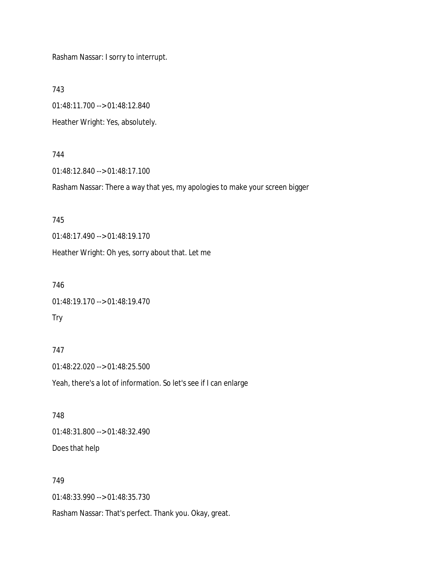Rasham Nassar: I sorry to interrupt.

743

01:48:11.700 --> 01:48:12.840

Heather Wright: Yes, absolutely.

## 744

01:48:12.840 --> 01:48:17.100

Rasham Nassar: There a way that yes, my apologies to make your screen bigger

## 745

01:48:17.490 --> 01:48:19.170

Heather Wright: Oh yes, sorry about that. Let me

## 746

01:48:19.170 --> 01:48:19.470

## Try

747 01:48:22.020 --> 01:48:25.500 Yeah, there's a lot of information. So let's see if I can enlarge

# 748 01:48:31.800 --> 01:48:32.490 Does that help

# 749

01:48:33.990 --> 01:48:35.730

Rasham Nassar: That's perfect. Thank you. Okay, great.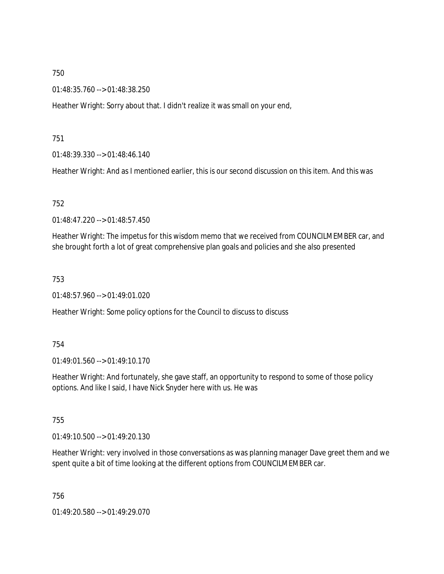01:48:35.760 --> 01:48:38.250

Heather Wright: Sorry about that. I didn't realize it was small on your end,

751

01:48:39.330 --> 01:48:46.140

Heather Wright: And as I mentioned earlier, this is our second discussion on this item. And this was

752

01:48:47.220 --> 01:48:57.450

Heather Wright: The impetus for this wisdom memo that we received from COUNCILMEMBER car, and she brought forth a lot of great comprehensive plan goals and policies and she also presented

753

01:48:57.960 --> 01:49:01.020

Heather Wright: Some policy options for the Council to discuss to discuss

754

01:49:01.560 --> 01:49:10.170

Heather Wright: And fortunately, she gave staff, an opportunity to respond to some of those policy options. And like I said, I have Nick Snyder here with us. He was

755

 $01.49.10.500 -> 01.49.20.130$ 

Heather Wright: very involved in those conversations as was planning manager Dave greet them and we spent quite a bit of time looking at the different options from COUNCILMEMBER car.

756

01:49:20.580 --> 01:49:29.070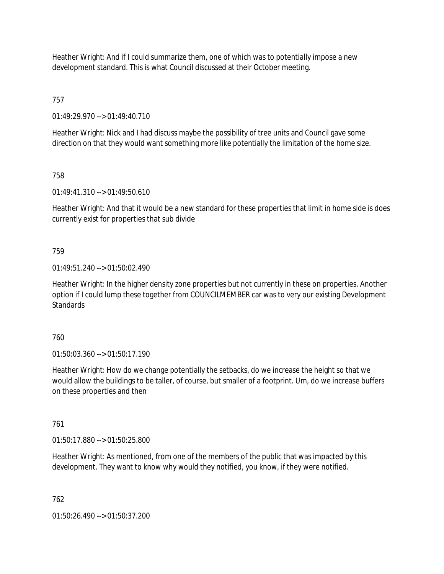Heather Wright: And if I could summarize them, one of which was to potentially impose a new development standard. This is what Council discussed at their October meeting.

757

01:49:29.970 --> 01:49:40.710

Heather Wright: Nick and I had discuss maybe the possibility of tree units and Council gave some direction on that they would want something more like potentially the limitation of the home size.

758

01:49:41.310 --> 01:49:50.610

Heather Wright: And that it would be a new standard for these properties that limit in home side is does currently exist for properties that sub divide

759

01:49:51.240 --> 01:50:02.490

Heather Wright: In the higher density zone properties but not currently in these on properties. Another option if I could lump these together from COUNCILMEMBER car was to very our existing Development Standards

760

01:50:03.360 --> 01:50:17.190

Heather Wright: How do we change potentially the setbacks, do we increase the height so that we would allow the buildings to be taller, of course, but smaller of a footprint. Um, do we increase buffers on these properties and then

761

01:50:17.880 --> 01:50:25.800

Heather Wright: As mentioned, from one of the members of the public that was impacted by this development. They want to know why would they notified, you know, if they were notified.

762

01:50:26.490 --> 01:50:37.200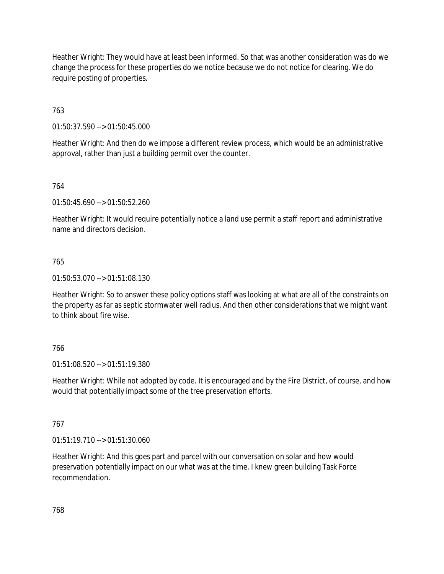Heather Wright: They would have at least been informed. So that was another consideration was do we change the process for these properties do we notice because we do not notice for clearing. We do require posting of properties.

763

01:50:37.590 --> 01:50:45.000

Heather Wright: And then do we impose a different review process, which would be an administrative approval, rather than just a building permit over the counter.

764

01:50:45.690 --> 01:50:52.260

Heather Wright: It would require potentially notice a land use permit a staff report and administrative name and directors decision.

## 765

01:50:53.070 --> 01:51:08.130

Heather Wright: So to answer these policy options staff was looking at what are all of the constraints on the property as far as septic stormwater well radius. And then other considerations that we might want to think about fire wise.

## 766

01:51:08.520 --> 01:51:19.380

Heather Wright: While not adopted by code. It is encouraged and by the Fire District, of course, and how would that potentially impact some of the tree preservation efforts.

767

01:51:19.710 --> 01:51:30.060

Heather Wright: And this goes part and parcel with our conversation on solar and how would preservation potentially impact on our what was at the time. I knew green building Task Force recommendation.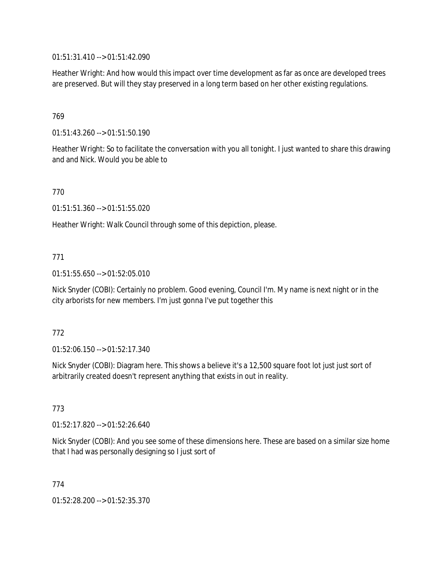01:51:31.410 --> 01:51:42.090

Heather Wright: And how would this impact over time development as far as once are developed trees are preserved. But will they stay preserved in a long term based on her other existing regulations.

## 769

01:51:43.260 --> 01:51:50.190

Heather Wright: So to facilitate the conversation with you all tonight. I just wanted to share this drawing and and Nick. Would you be able to

770

01:51:51.360 --> 01:51:55.020

Heather Wright: Walk Council through some of this depiction, please.

## 771

01:51:55.650 --> 01:52:05.010

Nick Snyder (COBI): Certainly no problem. Good evening, Council I'm. My name is next night or in the city arborists for new members. I'm just gonna I've put together this

## 772

01:52:06.150 --> 01:52:17.340

Nick Snyder (COBI): Diagram here. This shows a believe it's a 12,500 square foot lot just just sort of arbitrarily created doesn't represent anything that exists in out in reality.

## 773

01:52:17.820 --> 01:52:26.640

Nick Snyder (COBI): And you see some of these dimensions here. These are based on a similar size home that I had was personally designing so I just sort of

774

01:52:28.200 --> 01:52:35.370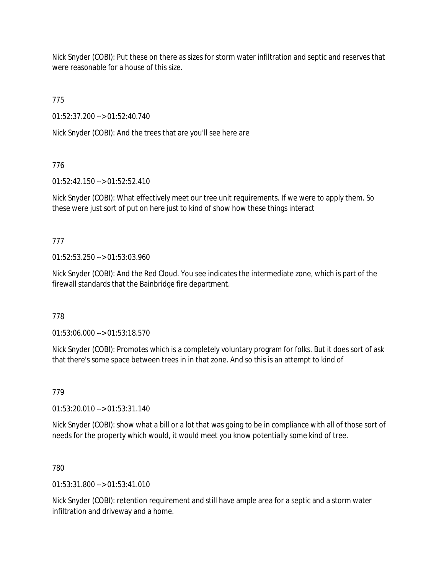Nick Snyder (COBI): Put these on there as sizes for storm water infiltration and septic and reserves that were reasonable for a house of this size.

775

01:52:37.200 --> 01:52:40.740

Nick Snyder (COBI): And the trees that are you'll see here are

776

01:52:42.150 --> 01:52:52.410

Nick Snyder (COBI): What effectively meet our tree unit requirements. If we were to apply them. So these were just sort of put on here just to kind of show how these things interact

777

01:52:53.250 --> 01:53:03.960

Nick Snyder (COBI): And the Red Cloud. You see indicates the intermediate zone, which is part of the firewall standards that the Bainbridge fire department.

778

01:53:06.000 --> 01:53:18.570

Nick Snyder (COBI): Promotes which is a completely voluntary program for folks. But it does sort of ask that there's some space between trees in in that zone. And so this is an attempt to kind of

779

01:53:20.010 --> 01:53:31.140

Nick Snyder (COBI): show what a bill or a lot that was going to be in compliance with all of those sort of needs for the property which would, it would meet you know potentially some kind of tree.

780

 $01:53:31.800 \rightarrow 01:53:41.010$ 

Nick Snyder (COBI): retention requirement and still have ample area for a septic and a storm water infiltration and driveway and a home.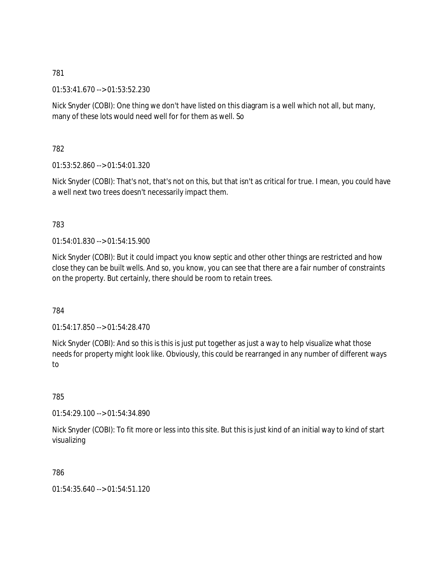01:53:41.670 --> 01:53:52.230

Nick Snyder (COBI): One thing we don't have listed on this diagram is a well which not all, but many, many of these lots would need well for for them as well. So

782

01:53:52.860 --> 01:54:01.320

Nick Snyder (COBI): That's not, that's not on this, but that isn't as critical for true. I mean, you could have a well next two trees doesn't necessarily impact them.

## 783

01:54:01.830 --> 01:54:15.900

Nick Snyder (COBI): But it could impact you know septic and other other things are restricted and how close they can be built wells. And so, you know, you can see that there are a fair number of constraints on the property. But certainly, there should be room to retain trees.

784

01:54:17.850 --> 01:54:28.470

Nick Snyder (COBI): And so this is this is just put together as just a way to help visualize what those needs for property might look like. Obviously, this could be rearranged in any number of different ways to

785

01:54:29.100 --> 01:54:34.890

Nick Snyder (COBI): To fit more or less into this site. But this is just kind of an initial way to kind of start visualizing

786

01:54:35.640 --> 01:54:51.120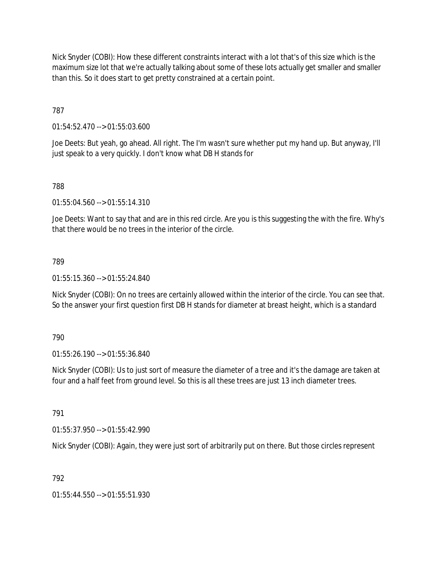Nick Snyder (COBI): How these different constraints interact with a lot that's of this size which is the maximum size lot that we're actually talking about some of these lots actually get smaller and smaller than this. So it does start to get pretty constrained at a certain point.

787

01:54:52.470 --> 01:55:03.600

Joe Deets: But yeah, go ahead. All right. The I'm wasn't sure whether put my hand up. But anyway, I'll just speak to a very quickly. I don't know what DB H stands for

# 788

01:55:04.560 --> 01:55:14.310

Joe Deets: Want to say that and are in this red circle. Are you is this suggesting the with the fire. Why's that there would be no trees in the interior of the circle.

## 789

01:55:15.360 --> 01:55:24.840

Nick Snyder (COBI): On no trees are certainly allowed within the interior of the circle. You can see that. So the answer your first question first DB H stands for diameter at breast height, which is a standard

790

01:55:26.190 --> 01:55:36.840

Nick Snyder (COBI): Us to just sort of measure the diameter of a tree and it's the damage are taken at four and a half feet from ground level. So this is all these trees are just 13 inch diameter trees.

791

01:55:37.950 --> 01:55:42.990

Nick Snyder (COBI): Again, they were just sort of arbitrarily put on there. But those circles represent

# 792

01:55:44.550 --> 01:55:51.930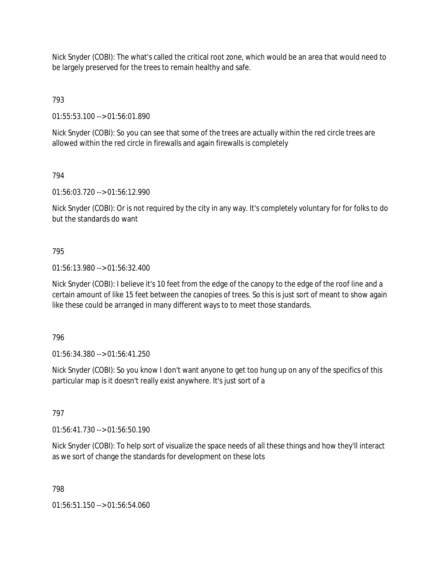Nick Snyder (COBI): The what's called the critical root zone, which would be an area that would need to be largely preserved for the trees to remain healthy and safe.

793

01:55:53.100 --> 01:56:01.890

Nick Snyder (COBI): So you can see that some of the trees are actually within the red circle trees are allowed within the red circle in firewalls and again firewalls is completely

794

01:56:03.720 --> 01:56:12.990

Nick Snyder (COBI): Or is not required by the city in any way. It's completely voluntary for for folks to do but the standards do want

## 795

01:56:13.980 --> 01:56:32.400

Nick Snyder (COBI): I believe it's 10 feet from the edge of the canopy to the edge of the roof line and a certain amount of like 15 feet between the canopies of trees. So this is just sort of meant to show again like these could be arranged in many different ways to to meet those standards.

796

01:56:34.380 --> 01:56:41.250

Nick Snyder (COBI): So you know I don't want anyone to get too hung up on any of the specifics of this particular map is it doesn't really exist anywhere. It's just sort of a

797

01:56:41.730 --> 01:56:50.190

Nick Snyder (COBI): To help sort of visualize the space needs of all these things and how they'll interact as we sort of change the standards for development on these lots

798

01:56:51.150 --> 01:56:54.060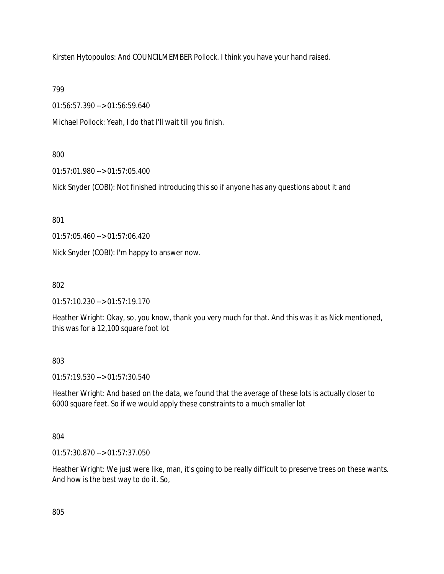Kirsten Hytopoulos: And COUNCILMEMBER Pollock. I think you have your hand raised.

799

01:56:57.390 --> 01:56:59.640

Michael Pollock: Yeah, I do that I'll wait till you finish.

# 800

01:57:01.980 --> 01:57:05.400

Nick Snyder (COBI): Not finished introducing this so if anyone has any questions about it and

801

01:57:05.460 --> 01:57:06.420

Nick Snyder (COBI): I'm happy to answer now.

802

01:57:10.230 --> 01:57:19.170

Heather Wright: Okay, so, you know, thank you very much for that. And this was it as Nick mentioned, this was for a 12,100 square foot lot

# 803

01:57:19.530 --> 01:57:30.540

Heather Wright: And based on the data, we found that the average of these lots is actually closer to 6000 square feet. So if we would apply these constraints to a much smaller lot

# 804

01:57:30.870 --> 01:57:37.050

Heather Wright: We just were like, man, it's going to be really difficult to preserve trees on these wants. And how is the best way to do it. So,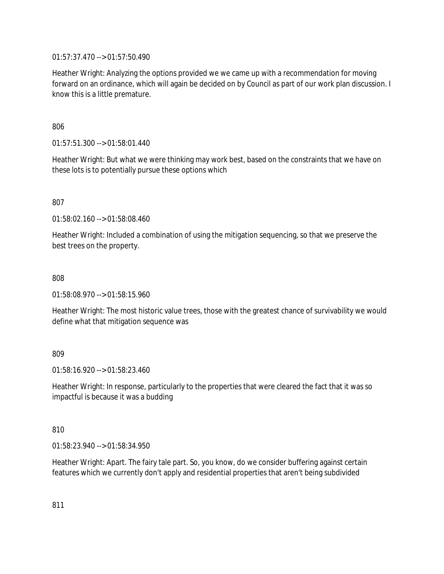01:57:37.470 --> 01:57:50.490

Heather Wright: Analyzing the options provided we we came up with a recommendation for moving forward on an ordinance, which will again be decided on by Council as part of our work plan discussion. I know this is a little premature.

806

01:57:51.300 --> 01:58:01.440

Heather Wright: But what we were thinking may work best, based on the constraints that we have on these lots is to potentially pursue these options which

807

01:58:02.160 --> 01:58:08.460

Heather Wright: Included a combination of using the mitigation sequencing, so that we preserve the best trees on the property.

808

01:58:08.970 --> 01:58:15.960

Heather Wright: The most historic value trees, those with the greatest chance of survivability we would define what that mitigation sequence was

809

01:58:16.920 --> 01:58:23.460

Heather Wright: In response, particularly to the properties that were cleared the fact that it was so impactful is because it was a budding

810

01:58:23.940 --> 01:58:34.950

Heather Wright: Apart. The fairy tale part. So, you know, do we consider buffering against certain features which we currently don't apply and residential properties that aren't being subdivided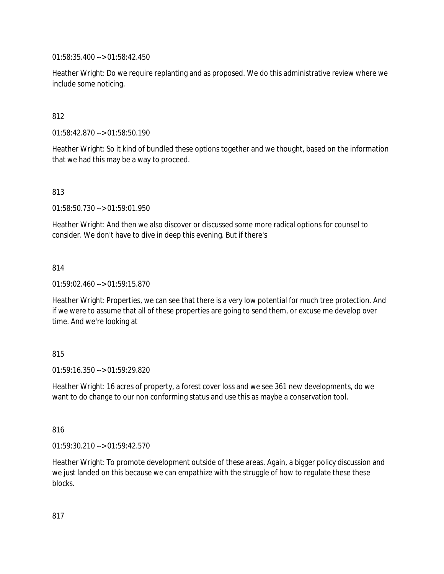01:58:35.400 --> 01:58:42.450

Heather Wright: Do we require replanting and as proposed. We do this administrative review where we include some noticing.

## 812

01:58:42.870 --> 01:58:50.190

Heather Wright: So it kind of bundled these options together and we thought, based on the information that we had this may be a way to proceed.

## 813

01:58:50.730 --> 01:59:01.950

Heather Wright: And then we also discover or discussed some more radical options for counsel to consider. We don't have to dive in deep this evening. But if there's

## 814

01:59:02.460 --> 01:59:15.870

Heather Wright: Properties, we can see that there is a very low potential for much tree protection. And if we were to assume that all of these properties are going to send them, or excuse me develop over time. And we're looking at

## 815

01:59:16.350 --> 01:59:29.820

Heather Wright: 16 acres of property, a forest cover loss and we see 361 new developments, do we want to do change to our non conforming status and use this as maybe a conservation tool.

## 816

01:59:30.210 --> 01:59:42.570

Heather Wright: To promote development outside of these areas. Again, a bigger policy discussion and we just landed on this because we can empathize with the struggle of how to regulate these these blocks.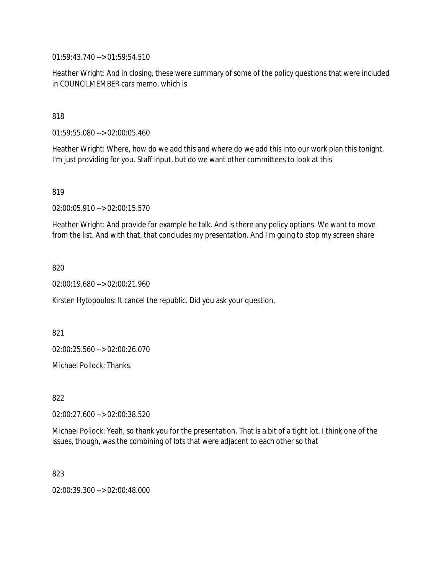01:59:43.740 --> 01:59:54.510

Heather Wright: And in closing, these were summary of some of the policy questions that were included in COUNCILMEMBER cars memo, which is

818

01:59:55.080 --> 02:00:05.460

Heather Wright: Where, how do we add this and where do we add this into our work plan this tonight. I'm just providing for you. Staff input, but do we want other committees to look at this

819

02:00:05.910 --> 02:00:15.570

Heather Wright: And provide for example he talk. And is there any policy options. We want to move from the list. And with that, that concludes my presentation. And I'm going to stop my screen share

820

02:00:19.680 --> 02:00:21.960

Kirsten Hytopoulos: It cancel the republic. Did you ask your question.

821

02:00:25.560 --> 02:00:26.070

Michael Pollock: Thanks.

822

02:00:27.600 --> 02:00:38.520

Michael Pollock: Yeah, so thank you for the presentation. That is a bit of a tight lot. I think one of the issues, though, was the combining of lots that were adjacent to each other so that

823

02:00:39.300 --> 02:00:48.000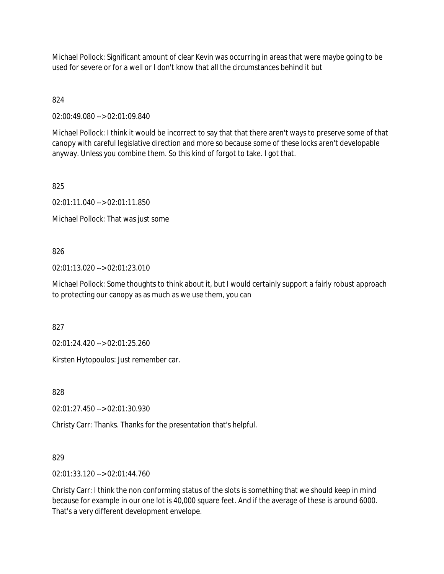Michael Pollock: Significant amount of clear Kevin was occurring in areas that were maybe going to be used for severe or for a well or I don't know that all the circumstances behind it but

824

02:00:49.080 --> 02:01:09.840

Michael Pollock: I think it would be incorrect to say that that there aren't ways to preserve some of that canopy with careful legislative direction and more so because some of these locks aren't developable anyway. Unless you combine them. So this kind of forgot to take. I got that.

825

02:01:11.040 --> 02:01:11.850

Michael Pollock: That was just some

826

02:01:13.020 --> 02:01:23.010

Michael Pollock: Some thoughts to think about it, but I would certainly support a fairly robust approach to protecting our canopy as as much as we use them, you can

827

02:01:24.420 --> 02:01:25.260

Kirsten Hytopoulos: Just remember car.

828

02:01:27.450 --> 02:01:30.930

Christy Carr: Thanks. Thanks for the presentation that's helpful.

829

02:01:33.120 --> 02:01:44.760

Christy Carr: I think the non conforming status of the slots is something that we should keep in mind because for example in our one lot is 40,000 square feet. And if the average of these is around 6000. That's a very different development envelope.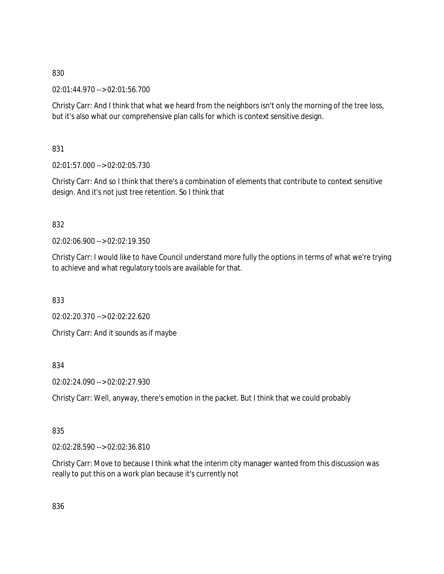02:01:44.970 --> 02:01:56.700

Christy Carr: And I think that what we heard from the neighbors isn't only the morning of the tree loss, but it's also what our comprehensive plan calls for which is context sensitive design.

831

02:01:57.000 --> 02:02:05.730

Christy Carr: And so I think that there's a combination of elements that contribute to context sensitive design. And it's not just tree retention. So I think that

832

02:02:06.900 --> 02:02:19.350

Christy Carr: I would like to have Council understand more fully the options in terms of what we're trying to achieve and what regulatory tools are available for that.

833

02:02:20.370 --> 02:02:22.620

Christy Carr: And it sounds as if maybe

834

02:02:24.090 --> 02:02:27.930

Christy Carr: Well, anyway, there's emotion in the packet. But I think that we could probably

835

02:02:28.590 --> 02:02:36.810

Christy Carr: Move to because I think what the interim city manager wanted from this discussion was really to put this on a work plan because it's currently not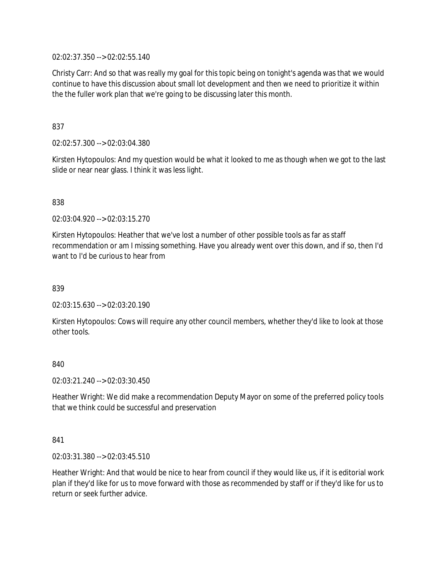02:02:37.350 --> 02:02:55.140

Christy Carr: And so that was really my goal for this topic being on tonight's agenda was that we would continue to have this discussion about small lot development and then we need to prioritize it within the the fuller work plan that we're going to be discussing later this month.

## 837

02:02:57.300 --> 02:03:04.380

Kirsten Hytopoulos: And my question would be what it looked to me as though when we got to the last slide or near near glass. I think it was less light.

## 838

02:03:04.920 --> 02:03:15.270

Kirsten Hytopoulos: Heather that we've lost a number of other possible tools as far as staff recommendation or am I missing something. Have you already went over this down, and if so, then I'd want to I'd be curious to hear from

## 839

02:03:15.630 --> 02:03:20.190

Kirsten Hytopoulos: Cows will require any other council members, whether they'd like to look at those other tools.

## 840

02:03:21.240 --> 02:03:30.450

Heather Wright: We did make a recommendation Deputy Mayor on some of the preferred policy tools that we think could be successful and preservation

## 841

02:03:31.380 --> 02:03:45.510

Heather Wright: And that would be nice to hear from council if they would like us, if it is editorial work plan if they'd like for us to move forward with those as recommended by staff or if they'd like for us to return or seek further advice.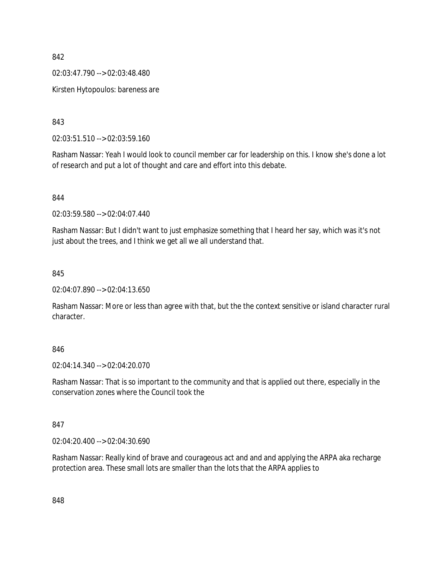02:03:47.790 --> 02:03:48.480

Kirsten Hytopoulos: bareness are

843

02:03:51.510 --> 02:03:59.160

Rasham Nassar: Yeah I would look to council member car for leadership on this. I know she's done a lot of research and put a lot of thought and care and effort into this debate.

844

02:03:59.580 --> 02:04:07.440

Rasham Nassar: But I didn't want to just emphasize something that I heard her say, which was it's not just about the trees, and I think we get all we all understand that.

845

02:04:07.890 --> 02:04:13.650

Rasham Nassar: More or less than agree with that, but the the context sensitive or island character rural character.

#### 846

02:04:14.340 --> 02:04:20.070

Rasham Nassar: That is so important to the community and that is applied out there, especially in the conservation zones where the Council took the

#### 847

02:04:20.400 --> 02:04:30.690

Rasham Nassar: Really kind of brave and courageous act and and and applying the ARPA aka recharge protection area. These small lots are smaller than the lots that the ARPA applies to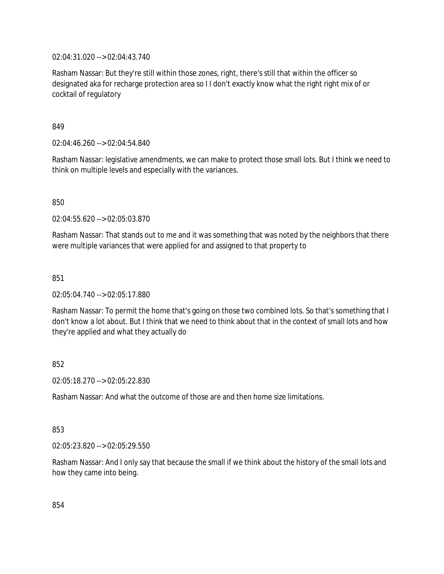02:04:31.020 --> 02:04:43.740

Rasham Nassar: But they're still within those zones, right, there's still that within the officer so designated aka for recharge protection area so I I don't exactly know what the right right mix of or cocktail of regulatory

849

02:04:46.260 --> 02:04:54.840

Rasham Nassar: legislative amendments, we can make to protect those small lots. But I think we need to think on multiple levels and especially with the variances.

850

02:04:55.620 --> 02:05:03.870

Rasham Nassar: That stands out to me and it was something that was noted by the neighbors that there were multiple variances that were applied for and assigned to that property to

851

02:05:04.740 --> 02:05:17.880

Rasham Nassar: To permit the home that's going on those two combined lots. So that's something that I don't know a lot about. But I think that we need to think about that in the context of small lots and how they're applied and what they actually do

852

02:05:18.270 --> 02:05:22.830

Rasham Nassar: And what the outcome of those are and then home size limitations.

853

02:05:23.820 --> 02:05:29.550

Rasham Nassar: And I only say that because the small if we think about the history of the small lots and how they came into being.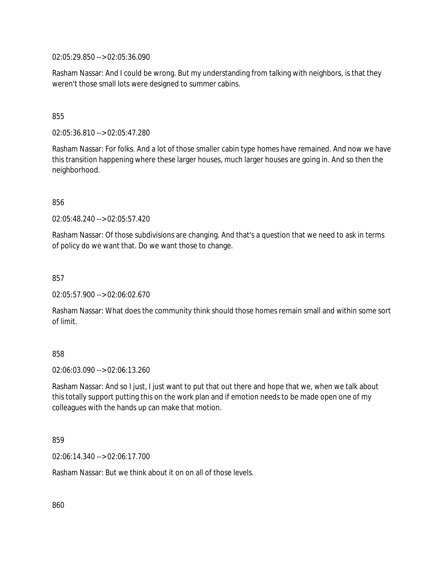02:05:29.850 --> 02:05:36.090

Rasham Nassar: And I could be wrong. But my understanding from talking with neighbors, is that they weren't those small lots were designed to summer cabins.

## 855

02:05:36.810 --> 02:05:47.280

Rasham Nassar: For folks. And a lot of those smaller cabin type homes have remained. And now we have this transition happening where these larger houses, much larger houses are going in. And so then the neighborhood.

856

02:05:48.240 --> 02:05:57.420

Rasham Nassar: Of those subdivisions are changing. And that's a question that we need to ask in terms of policy do we want that. Do we want those to change.

857

02:05:57.900 --> 02:06:02.670

Rasham Nassar: What does the community think should those homes remain small and within some sort of limit.

## 858

02:06:03.090 --> 02:06:13.260

Rasham Nassar: And so I just, I just want to put that out there and hope that we, when we talk about this totally support putting this on the work plan and if emotion needs to be made open one of my colleagues with the hands up can make that motion.

#### 859

02:06:14.340 --> 02:06:17.700

Rasham Nassar: But we think about it on on all of those levels.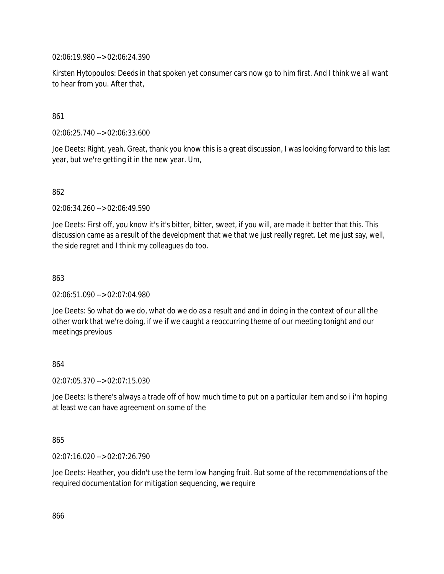02:06:19.980 --> 02:06:24.390

Kirsten Hytopoulos: Deeds in that spoken yet consumer cars now go to him first. And I think we all want to hear from you. After that,

## 861

02:06:25.740 --> 02:06:33.600

Joe Deets: Right, yeah. Great, thank you know this is a great discussion, I was looking forward to this last year, but we're getting it in the new year. Um,

## 862

02:06:34.260 --> 02:06:49.590

Joe Deets: First off, you know it's it's bitter, bitter, sweet, if you will, are made it better that this. This discussion came as a result of the development that we that we just really regret. Let me just say, well, the side regret and I think my colleagues do too.

#### 863

02:06:51.090 --> 02:07:04.980

Joe Deets: So what do we do, what do we do as a result and and in doing in the context of our all the other work that we're doing, if we if we caught a reoccurring theme of our meeting tonight and our meetings previous

## 864

02:07:05.370 --> 02:07:15.030

Joe Deets: Is there's always a trade off of how much time to put on a particular item and so i i'm hoping at least we can have agreement on some of the

#### 865

02:07:16.020 --> 02:07:26.790

Joe Deets: Heather, you didn't use the term low hanging fruit. But some of the recommendations of the required documentation for mitigation sequencing, we require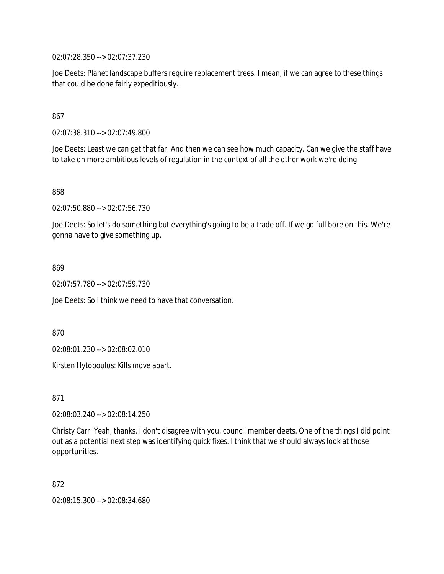02:07:28.350 --> 02:07:37.230

Joe Deets: Planet landscape buffers require replacement trees. I mean, if we can agree to these things that could be done fairly expeditiously.

867

02:07:38.310 --> 02:07:49.800

Joe Deets: Least we can get that far. And then we can see how much capacity. Can we give the staff have to take on more ambitious levels of regulation in the context of all the other work we're doing

868

02:07:50.880 --> 02:07:56.730

Joe Deets: So let's do something but everything's going to be a trade off. If we go full bore on this. We're gonna have to give something up.

869

02:07:57.780 --> 02:07:59.730

Joe Deets: So I think we need to have that conversation.

870

02:08:01.230 --> 02:08:02.010

Kirsten Hytopoulos: Kills move apart.

871

02:08:03.240 --> 02:08:14.250

Christy Carr: Yeah, thanks. I don't disagree with you, council member deets. One of the things I did point out as a potential next step was identifying quick fixes. I think that we should always look at those opportunities.

872

02:08:15.300 --> 02:08:34.680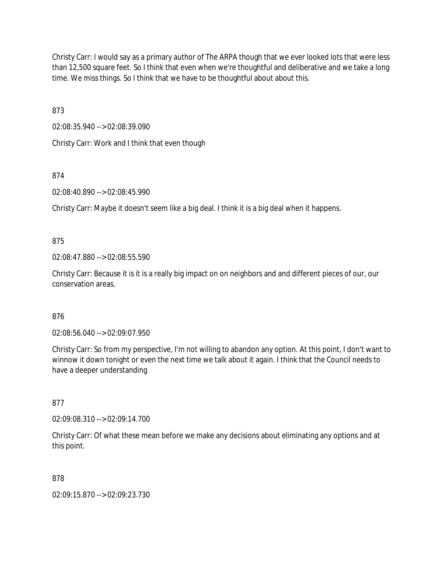Christy Carr: I would say as a primary author of The ARPA though that we ever looked lots that were less than 12,500 square feet. So I think that even when we're thoughtful and deliberative and we take a long time. We miss things. So I think that we have to be thoughtful about about this.

873

02:08:35.940 --> 02:08:39.090

Christy Carr: Work and I think that even though

874

02:08:40.890 --> 02:08:45.990

Christy Carr: Maybe it doesn't seem like a big deal. I think it is a big deal when it happens.

875

02:08:47.880 --> 02:08:55.590

Christy Carr: Because it is it is a really big impact on on neighbors and and different pieces of our, our conservation areas.

876

02:08:56.040 --> 02:09:07.950

Christy Carr: So from my perspective, I'm not willing to abandon any option. At this point, I don't want to winnow it down tonight or even the next time we talk about it again. I think that the Council needs to have a deeper understanding

877

02:09:08.310 --> 02:09:14.700

Christy Carr: Of what these mean before we make any decisions about eliminating any options and at this point.

878

02:09:15.870 --> 02:09:23.730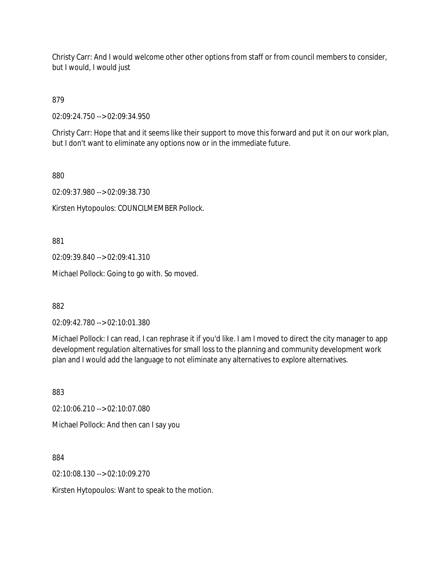Christy Carr: And I would welcome other other options from staff or from council members to consider, but I would, I would just

879

02:09:24.750 --> 02:09:34.950

Christy Carr: Hope that and it seems like their support to move this forward and put it on our work plan, but I don't want to eliminate any options now or in the immediate future.

880

02:09:37.980 --> 02:09:38.730

Kirsten Hytopoulos: COUNCILMEMBER Pollock.

881

02:09:39.840 --> 02:09:41.310

Michael Pollock: Going to go with. So moved.

882

02:09:42.780 --> 02:10:01.380

Michael Pollock: I can read, I can rephrase it if you'd like. I am I moved to direct the city manager to app development regulation alternatives for small loss to the planning and community development work plan and I would add the language to not eliminate any alternatives to explore alternatives.

883

02:10:06.210 --> 02:10:07.080

Michael Pollock: And then can I say you

884

02:10:08.130 --> 02:10:09.270

Kirsten Hytopoulos: Want to speak to the motion.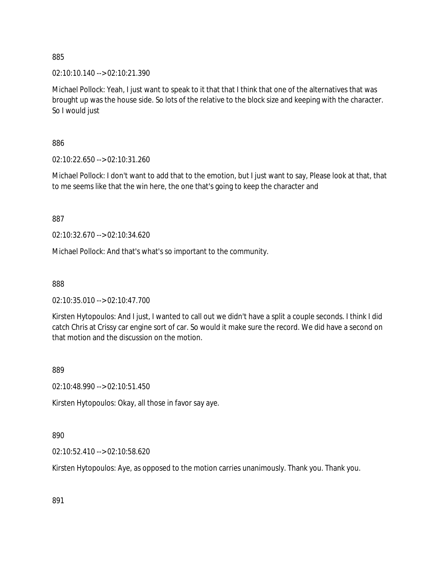02:10:10.140 --> 02:10:21.390

Michael Pollock: Yeah, I just want to speak to it that that I think that one of the alternatives that was brought up was the house side. So lots of the relative to the block size and keeping with the character. So I would just

886

02:10:22.650 --> 02:10:31.260

Michael Pollock: I don't want to add that to the emotion, but I just want to say, Please look at that, that to me seems like that the win here, the one that's going to keep the character and

887

02:10:32.670 --> 02:10:34.620

Michael Pollock: And that's what's so important to the community.

888

02:10:35.010 --> 02:10:47.700

Kirsten Hytopoulos: And I just, I wanted to call out we didn't have a split a couple seconds. I think I did catch Chris at Crissy car engine sort of car. So would it make sure the record. We did have a second on that motion and the discussion on the motion.

889

02:10:48.990 --> 02:10:51.450

Kirsten Hytopoulos: Okay, all those in favor say aye.

890

02:10:52.410 --> 02:10:58.620

Kirsten Hytopoulos: Aye, as opposed to the motion carries unanimously. Thank you. Thank you.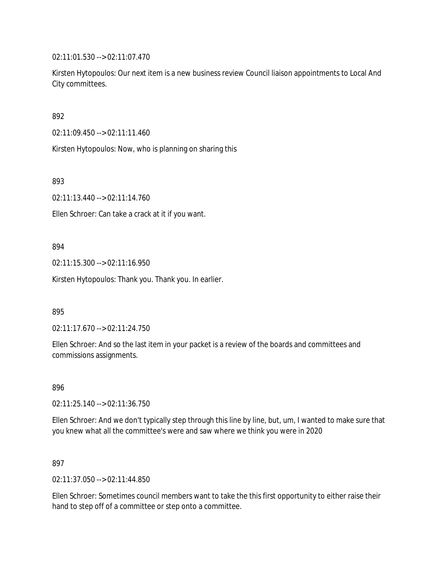02:11:01.530 --> 02:11:07.470

Kirsten Hytopoulos: Our next item is a new business review Council liaison appointments to Local And City committees.

892

02:11:09.450 --> 02:11:11.460

Kirsten Hytopoulos: Now, who is planning on sharing this

893

02:11:13.440 --> 02:11:14.760

Ellen Schroer: Can take a crack at it if you want.

#### 894

02:11:15.300 --> 02:11:16.950

Kirsten Hytopoulos: Thank you. Thank you. In earlier.

895

02:11:17.670 --> 02:11:24.750

Ellen Schroer: And so the last item in your packet is a review of the boards and committees and commissions assignments.

896

02:11:25.140 --> 02:11:36.750

Ellen Schroer: And we don't typically step through this line by line, but, um, I wanted to make sure that you knew what all the committee's were and saw where we think you were in 2020

897

02:11:37.050 --> 02:11:44.850

Ellen Schroer: Sometimes council members want to take the this first opportunity to either raise their hand to step off of a committee or step onto a committee.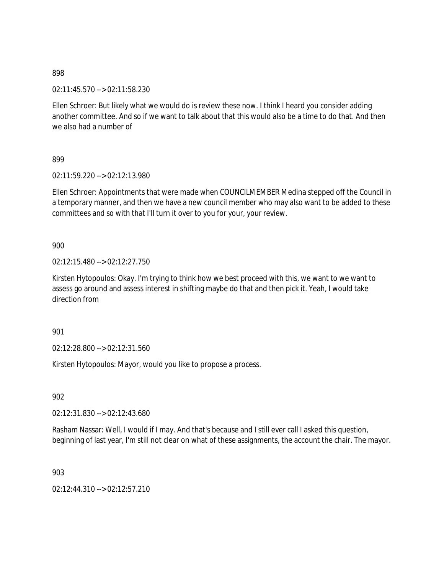02:11:45.570 --> 02:11:58.230

Ellen Schroer: But likely what we would do is review these now. I think I heard you consider adding another committee. And so if we want to talk about that this would also be a time to do that. And then we also had a number of

899

02:11:59.220 --> 02:12:13.980

Ellen Schroer: Appointments that were made when COUNCILMEMBER Medina stepped off the Council in a temporary manner, and then we have a new council member who may also want to be added to these committees and so with that I'll turn it over to you for your, your review.

900

02:12:15.480 --> 02:12:27.750

Kirsten Hytopoulos: Okay. I'm trying to think how we best proceed with this, we want to we want to assess go around and assess interest in shifting maybe do that and then pick it. Yeah, I would take direction from

901

02:12:28.800 --> 02:12:31.560

Kirsten Hytopoulos: Mayor, would you like to propose a process.

902

02:12:31.830 --> 02:12:43.680

Rasham Nassar: Well, I would if I may. And that's because and I still ever call I asked this question, beginning of last year, I'm still not clear on what of these assignments, the account the chair. The mayor.

903

02:12:44.310 --> 02:12:57.210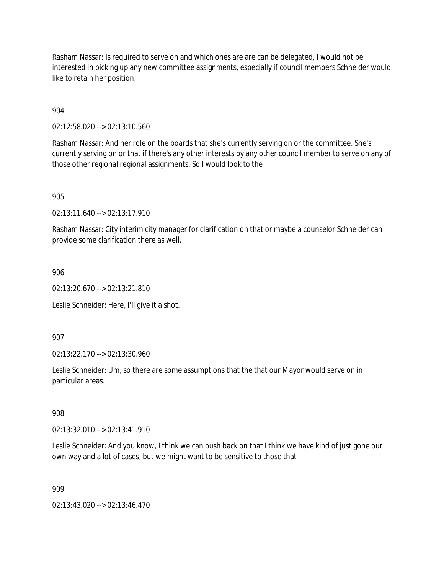Rasham Nassar: Is required to serve on and which ones are are can be delegated, I would not be interested in picking up any new committee assignments, especially if council members Schneider would like to retain her position.

904

02:12:58.020 --> 02:13:10.560

Rasham Nassar: And her role on the boards that she's currently serving on or the committee. She's currently serving on or that if there's any other interests by any other council member to serve on any of those other regional regional assignments. So I would look to the

905

02:13:11.640 --> 02:13:17.910

Rasham Nassar: City interim city manager for clarification on that or maybe a counselor Schneider can provide some clarification there as well.

906

02:13:20.670 --> 02:13:21.810

Leslie Schneider: Here, I'll give it a shot.

907

02:13:22.170 --> 02:13:30.960

Leslie Schneider: Um, so there are some assumptions that the that our Mayor would serve on in particular areas.

908

02:13:32.010 --> 02:13:41.910

Leslie Schneider: And you know, I think we can push back on that I think we have kind of just gone our own way and a lot of cases, but we might want to be sensitive to those that

909

02:13:43.020 --> 02:13:46.470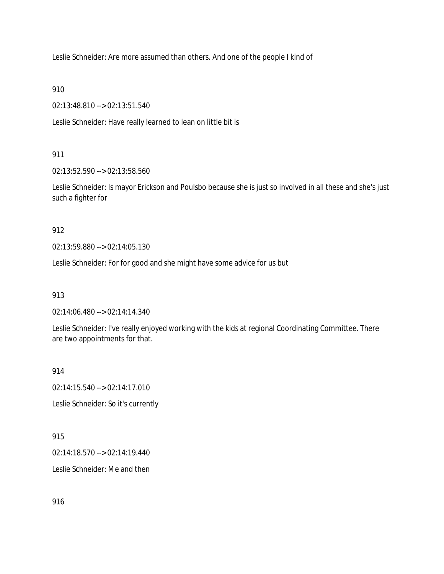Leslie Schneider: Are more assumed than others. And one of the people I kind of

910

02:13:48.810 --> 02:13:51.540

Leslie Schneider: Have really learned to lean on little bit is

911

02:13:52.590 --> 02:13:58.560

Leslie Schneider: Is mayor Erickson and Poulsbo because she is just so involved in all these and she's just such a fighter for

912

02:13:59.880 --> 02:14:05.130

Leslie Schneider: For for good and she might have some advice for us but

913

02:14:06.480 --> 02:14:14.340

Leslie Schneider: I've really enjoyed working with the kids at regional Coordinating Committee. There are two appointments for that.

914

02:14:15.540 --> 02:14:17.010

Leslie Schneider: So it's currently

915

02:14:18.570 --> 02:14:19.440

Leslie Schneider: Me and then

916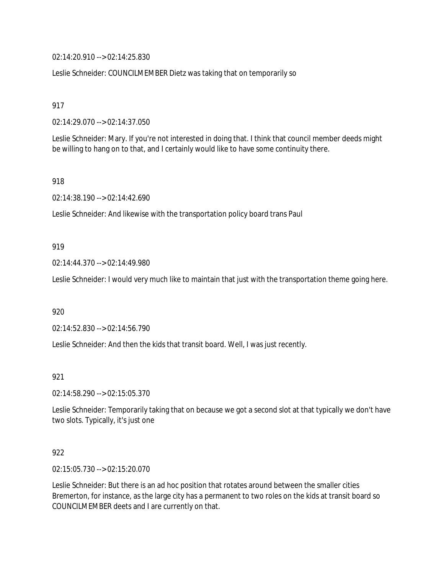02:14:20.910 --> 02:14:25.830

Leslie Schneider: COUNCILMEMBER Dietz was taking that on temporarily so

917

02:14:29.070 --> 02:14:37.050

Leslie Schneider: Mary. If you're not interested in doing that. I think that council member deeds might be willing to hang on to that, and I certainly would like to have some continuity there.

918

02:14:38.190 --> 02:14:42.690

Leslie Schneider: And likewise with the transportation policy board trans Paul

919

02:14:44.370 --> 02:14:49.980

Leslie Schneider: I would very much like to maintain that just with the transportation theme going here.

920

02:14:52.830 --> 02:14:56.790

Leslie Schneider: And then the kids that transit board. Well, I was just recently.

921

02:14:58.290 --> 02:15:05.370

Leslie Schneider: Temporarily taking that on because we got a second slot at that typically we don't have two slots. Typically, it's just one

922

02:15:05.730 --> 02:15:20.070

Leslie Schneider: But there is an ad hoc position that rotates around between the smaller cities Bremerton, for instance, as the large city has a permanent to two roles on the kids at transit board so COUNCILMEMBER deets and I are currently on that.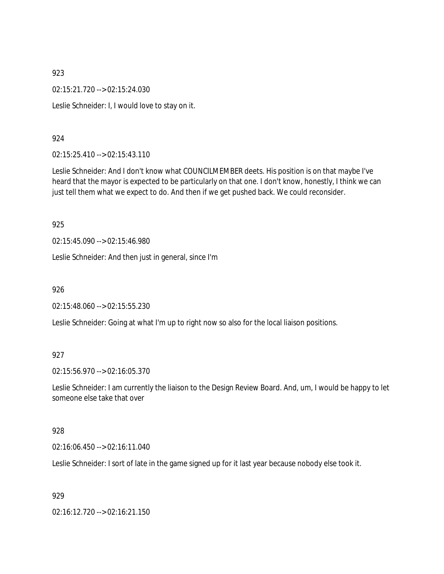02:15:21.720 --> 02:15:24.030

Leslie Schneider: I, I would love to stay on it.

#### 924

02:15:25.410 --> 02:15:43.110

Leslie Schneider: And I don't know what COUNCILMEMBER deets. His position is on that maybe I've heard that the mayor is expected to be particularly on that one. I don't know, honestly, I think we can just tell them what we expect to do. And then if we get pushed back. We could reconsider.

#### 925

02:15:45.090 --> 02:15:46.980

Leslie Schneider: And then just in general, since I'm

926

02:15:48.060 --> 02:15:55.230

Leslie Schneider: Going at what I'm up to right now so also for the local liaison positions.

#### 927

02:15:56.970 --> 02:16:05.370

Leslie Schneider: I am currently the liaison to the Design Review Board. And, um, I would be happy to let someone else take that over

#### 928

02:16:06.450 --> 02:16:11.040

Leslie Schneider: I sort of late in the game signed up for it last year because nobody else took it.

#### 929

02:16:12.720 --> 02:16:21.150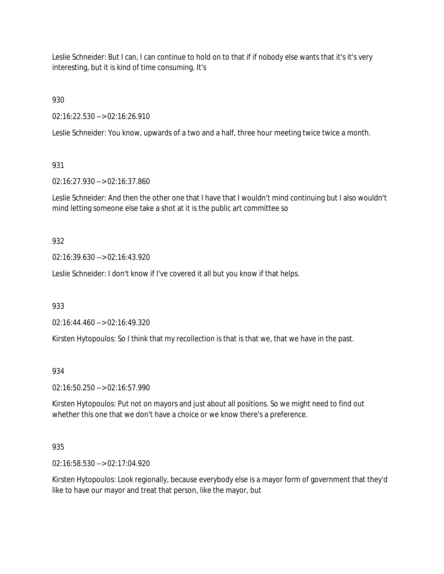Leslie Schneider: But I can, I can continue to hold on to that if if nobody else wants that it's it's very interesting, but it is kind of time consuming. It's

930

02:16:22.530 --> 02:16:26.910

Leslie Schneider: You know, upwards of a two and a half, three hour meeting twice twice a month.

# 931

02:16:27.930 --> 02:16:37.860

Leslie Schneider: And then the other one that I have that I wouldn't mind continuing but I also wouldn't mind letting someone else take a shot at it is the public art committee so

# 932

02:16:39.630 --> 02:16:43.920

Leslie Schneider: I don't know if I've covered it all but you know if that helps.

933

02:16:44.460 --> 02:16:49.320

Kirsten Hytopoulos: So I think that my recollection is that is that we, that we have in the past.

# 934

02:16:50.250 --> 02:16:57.990

Kirsten Hytopoulos: Put not on mayors and just about all positions. So we might need to find out whether this one that we don't have a choice or we know there's a preference.

# 935

02:16:58.530 --> 02:17:04.920

Kirsten Hytopoulos: Look regionally, because everybody else is a mayor form of government that they'd like to have our mayor and treat that person, like the mayor, but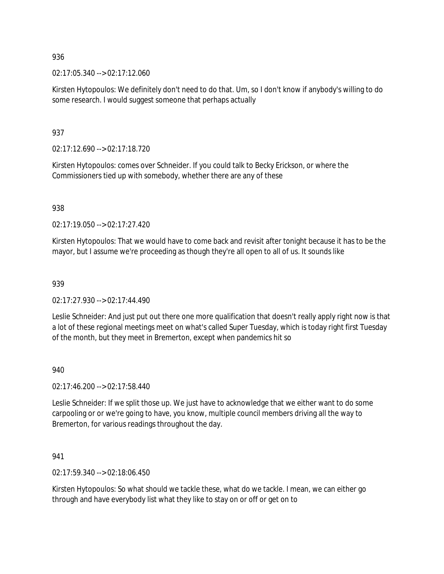02:17:05.340 --> 02:17:12.060

Kirsten Hytopoulos: We definitely don't need to do that. Um, so I don't know if anybody's willing to do some research. I would suggest someone that perhaps actually

937

02:17:12.690 --> 02:17:18.720

Kirsten Hytopoulos: comes over Schneider. If you could talk to Becky Erickson, or where the Commissioners tied up with somebody, whether there are any of these

938

 $02.17.19.050 - 02.17.27.420$ 

Kirsten Hytopoulos: That we would have to come back and revisit after tonight because it has to be the mayor, but I assume we're proceeding as though they're all open to all of us. It sounds like

939

02:17:27.930 --> 02:17:44.490

Leslie Schneider: And just put out there one more qualification that doesn't really apply right now is that a lot of these regional meetings meet on what's called Super Tuesday, which is today right first Tuesday of the month, but they meet in Bremerton, except when pandemics hit so

940

02:17:46.200 --> 02:17:58.440

Leslie Schneider: If we split those up. We just have to acknowledge that we either want to do some carpooling or or we're going to have, you know, multiple council members driving all the way to Bremerton, for various readings throughout the day.

941

02:17:59.340 --> 02:18:06.450

Kirsten Hytopoulos: So what should we tackle these, what do we tackle. I mean, we can either go through and have everybody list what they like to stay on or off or get on to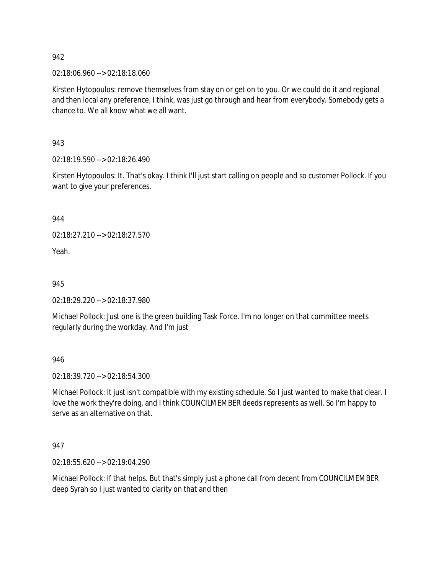02:18:06.960 --> 02:18:18.060

Kirsten Hytopoulos: remove themselves from stay on or get on to you. Or we could do it and regional and then local any preference, I think, was just go through and hear from everybody. Somebody gets a chance to. We all know what we all want.

943

02:18:19.590 --> 02:18:26.490

Kirsten Hytopoulos: It. That's okay. I think I'll just start calling on people and so customer Pollock. If you want to give your preferences.

944

02:18:27.210 --> 02:18:27.570

Yeah.

945

02:18:29.220 --> 02:18:37.980

Michael Pollock: Just one is the green building Task Force. I'm no longer on that committee meets regularly during the workday. And I'm just

946

02:18:39.720 --> 02:18:54.300

Michael Pollock: It just isn't compatible with my existing schedule. So I just wanted to make that clear. I love the work they're doing, and I think COUNCILMEMBER deeds represents as well. So I'm happy to serve as an alternative on that.

947

02:18:55.620 --> 02:19:04.290

Michael Pollock: If that helps. But that's simply just a phone call from decent from COUNCILMEMBER deep Syrah so I just wanted to clarity on that and then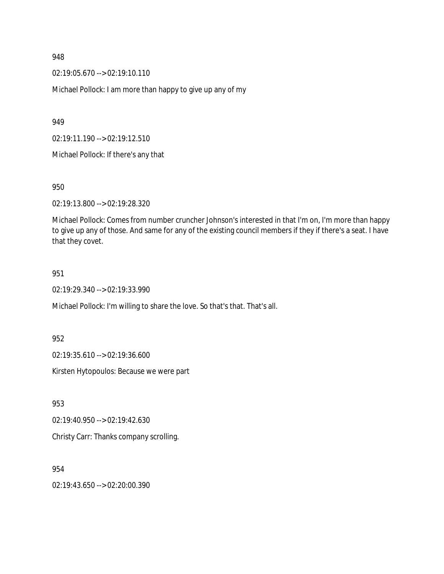02:19:05.670 --> 02:19:10.110

Michael Pollock: I am more than happy to give up any of my

949

02:19:11.190 --> 02:19:12.510

Michael Pollock: If there's any that

950

02:19:13.800 --> 02:19:28.320

Michael Pollock: Comes from number cruncher Johnson's interested in that I'm on, I'm more than happy to give up any of those. And same for any of the existing council members if they if there's a seat. I have that they covet.

951

02:19:29.340 --> 02:19:33.990

Michael Pollock: I'm willing to share the love. So that's that. That's all.

952

02:19:35.610 --> 02:19:36.600

Kirsten Hytopoulos: Because we were part

953

02:19:40.950 --> 02:19:42.630

Christy Carr: Thanks company scrolling.

954

02:19:43.650 --> 02:20:00.390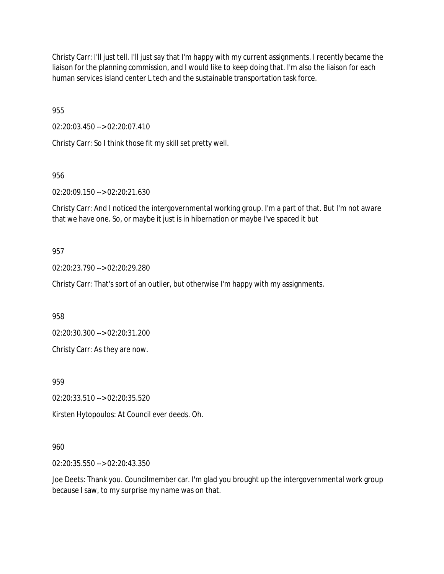Christy Carr: I'll just tell. I'll just say that I'm happy with my current assignments. I recently became the liaison for the planning commission, and I would like to keep doing that. I'm also the liaison for each human services island center L tech and the sustainable transportation task force.

955

02:20:03.450 --> 02:20:07.410

Christy Carr: So I think those fit my skill set pretty well.

956

02:20:09.150 --> 02:20:21.630

Christy Carr: And I noticed the intergovernmental working group. I'm a part of that. But I'm not aware that we have one. So, or maybe it just is in hibernation or maybe I've spaced it but

#### 957

02:20:23.790 --> 02:20:29.280

Christy Carr: That's sort of an outlier, but otherwise I'm happy with my assignments.

958

02:20:30.300 --> 02:20:31.200

Christy Carr: As they are now.

959

02:20:33.510 --> 02:20:35.520

Kirsten Hytopoulos: At Council ever deeds. Oh.

#### 960

02:20:35.550 --> 02:20:43.350

Joe Deets: Thank you. Councilmember car. I'm glad you brought up the intergovernmental work group because I saw, to my surprise my name was on that.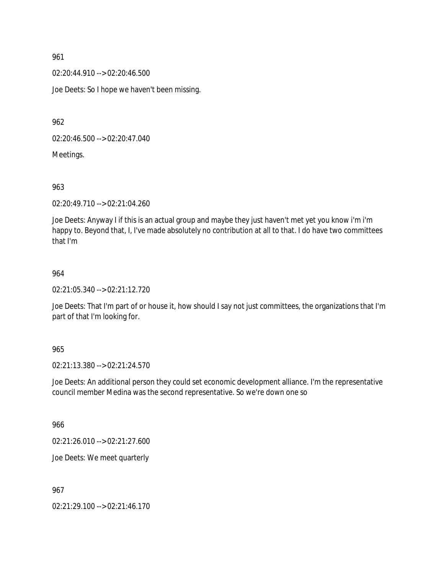02:20:44.910 --> 02:20:46.500

Joe Deets: So I hope we haven't been missing.

962

02:20:46.500 --> 02:20:47.040

Meetings.

963

02:20:49.710 --> 02:21:04.260

Joe Deets: Anyway I if this is an actual group and maybe they just haven't met yet you know i'm i'm happy to. Beyond that, I, I've made absolutely no contribution at all to that. I do have two committees that I'm

#### 964

02:21:05.340 --> 02:21:12.720

Joe Deets: That I'm part of or house it, how should I say not just committees, the organizations that I'm part of that I'm looking for.

#### 965

02:21:13.380 --> 02:21:24.570

Joe Deets: An additional person they could set economic development alliance. I'm the representative council member Medina was the second representative. So we're down one so

966

02:21:26.010 --> 02:21:27.600

Joe Deets: We meet quarterly

967

02:21:29.100 --> 02:21:46.170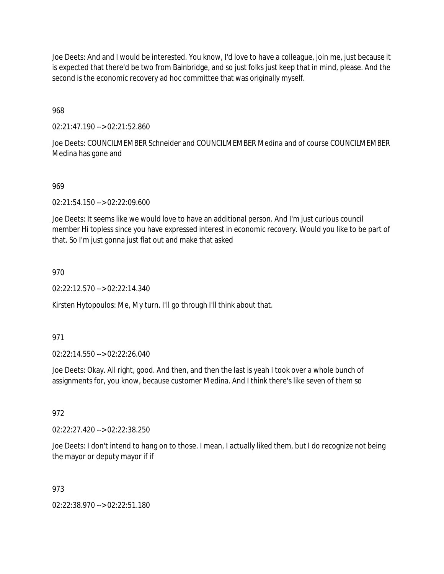Joe Deets: And and I would be interested. You know, I'd love to have a colleague, join me, just because it is expected that there'd be two from Bainbridge, and so just folks just keep that in mind, please. And the second is the economic recovery ad hoc committee that was originally myself.

968

02:21:47.190 --> 02:21:52.860

Joe Deets: COUNCILMEMBER Schneider and COUNCILMEMBER Medina and of course COUNCILMEMBER Medina has gone and

#### 969

02:21:54.150 --> 02:22:09.600

Joe Deets: It seems like we would love to have an additional person. And I'm just curious council member Hi topless since you have expressed interest in economic recovery. Would you like to be part of that. So I'm just gonna just flat out and make that asked

#### 970

02:22:12.570 --> 02:22:14.340

Kirsten Hytopoulos: Me, My turn. I'll go through I'll think about that.

#### 971

02:22:14.550 --> 02:22:26.040

Joe Deets: Okay. All right, good. And then, and then the last is yeah I took over a whole bunch of assignments for, you know, because customer Medina. And I think there's like seven of them so

#### 972

02:22:27.420 --> 02:22:38.250

Joe Deets: I don't intend to hang on to those. I mean, I actually liked them, but I do recognize not being the mayor or deputy mayor if if

#### 973

02:22:38.970 --> 02:22:51.180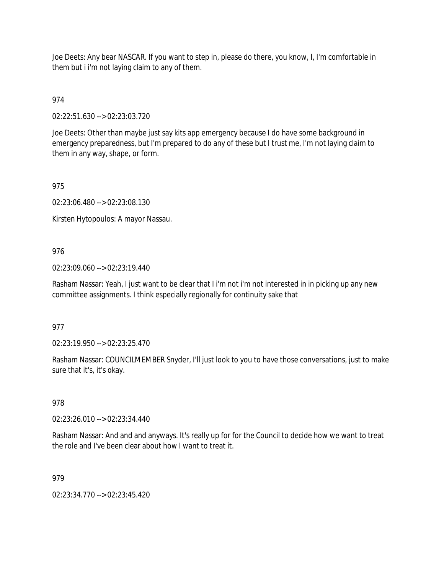Joe Deets: Any bear NASCAR. If you want to step in, please do there, you know, I, I'm comfortable in them but i i'm not laying claim to any of them.

974

02:22:51.630 --> 02:23:03.720

Joe Deets: Other than maybe just say kits app emergency because I do have some background in emergency preparedness, but I'm prepared to do any of these but I trust me, I'm not laying claim to them in any way, shape, or form.

975

02:23:06.480 --> 02:23:08.130

Kirsten Hytopoulos: A mayor Nassau.

## 976

02:23:09.060 --> 02:23:19.440

Rasham Nassar: Yeah, I just want to be clear that I i'm not i'm not interested in in picking up any new committee assignments. I think especially regionally for continuity sake that

#### 977

02:23:19.950 --> 02:23:25.470

Rasham Nassar: COUNCILMEMBER Snyder, I'll just look to you to have those conversations, just to make sure that it's, it's okay.

#### 978

02:23:26.010 --> 02:23:34.440

Rasham Nassar: And and and anyways. It's really up for for the Council to decide how we want to treat the role and I've been clear about how I want to treat it.

#### 979

02:23:34.770 --> 02:23:45.420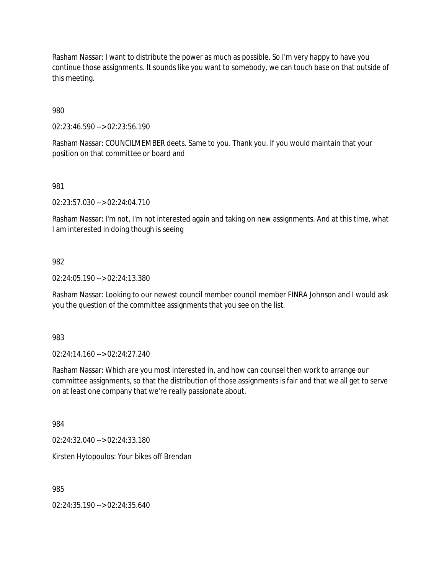Rasham Nassar: I want to distribute the power as much as possible. So I'm very happy to have you continue those assignments. It sounds like you want to somebody, we can touch base on that outside of this meeting.

980

02:23:46.590 --> 02:23:56.190

Rasham Nassar: COUNCILMEMBER deets. Same to you. Thank you. If you would maintain that your position on that committee or board and

981

02:23:57.030 --> 02:24:04.710

Rasham Nassar: I'm not, I'm not interested again and taking on new assignments. And at this time, what I am interested in doing though is seeing

982

02:24:05.190 --> 02:24:13.380

Rasham Nassar: Looking to our newest council member council member FINRA Johnson and I would ask you the question of the committee assignments that you see on the list.

983

02:24:14.160 --> 02:24:27.240

Rasham Nassar: Which are you most interested in, and how can counsel then work to arrange our committee assignments, so that the distribution of those assignments is fair and that we all get to serve on at least one company that we're really passionate about.

984

02:24:32.040 --> 02:24:33.180

Kirsten Hytopoulos: Your bikes off Brendan

985

02:24:35.190 --> 02:24:35.640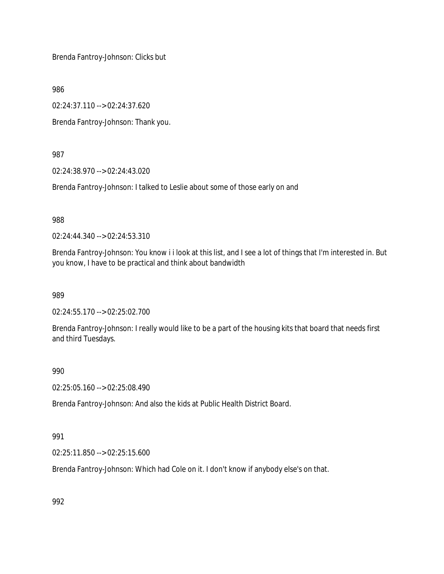Brenda Fantroy-Johnson: Clicks but

986

02:24:37.110 --> 02:24:37.620

Brenda Fantroy-Johnson: Thank you.

987

02:24:38.970 --> 02:24:43.020

Brenda Fantroy-Johnson: I talked to Leslie about some of those early on and

988

02:24:44.340 --> 02:24:53.310

Brenda Fantroy-Johnson: You know i i look at this list, and I see a lot of things that I'm interested in. But you know, I have to be practical and think about bandwidth

989

02:24:55.170 --> 02:25:02.700

Brenda Fantroy-Johnson: I really would like to be a part of the housing kits that board that needs first and third Tuesdays.

990

02:25:05.160 --> 02:25:08.490

Brenda Fantroy-Johnson: And also the kids at Public Health District Board.

#### 991

02:25:11.850 --> 02:25:15.600

Brenda Fantroy-Johnson: Which had Cole on it. I don't know if anybody else's on that.

992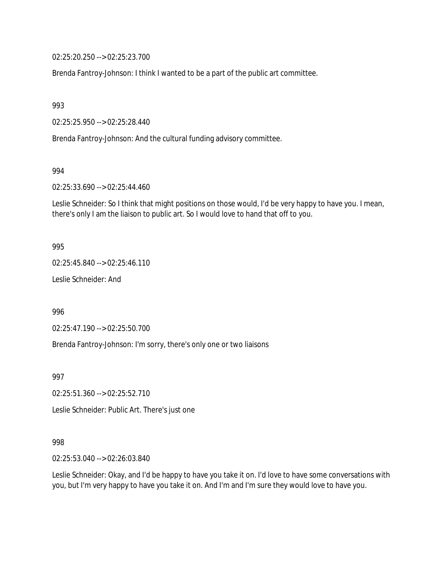02:25:20.250 --> 02:25:23.700

Brenda Fantroy-Johnson: I think I wanted to be a part of the public art committee.

993

02:25:25.950 --> 02:25:28.440

Brenda Fantroy-Johnson: And the cultural funding advisory committee.

994

02:25:33.690 --> 02:25:44.460

Leslie Schneider: So I think that might positions on those would, I'd be very happy to have you. I mean, there's only I am the liaison to public art. So I would love to hand that off to you.

#### 995

02:25:45.840 --> 02:25:46.110

Leslie Schneider: And

996

02:25:47.190 --> 02:25:50.700

Brenda Fantroy-Johnson: I'm sorry, there's only one or two liaisons

997

02:25:51.360 --> 02:25:52.710

Leslie Schneider: Public Art. There's just one

#### 998

02:25:53.040 --> 02:26:03.840

Leslie Schneider: Okay, and I'd be happy to have you take it on. I'd love to have some conversations with you, but I'm very happy to have you take it on. And I'm and I'm sure they would love to have you.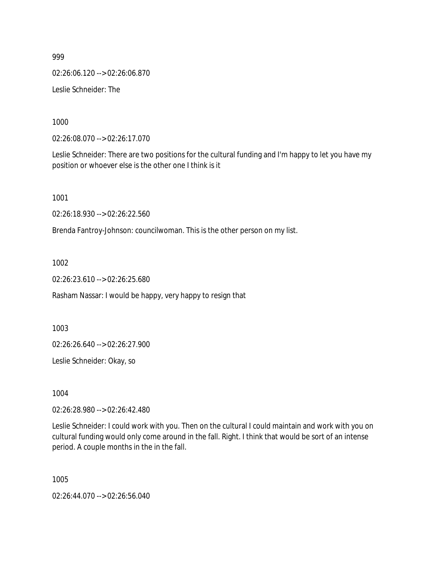02:26:06.120 --> 02:26:06.870

Leslie Schneider: The

1000

02:26:08.070 --> 02:26:17.070

Leslie Schneider: There are two positions for the cultural funding and I'm happy to let you have my position or whoever else is the other one I think is it

1001

02:26:18.930 --> 02:26:22.560

Brenda Fantroy-Johnson: councilwoman. This is the other person on my list.

1002

02:26:23.610 --> 02:26:25.680

Rasham Nassar: I would be happy, very happy to resign that

1003

02:26:26.640 --> 02:26:27.900

Leslie Schneider: Okay, so

1004

02:26:28.980 --> 02:26:42.480

Leslie Schneider: I could work with you. Then on the cultural I could maintain and work with you on cultural funding would only come around in the fall. Right. I think that would be sort of an intense period. A couple months in the in the fall.

1005

02:26:44.070 --> 02:26:56.040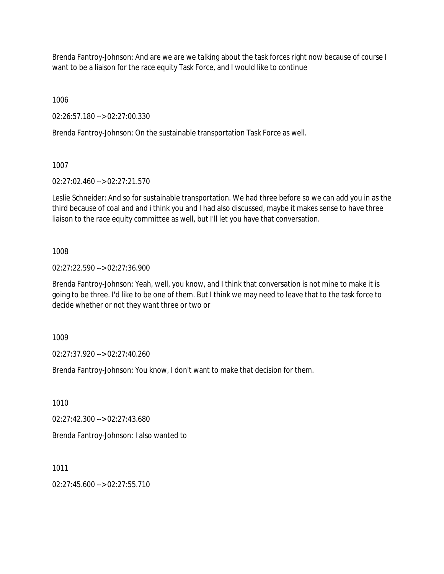Brenda Fantroy-Johnson: And are we are we talking about the task forces right now because of course I want to be a liaison for the race equity Task Force, and I would like to continue

1006

02:26:57.180 --> 02:27:00.330

Brenda Fantroy-Johnson: On the sustainable transportation Task Force as well.

1007

02:27:02.460 --> 02:27:21.570

Leslie Schneider: And so for sustainable transportation. We had three before so we can add you in as the third because of coal and and i think you and I had also discussed, maybe it makes sense to have three liaison to the race equity committee as well, but I'll let you have that conversation.

1008

02:27:22.590 --> 02:27:36.900

Brenda Fantroy-Johnson: Yeah, well, you know, and I think that conversation is not mine to make it is going to be three. I'd like to be one of them. But I think we may need to leave that to the task force to decide whether or not they want three or two or

1009

02:27:37.920 --> 02:27:40.260

Brenda Fantroy-Johnson: You know, I don't want to make that decision for them.

1010

02:27:42.300 --> 02:27:43.680

Brenda Fantroy-Johnson: I also wanted to

1011

 $02.27:45.600 -> 02.27:55.710$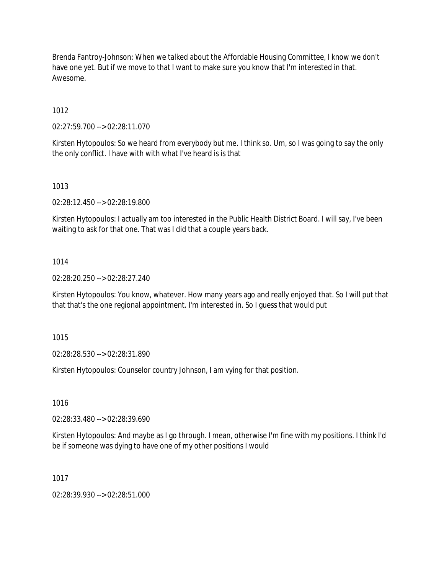Brenda Fantroy-Johnson: When we talked about the Affordable Housing Committee, I know we don't have one yet. But if we move to that I want to make sure you know that I'm interested in that. Awesome.

1012

02:27:59.700 --> 02:28:11.070

Kirsten Hytopoulos: So we heard from everybody but me. I think so. Um, so I was going to say the only the only conflict. I have with with what I've heard is is that

1013

02:28:12.450 --> 02:28:19.800

Kirsten Hytopoulos: I actually am too interested in the Public Health District Board. I will say, I've been waiting to ask for that one. That was I did that a couple years back.

#### 1014

02:28:20.250 --> 02:28:27.240

Kirsten Hytopoulos: You know, whatever. How many years ago and really enjoyed that. So I will put that that that's the one regional appointment. I'm interested in. So I guess that would put

1015

02:28:28.530 --> 02:28:31.890

Kirsten Hytopoulos: Counselor country Johnson, I am vying for that position.

1016

02:28:33.480 --> 02:28:39.690

Kirsten Hytopoulos: And maybe as I go through. I mean, otherwise I'm fine with my positions. I think I'd be if someone was dying to have one of my other positions I would

1017

02:28:39.930 --> 02:28:51.000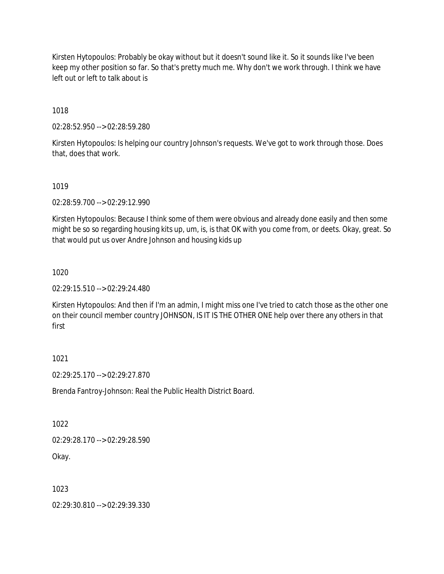Kirsten Hytopoulos: Probably be okay without but it doesn't sound like it. So it sounds like I've been keep my other position so far. So that's pretty much me. Why don't we work through. I think we have left out or left to talk about is

1018

02:28:52.950 --> 02:28:59.280

Kirsten Hytopoulos: Is helping our country Johnson's requests. We've got to work through those. Does that, does that work.

#### 1019

02:28:59.700 --> 02:29:12.990

Kirsten Hytopoulos: Because I think some of them were obvious and already done easily and then some might be so so regarding housing kits up, um, is, is that OK with you come from, or deets. Okay, great. So that would put us over Andre Johnson and housing kids up

## 1020

02:29:15.510 --> 02:29:24.480

Kirsten Hytopoulos: And then if I'm an admin, I might miss one I've tried to catch those as the other one on their council member country JOHNSON, IS IT IS THE OTHER ONE help over there any others in that first

#### 1021

02:29:25.170 --> 02:29:27.870

Brenda Fantroy-Johnson: Real the Public Health District Board.

#### 1022

02:29:28.170 --> 02:29:28.590

Okay.

# 1023

02:29:30.810 --> 02:29:39.330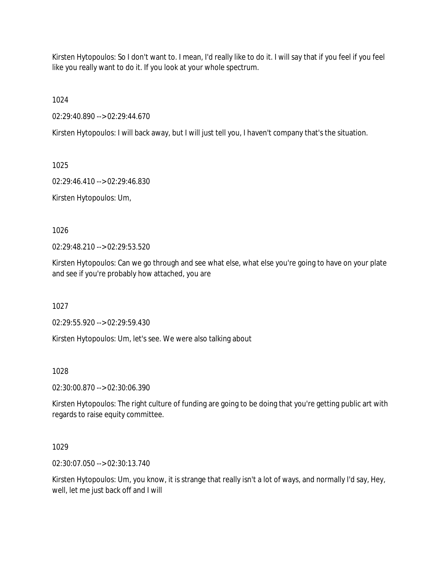Kirsten Hytopoulos: So I don't want to. I mean, I'd really like to do it. I will say that if you feel if you feel like you really want to do it. If you look at your whole spectrum.

1024

02:29:40.890 --> 02:29:44.670

Kirsten Hytopoulos: I will back away, but I will just tell you, I haven't company that's the situation.

1025

02:29:46.410 --> 02:29:46.830

Kirsten Hytopoulos: Um,

1026

02:29:48.210 --> 02:29:53.520

Kirsten Hytopoulos: Can we go through and see what else, what else you're going to have on your plate and see if you're probably how attached, you are

1027

02:29:55.920 --> 02:29:59.430

Kirsten Hytopoulos: Um, let's see. We were also talking about

1028

02:30:00.870 --> 02:30:06.390

Kirsten Hytopoulos: The right culture of funding are going to be doing that you're getting public art with regards to raise equity committee.

1029

02:30:07.050 --> 02:30:13.740

Kirsten Hytopoulos: Um, you know, it is strange that really isn't a lot of ways, and normally I'd say, Hey, well, let me just back off and I will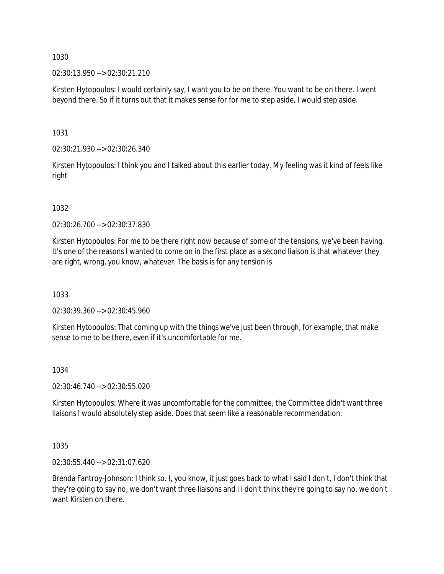02:30:13.950 --> 02:30:21.210

Kirsten Hytopoulos: I would certainly say, I want you to be on there. You want to be on there. I went beyond there. So if it turns out that it makes sense for for me to step aside, I would step aside.

1031

02:30:21.930 --> 02:30:26.340

Kirsten Hytopoulos: I think you and I talked about this earlier today. My feeling was it kind of feels like right

#### 1032

02:30:26.700 --> 02:30:37.830

Kirsten Hytopoulos: For me to be there right now because of some of the tensions, we've been having. It's one of the reasons I wanted to come on in the first place as a second liaison is that whatever they are right, wrong, you know, whatever. The basis is for any tension is

1033

02:30:39.360 --> 02:30:45.960

Kirsten Hytopoulos: That coming up with the things we've just been through, for example, that make sense to me to be there, even if it's uncomfortable for me.

#### 1034

02:30:46.740 --> 02:30:55.020

Kirsten Hytopoulos: Where it was uncomfortable for the committee, the Committee didn't want three liaisons I would absolutely step aside. Does that seem like a reasonable recommendation.

1035

02:30:55.440 --> 02:31:07.620

Brenda Fantroy-Johnson: I think so. I, you know, it just goes back to what I said I don't, I don't think that they're going to say no, we don't want three liaisons and i i don't think they're going to say no, we don't want Kirsten on there.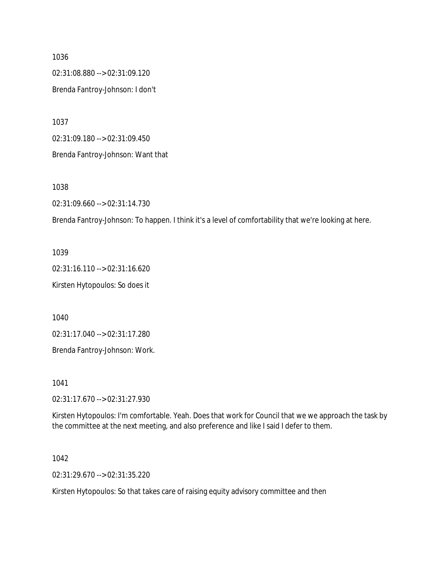02:31:08.880 --> 02:31:09.120 Brenda Fantroy-Johnson: I don't

1037

02:31:09.180 --> 02:31:09.450

Brenda Fantroy-Johnson: Want that

1038

02:31:09.660 --> 02:31:14.730

Brenda Fantroy-Johnson: To happen. I think it's a level of comfortability that we're looking at here.

1039 02:31:16.110 --> 02:31:16.620 Kirsten Hytopoulos: So does it

1040

02:31:17.040 --> 02:31:17.280

Brenda Fantroy-Johnson: Work.

1041

02:31:17.670 --> 02:31:27.930

Kirsten Hytopoulos: I'm comfortable. Yeah. Does that work for Council that we we approach the task by the committee at the next meeting, and also preference and like I said I defer to them.

1042

02:31:29.670 --> 02:31:35.220

Kirsten Hytopoulos: So that takes care of raising equity advisory committee and then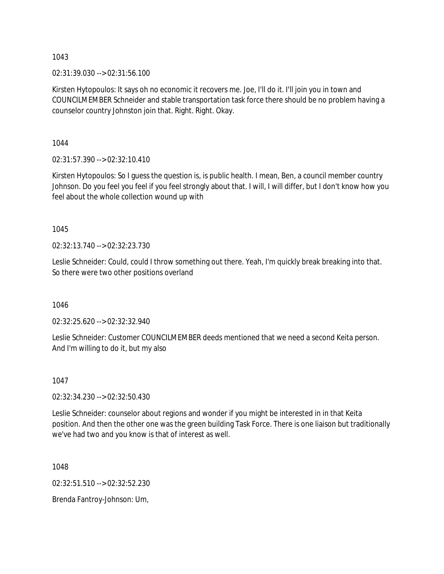02:31:39.030 --> 02:31:56.100

Kirsten Hytopoulos: It says oh no economic it recovers me. Joe, I'll do it. I'll join you in town and COUNCILMEMBER Schneider and stable transportation task force there should be no problem having a counselor country Johnston join that. Right. Right. Okay.

1044

02:31:57.390 --> 02:32:10.410

Kirsten Hytopoulos: So I guess the question is, is public health. I mean, Ben, a council member country Johnson. Do you feel you feel if you feel strongly about that. I will, I will differ, but I don't know how you feel about the whole collection wound up with

1045

02:32:13.740 --> 02:32:23.730

Leslie Schneider: Could, could I throw something out there. Yeah, I'm quickly break breaking into that. So there were two other positions overland

1046

02:32:25.620 --> 02:32:32.940

Leslie Schneider: Customer COUNCILMEMBER deeds mentioned that we need a second Keita person. And I'm willing to do it, but my also

1047

02:32:34.230 --> 02:32:50.430

Leslie Schneider: counselor about regions and wonder if you might be interested in in that Keita position. And then the other one was the green building Task Force. There is one liaison but traditionally we've had two and you know is that of interest as well.

1048

02:32:51.510 --> 02:32:52.230

Brenda Fantroy-Johnson: Um,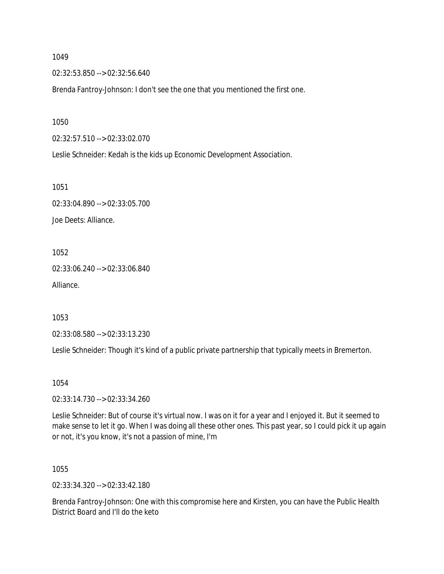02:32:53.850 --> 02:32:56.640

Brenda Fantroy-Johnson: I don't see the one that you mentioned the first one.

1050

02:32:57.510 --> 02:33:02.070

Leslie Schneider: Kedah is the kids up Economic Development Association.

1051

02:33:04.890 --> 02:33:05.700 Joe Deets: Alliance.

1052

02:33:06.240 --> 02:33:06.840 Alliance.

1053

02:33:08.580 --> 02:33:13.230

Leslie Schneider: Though it's kind of a public private partnership that typically meets in Bremerton.

1054

02:33:14.730 --> 02:33:34.260

Leslie Schneider: But of course it's virtual now. I was on it for a year and I enjoyed it. But it seemed to make sense to let it go. When I was doing all these other ones. This past year, so I could pick it up again or not, it's you know, it's not a passion of mine, I'm

1055

02:33:34.320 --> 02:33:42.180

Brenda Fantroy-Johnson: One with this compromise here and Kirsten, you can have the Public Health District Board and I'll do the keto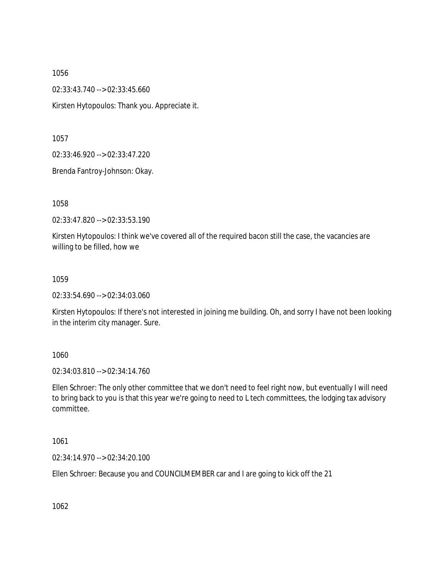02:33:43.740 --> 02:33:45.660 Kirsten Hytopoulos: Thank you. Appreciate it.

1057

02:33:46.920 --> 02:33:47.220

Brenda Fantroy-Johnson: Okay.

1058

02:33:47.820 --> 02:33:53.190

Kirsten Hytopoulos: I think we've covered all of the required bacon still the case, the vacancies are willing to be filled, how we

1059

02:33:54.690 --> 02:34:03.060

Kirsten Hytopoulos: If there's not interested in joining me building. Oh, and sorry I have not been looking in the interim city manager. Sure.

1060

02:34:03.810 --> 02:34:14.760

Ellen Schroer: The only other committee that we don't need to feel right now, but eventually I will need to bring back to you is that this year we're going to need to L tech committees, the lodging tax advisory committee.

1061

02:34:14.970 --> 02:34:20.100

Ellen Schroer: Because you and COUNCILMEMBER car and I are going to kick off the 21

1062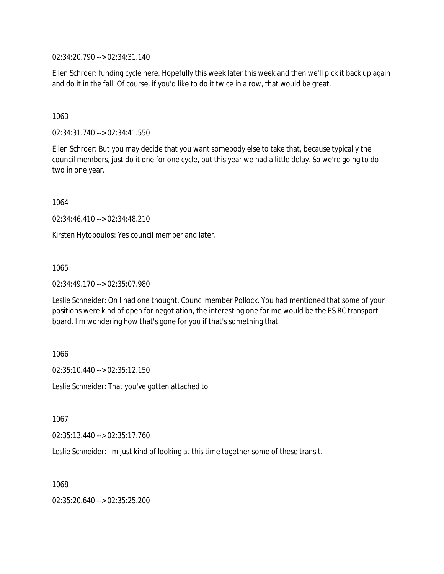02:34:20.790 --> 02:34:31.140

Ellen Schroer: funding cycle here. Hopefully this week later this week and then we'll pick it back up again and do it in the fall. Of course, if you'd like to do it twice in a row, that would be great.

1063

02:34:31.740 --> 02:34:41.550

Ellen Schroer: But you may decide that you want somebody else to take that, because typically the council members, just do it one for one cycle, but this year we had a little delay. So we're going to do two in one year.

1064

02:34:46.410 --> 02:34:48.210

Kirsten Hytopoulos: Yes council member and later.

1065

02:34:49.170 --> 02:35:07.980

Leslie Schneider: On I had one thought. Councilmember Pollock. You had mentioned that some of your positions were kind of open for negotiation, the interesting one for me would be the PS RC transport board. I'm wondering how that's gone for you if that's something that

1066

02:35:10.440 --> 02:35:12.150

Leslie Schneider: That you've gotten attached to

1067

02:35:13.440 --> 02:35:17.760

Leslie Schneider: I'm just kind of looking at this time together some of these transit.

1068

02:35:20.640 --> 02:35:25.200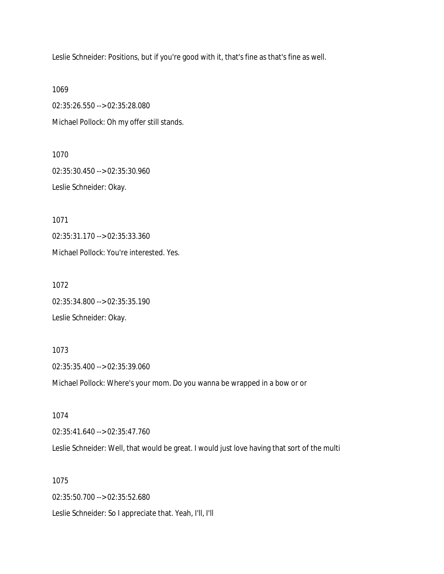Leslie Schneider: Positions, but if you're good with it, that's fine as that's fine as well.

1069 02:35:26.550 --> 02:35:28.080 Michael Pollock: Oh my offer still stands.

1070 02:35:30.450 --> 02:35:30.960 Leslie Schneider: Okay.

1071 02:35:31.170 --> 02:35:33.360 Michael Pollock: You're interested. Yes.

1072 02:35:34.800 --> 02:35:35.190 Leslie Schneider: Okay.

1073 02:35:35.400 --> 02:35:39.060 Michael Pollock: Where's your mom. Do you wanna be wrapped in a bow or or

1074 02:35:41.640 --> 02:35:47.760 Leslie Schneider: Well, that would be great. I would just love having that sort of the multi

1075 02:35:50.700 --> 02:35:52.680

Leslie Schneider: So I appreciate that. Yeah, I'll, I'll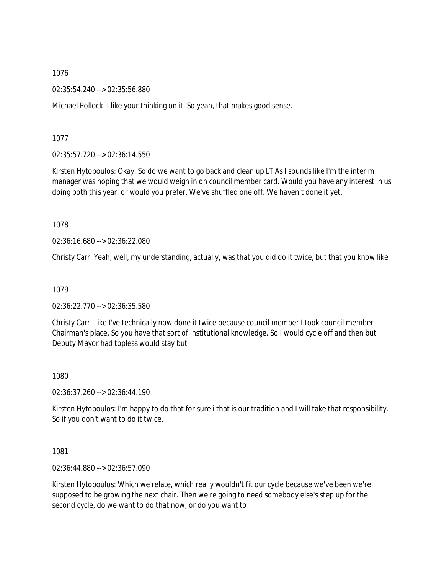02:35:54.240 --> 02:35:56.880

Michael Pollock: I like your thinking on it. So yeah, that makes good sense.

1077

02:35:57.720 --> 02:36:14.550

Kirsten Hytopoulos: Okay. So do we want to go back and clean up LT As I sounds like I'm the interim manager was hoping that we would weigh in on council member card. Would you have any interest in us doing both this year, or would you prefer. We've shuffled one off. We haven't done it yet.

1078

02:36:16.680 --> 02:36:22.080

Christy Carr: Yeah, well, my understanding, actually, was that you did do it twice, but that you know like

1079

02:36:22.770 --> 02:36:35.580

Christy Carr: Like I've technically now done it twice because council member I took council member Chairman's place. So you have that sort of institutional knowledge. So I would cycle off and then but Deputy Mayor had topless would stay but

1080

02:36:37.260 --> 02:36:44.190

Kirsten Hytopoulos: I'm happy to do that for sure i that is our tradition and I will take that responsibility. So if you don't want to do it twice.

1081

02:36:44.880 --> 02:36:57.090

Kirsten Hytopoulos: Which we relate, which really wouldn't fit our cycle because we've been we're supposed to be growing the next chair. Then we're going to need somebody else's step up for the second cycle, do we want to do that now, or do you want to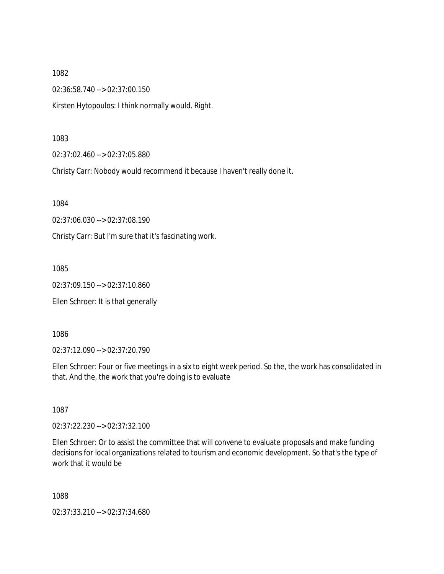02:36:58.740 --> 02:37:00.150

Kirsten Hytopoulos: I think normally would. Right.

1083

02:37:02.460 --> 02:37:05.880

Christy Carr: Nobody would recommend it because I haven't really done it.

1084

02:37:06.030 --> 02:37:08.190

Christy Carr: But I'm sure that it's fascinating work.

1085

02:37:09.150 --> 02:37:10.860

Ellen Schroer: It is that generally

1086

02:37:12.090 --> 02:37:20.790

Ellen Schroer: Four or five meetings in a six to eight week period. So the, the work has consolidated in that. And the, the work that you're doing is to evaluate

1087

02:37:22.230 --> 02:37:32.100

Ellen Schroer: Or to assist the committee that will convene to evaluate proposals and make funding decisions for local organizations related to tourism and economic development. So that's the type of work that it would be

1088

02:37:33.210 --> 02:37:34.680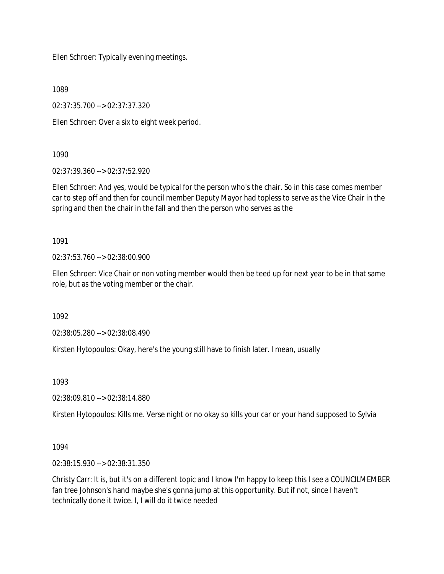Ellen Schroer: Typically evening meetings.

1089

02:37:35.700 --> 02:37:37.320

Ellen Schroer: Over a six to eight week period.

## 1090

02:37:39.360 --> 02:37:52.920

Ellen Schroer: And yes, would be typical for the person who's the chair. So in this case comes member car to step off and then for council member Deputy Mayor had topless to serve as the Vice Chair in the spring and then the chair in the fall and then the person who serves as the

1091

02:37:53.760 --> 02:38:00.900

Ellen Schroer: Vice Chair or non voting member would then be teed up for next year to be in that same role, but as the voting member or the chair.

1092

02:38:05.280 --> 02:38:08.490

Kirsten Hytopoulos: Okay, here's the young still have to finish later. I mean, usually

1093

02:38:09.810 --> 02:38:14.880

Kirsten Hytopoulos: Kills me. Verse night or no okay so kills your car or your hand supposed to Sylvia

# 1094

02:38:15.930 --> 02:38:31.350

Christy Carr: It is, but it's on a different topic and I know I'm happy to keep this I see a COUNCILMEMBER fan tree Johnson's hand maybe she's gonna jump at this opportunity. But if not, since I haven't technically done it twice. I, I will do it twice needed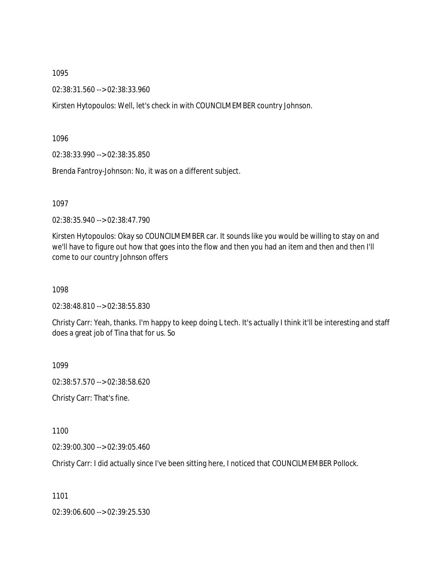02:38:31.560 --> 02:38:33.960

Kirsten Hytopoulos: Well, let's check in with COUNCILMEMBER country Johnson.

1096

02:38:33.990 --> 02:38:35.850

Brenda Fantroy-Johnson: No, it was on a different subject.

1097

02:38:35.940 --> 02:38:47.790

Kirsten Hytopoulos: Okay so COUNCILMEMBER car. It sounds like you would be willing to stay on and we'll have to figure out how that goes into the flow and then you had an item and then and then I'll come to our country Johnson offers

1098

02:38:48.810 --> 02:38:55.830

Christy Carr: Yeah, thanks. I'm happy to keep doing L tech. It's actually I think it'll be interesting and staff does a great job of Tina that for us. So

1099

02:38:57.570 --> 02:38:58.620

Christy Carr: That's fine.

1100

02:39:00.300 --> 02:39:05.460

Christy Carr: I did actually since I've been sitting here, I noticed that COUNCILMEMBER Pollock.

1101

02:39:06.600 --> 02:39:25.530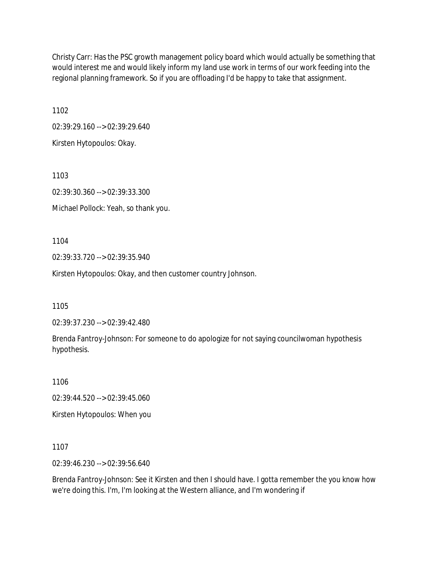Christy Carr: Has the PSC growth management policy board which would actually be something that would interest me and would likely inform my land use work in terms of our work feeding into the regional planning framework. So if you are offloading I'd be happy to take that assignment.

1102

02:39:29.160 --> 02:39:29.640

Kirsten Hytopoulos: Okay.

1103

02:39:30.360 --> 02:39:33.300 Michael Pollock: Yeah, so thank you.

1104

02:39:33.720 --> 02:39:35.940

Kirsten Hytopoulos: Okay, and then customer country Johnson.

1105

02:39:37.230 --> 02:39:42.480

Brenda Fantroy-Johnson: For someone to do apologize for not saying councilwoman hypothesis hypothesis.

1106

02:39:44.520 --> 02:39:45.060

Kirsten Hytopoulos: When you

1107

02:39:46.230 --> 02:39:56.640

Brenda Fantroy-Johnson: See it Kirsten and then I should have. I gotta remember the you know how we're doing this. I'm, I'm looking at the Western alliance, and I'm wondering if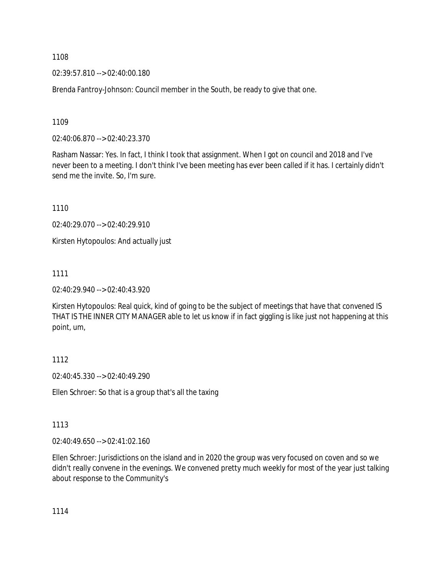02:39:57.810 --> 02:40:00.180

Brenda Fantroy-Johnson: Council member in the South, be ready to give that one.

1109

02:40:06.870 --> 02:40:23.370

Rasham Nassar: Yes. In fact, I think I took that assignment. When I got on council and 2018 and I've never been to a meeting. I don't think I've been meeting has ever been called if it has. I certainly didn't send me the invite. So, I'm sure.

1110

02:40:29.070 --> 02:40:29.910

Kirsten Hytopoulos: And actually just

1111

02:40:29.940 --> 02:40:43.920

Kirsten Hytopoulos: Real quick, kind of going to be the subject of meetings that have that convened IS THAT IS THE INNER CITY MANAGER able to let us know if in fact giggling is like just not happening at this point, um,

1112

02:40:45.330 --> 02:40:49.290

Ellen Schroer: So that is a group that's all the taxing

1113

02:40:49.650 --> 02:41:02.160

Ellen Schroer: Jurisdictions on the island and in 2020 the group was very focused on coven and so we didn't really convene in the evenings. We convened pretty much weekly for most of the year just talking about response to the Community's

1114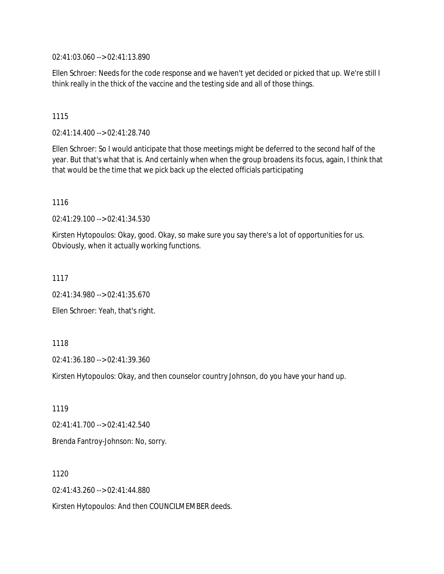02:41:03.060 --> 02:41:13.890

Ellen Schroer: Needs for the code response and we haven't yet decided or picked that up. We're still I think really in the thick of the vaccine and the testing side and all of those things.

#### 1115

02:41:14.400 --> 02:41:28.740

Ellen Schroer: So I would anticipate that those meetings might be deferred to the second half of the year. But that's what that is. And certainly when when the group broadens its focus, again, I think that that would be the time that we pick back up the elected officials participating

#### 1116

02:41:29.100 --> 02:41:34.530

Kirsten Hytopoulos: Okay, good. Okay, so make sure you say there's a lot of opportunities for us. Obviously, when it actually working functions.

## 1117

02:41:34.980 --> 02:41:35.670

Ellen Schroer: Yeah, that's right.

#### 1118

02:41:36.180 --> 02:41:39.360

Kirsten Hytopoulos: Okay, and then counselor country Johnson, do you have your hand up.

1119

02:41:41.700 --> 02:41:42.540

Brenda Fantroy-Johnson: No, sorry.

1120

02:41:43.260 --> 02:41:44.880

Kirsten Hytopoulos: And then COUNCILMEMBER deeds.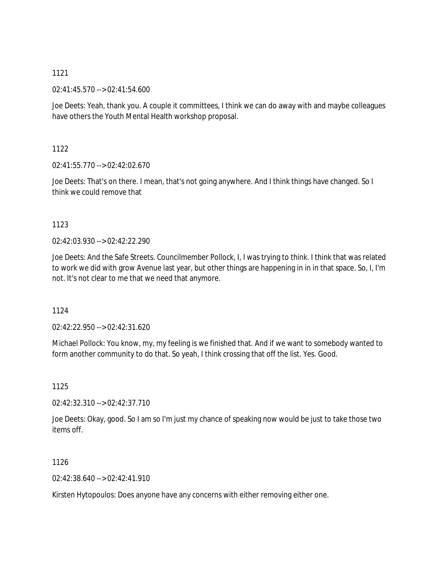02:41:45.570 --> 02:41:54.600

Joe Deets: Yeah, thank you. A couple it committees, I think we can do away with and maybe colleagues have others the Youth Mental Health workshop proposal.

1122

02:41:55.770 --> 02:42:02.670

Joe Deets: That's on there. I mean, that's not going anywhere. And I think things have changed. So I think we could remove that

## 1123

 $02.42.03.930 -5.02.42.22.290$ 

Joe Deets: And the Safe Streets. Councilmember Pollock, I, I was trying to think. I think that was related to work we did with grow Avenue last year, but other things are happening in in in that space. So, I, I'm not. It's not clear to me that we need that anymore.

1124

02:42:22.950 --> 02:42:31.620

Michael Pollock: You know, my, my feeling is we finished that. And if we want to somebody wanted to form another community to do that. So yeah, I think crossing that off the list. Yes. Good.

1125

02:42:32.310 --> 02:42:37.710

Joe Deets: Okay, good. So I am so I'm just my chance of speaking now would be just to take those two items off.

1126

02:42:38.640 --> 02:42:41.910

Kirsten Hytopoulos: Does anyone have any concerns with either removing either one.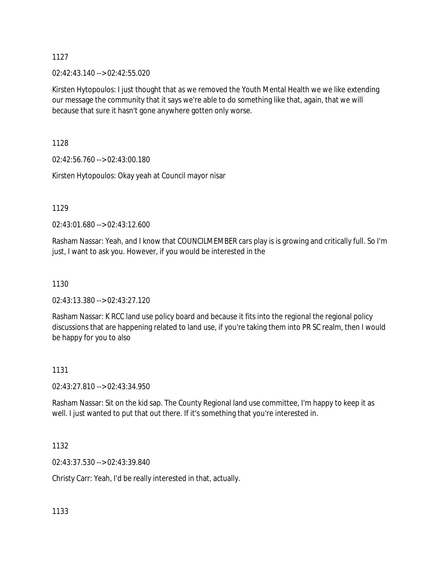02:42:43.140 --> 02:42:55.020

Kirsten Hytopoulos: I just thought that as we removed the Youth Mental Health we we like extending our message the community that it says we're able to do something like that, again, that we will because that sure it hasn't gone anywhere gotten only worse.

1128

02:42:56.760 --> 02:43:00.180

Kirsten Hytopoulos: Okay yeah at Council mayor nisar

1129

02:43:01.680 --> 02:43:12.600

Rasham Nassar: Yeah, and I know that COUNCILMEMBER cars play is is growing and critically full. So I'm just, I want to ask you. However, if you would be interested in the

1130

02:43:13.380 --> 02:43:27.120

Rasham Nassar: K RCC land use policy board and because it fits into the regional the regional policy discussions that are happening related to land use, if you're taking them into PR SC realm, then I would be happy for you to also

#### 1131

02:43:27.810 --> 02:43:34.950

Rasham Nassar: Sit on the kid sap. The County Regional land use committee, I'm happy to keep it as well. I just wanted to put that out there. If it's something that you're interested in.

1132

02:43:37.530 --> 02:43:39.840

Christy Carr: Yeah, I'd be really interested in that, actually.

1133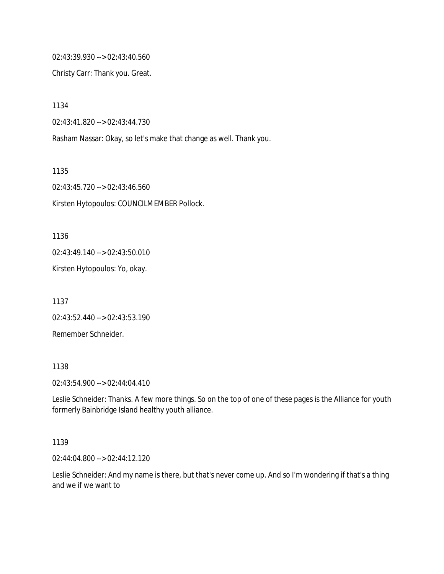02:43:39.930 --> 02:43:40.560

Christy Carr: Thank you. Great.

1134

02:43:41.820 --> 02:43:44.730

Rasham Nassar: Okay, so let's make that change as well. Thank you.

1135

02:43:45.720 --> 02:43:46.560 Kirsten Hytopoulos: COUNCILMEMBER Pollock.

1136

02:43:49.140 --> 02:43:50.010

Kirsten Hytopoulos: Yo, okay.

1137 02:43:52.440 --> 02:43:53.190 Remember Schneider.

1138

02:43:54.900 --> 02:44:04.410

Leslie Schneider: Thanks. A few more things. So on the top of one of these pages is the Alliance for youth formerly Bainbridge Island healthy youth alliance.

#### 1139

02:44:04.800 --> 02:44:12.120

Leslie Schneider: And my name is there, but that's never come up. And so I'm wondering if that's a thing and we if we want to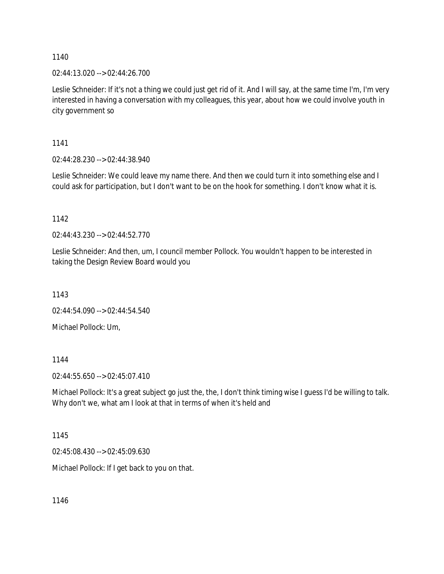02:44:13.020 --> 02:44:26.700

Leslie Schneider: If it's not a thing we could just get rid of it. And I will say, at the same time I'm, I'm very interested in having a conversation with my colleagues, this year, about how we could involve youth in city government so

1141

02:44:28.230 --> 02:44:38.940

Leslie Schneider: We could leave my name there. And then we could turn it into something else and I could ask for participation, but I don't want to be on the hook for something. I don't know what it is.

1142

02:44:43.230 --> 02:44:52.770

Leslie Schneider: And then, um, I council member Pollock. You wouldn't happen to be interested in taking the Design Review Board would you

1143

02:44:54.090 --> 02:44:54.540

Michael Pollock: Um,

1144

02:44:55.650 --> 02:45:07.410

Michael Pollock: It's a great subject go just the, the, I don't think timing wise I guess I'd be willing to talk. Why don't we, what am I look at that in terms of when it's held and

1145

02:45:08.430 --> 02:45:09.630

Michael Pollock: If I get back to you on that.

1146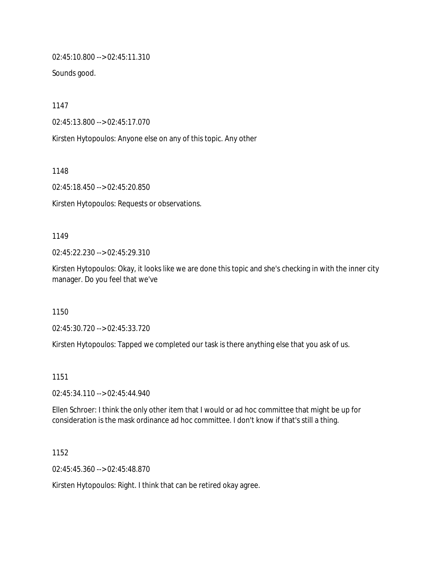02:45:10.800 --> 02:45:11.310

Sounds good.

1147

02:45:13.800 --> 02:45:17.070

Kirsten Hytopoulos: Anyone else on any of this topic. Any other

1148

02:45:18.450 --> 02:45:20.850

Kirsten Hytopoulos: Requests or observations.

#### 1149

02:45:22.230 --> 02:45:29.310

Kirsten Hytopoulos: Okay, it looks like we are done this topic and she's checking in with the inner city manager. Do you feel that we've

1150

02:45:30.720 --> 02:45:33.720

Kirsten Hytopoulos: Tapped we completed our task is there anything else that you ask of us.

## 1151

02:45:34.110 --> 02:45:44.940

Ellen Schroer: I think the only other item that I would or ad hoc committee that might be up for consideration is the mask ordinance ad hoc committee. I don't know if that's still a thing.

1152

02:45:45.360 --> 02:45:48.870

Kirsten Hytopoulos: Right. I think that can be retired okay agree.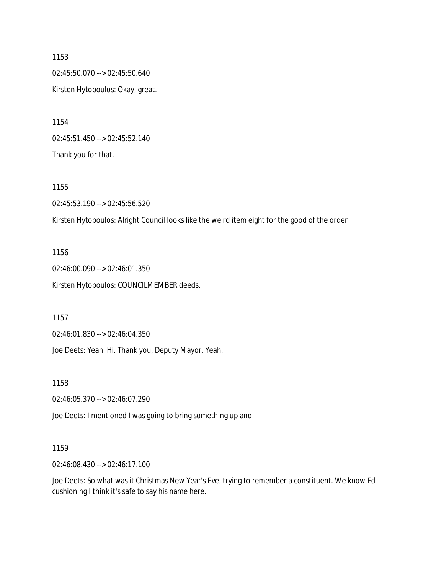1153 02:45:50.070 --> 02:45:50.640 Kirsten Hytopoulos: Okay, great.

1154 02:45:51.450 --> 02:45:52.140 Thank you for that.

1155 02:45:53.190 --> 02:45:56.520 Kirsten Hytopoulos: Alright Council looks like the weird item eight for the good of the order

1156 02:46:00.090 --> 02:46:01.350 Kirsten Hytopoulos: COUNCILMEMBER deeds.

1157

02:46:01.830 --> 02:46:04.350

Joe Deets: Yeah. Hi. Thank you, Deputy Mayor. Yeah.

1158

02:46:05.370 --> 02:46:07.290

Joe Deets: I mentioned I was going to bring something up and

1159

02:46:08.430 --> 02:46:17.100

Joe Deets: So what was it Christmas New Year's Eve, trying to remember a constituent. We know Ed cushioning I think it's safe to say his name here.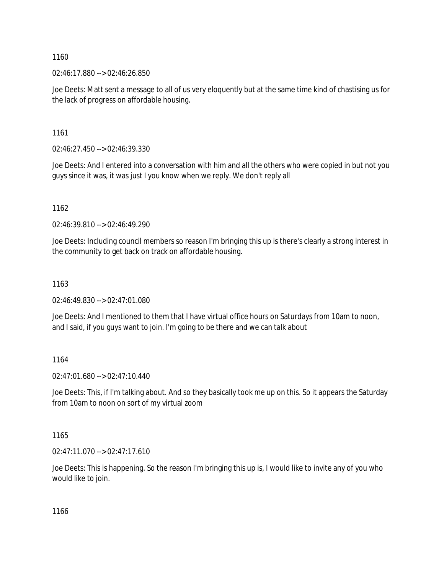02:46:17.880 --> 02:46:26.850

Joe Deets: Matt sent a message to all of us very eloquently but at the same time kind of chastising us for the lack of progress on affordable housing.

1161

02:46:27.450 --> 02:46:39.330

Joe Deets: And I entered into a conversation with him and all the others who were copied in but not you guys since it was, it was just I you know when we reply. We don't reply all

1162

02:46:39.810 --> 02:46:49.290

Joe Deets: Including council members so reason I'm bringing this up is there's clearly a strong interest in the community to get back on track on affordable housing.

1163

02:46:49.830 --> 02:47:01.080

Joe Deets: And I mentioned to them that I have virtual office hours on Saturdays from 10am to noon, and I said, if you guys want to join. I'm going to be there and we can talk about

1164

02:47:01.680 --> 02:47:10.440

Joe Deets: This, if I'm talking about. And so they basically took me up on this. So it appears the Saturday from 10am to noon on sort of my virtual zoom

1165

02:47:11.070 --> 02:47:17.610

Joe Deets: This is happening. So the reason I'm bringing this up is, I would like to invite any of you who would like to join.

1166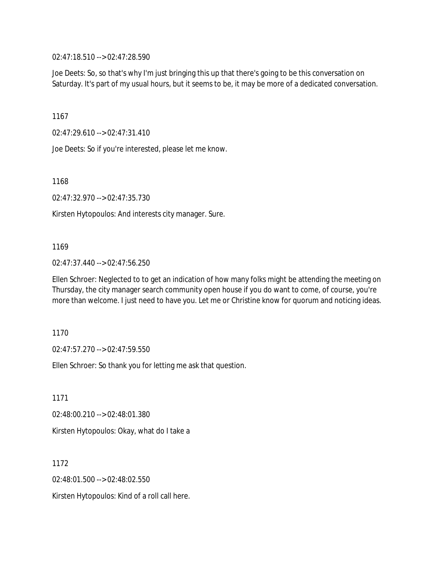02:47:18.510 --> 02:47:28.590

Joe Deets: So, so that's why I'm just bringing this up that there's going to be this conversation on Saturday. It's part of my usual hours, but it seems to be, it may be more of a dedicated conversation.

1167

02:47:29.610 --> 02:47:31.410

Joe Deets: So if you're interested, please let me know.

1168

02:47:32.970 --> 02:47:35.730

Kirsten Hytopoulos: And interests city manager. Sure.

1169

02:47:37.440 --> 02:47:56.250

Ellen Schroer: Neglected to to get an indication of how many folks might be attending the meeting on Thursday, the city manager search community open house if you do want to come, of course, you're more than welcome. I just need to have you. Let me or Christine know for quorum and noticing ideas.

1170

02:47:57.270 --> 02:47:59.550

Ellen Schroer: So thank you for letting me ask that question.

1171 02:48:00.210 --> 02:48:01.380 Kirsten Hytopoulos: Okay, what do I take a

1172 02:48:01.500 --> 02:48:02.550 Kirsten Hytopoulos: Kind of a roll call here.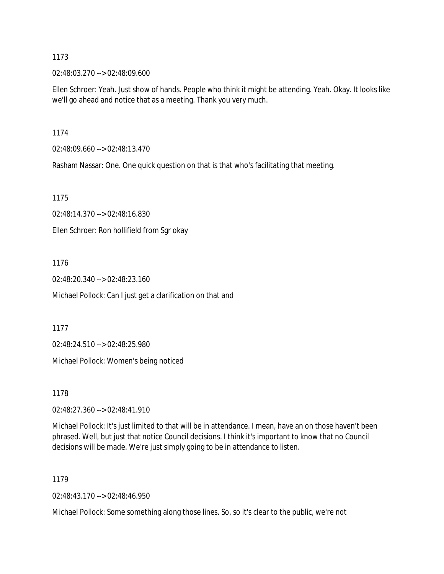02:48:03.270 --> 02:48:09.600

Ellen Schroer: Yeah. Just show of hands. People who think it might be attending. Yeah. Okay. It looks like we'll go ahead and notice that as a meeting. Thank you very much.

1174

02:48:09.660 --> 02:48:13.470

Rasham Nassar: One. One quick question on that is that who's facilitating that meeting.

1175

02:48:14.370 --> 02:48:16.830

Ellen Schroer: Ron hollifield from Sgr okay

1176

02:48:20.340 --> 02:48:23.160

Michael Pollock: Can I just get a clarification on that and

1177

02:48:24.510 --> 02:48:25.980

Michael Pollock: Women's being noticed

1178

02:48:27.360 --> 02:48:41.910

Michael Pollock: It's just limited to that will be in attendance. I mean, have an on those haven't been phrased. Well, but just that notice Council decisions. I think it's important to know that no Council decisions will be made. We're just simply going to be in attendance to listen.

1179

02:48:43.170 --> 02:48:46.950

Michael Pollock: Some something along those lines. So, so it's clear to the public, we're not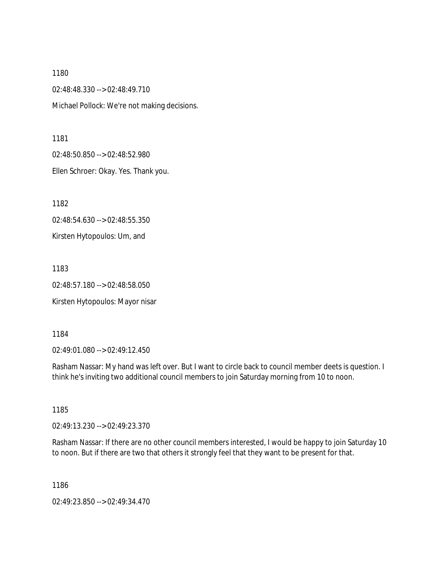02:48:48.330 --> 02:48:49.710 Michael Pollock: We're not making decisions.

1181

02:48:50.850 --> 02:48:52.980

Ellen Schroer: Okay. Yes. Thank you.

1182

02:48:54.630 --> 02:48:55.350

Kirsten Hytopoulos: Um, and

1183

02:48:57.180 --> 02:48:58.050

Kirsten Hytopoulos: Mayor nisar

1184

02:49:01.080 --> 02:49:12.450

Rasham Nassar: My hand was left over. But I want to circle back to council member deets is question. I think he's inviting two additional council members to join Saturday morning from 10 to noon.

1185

02:49:13.230 --> 02:49:23.370

Rasham Nassar: If there are no other council members interested, I would be happy to join Saturday 10 to noon. But if there are two that others it strongly feel that they want to be present for that.

1186

02:49:23.850 --> 02:49:34.470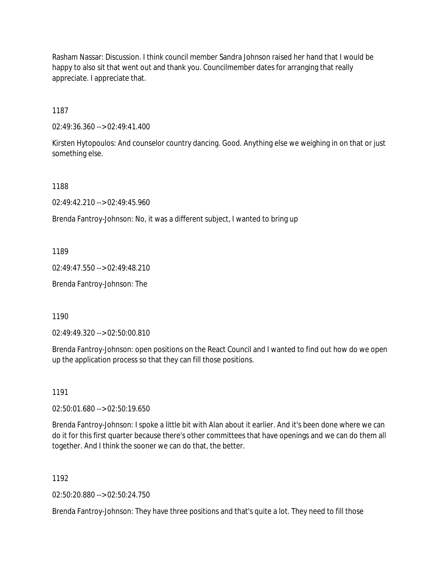Rasham Nassar: Discussion. I think council member Sandra Johnson raised her hand that I would be happy to also sit that went out and thank you. Councilmember dates for arranging that really appreciate. I appreciate that.

1187

 $02:49:36.360 \rightarrow 02:49:41.400$ 

Kirsten Hytopoulos: And counselor country dancing. Good. Anything else we weighing in on that or just something else.

1188

02:49:42.210 --> 02:49:45.960

Brenda Fantroy-Johnson: No, it was a different subject, I wanted to bring up

1189

02:49:47.550 --> 02:49:48.210

Brenda Fantroy-Johnson: The

1190

02:49:49.320 --> 02:50:00.810

Brenda Fantroy-Johnson: open positions on the React Council and I wanted to find out how do we open up the application process so that they can fill those positions.

1191

02:50:01.680 --> 02:50:19.650

Brenda Fantroy-Johnson: I spoke a little bit with Alan about it earlier. And it's been done where we can do it for this first quarter because there's other committees that have openings and we can do them all together. And I think the sooner we can do that, the better.

1192

02:50:20.880 --> 02:50:24.750

Brenda Fantroy-Johnson: They have three positions and that's quite a lot. They need to fill those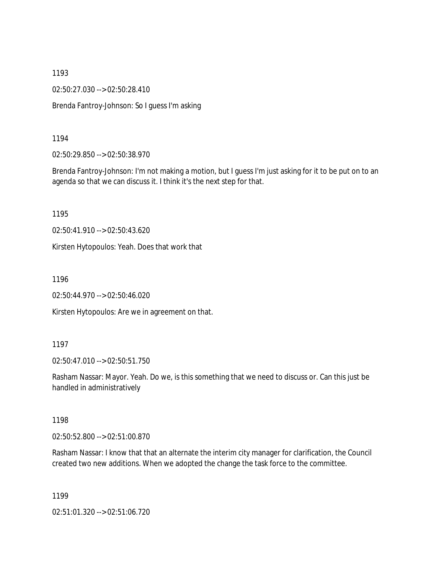02:50:27.030 --> 02:50:28.410

Brenda Fantroy-Johnson: So I guess I'm asking

1194

02:50:29.850 --> 02:50:38.970

Brenda Fantroy-Johnson: I'm not making a motion, but I guess I'm just asking for it to be put on to an agenda so that we can discuss it. I think it's the next step for that.

1195

02:50:41.910 --> 02:50:43.620

Kirsten Hytopoulos: Yeah. Does that work that

1196

02:50:44.970 --> 02:50:46.020

Kirsten Hytopoulos: Are we in agreement on that.

#### 1197

02:50:47.010 --> 02:50:51.750

Rasham Nassar: Mayor. Yeah. Do we, is this something that we need to discuss or. Can this just be handled in administratively

1198

02:50:52.800 --> 02:51:00.870

Rasham Nassar: I know that that an alternate the interim city manager for clarification, the Council created two new additions. When we adopted the change the task force to the committee.

1199

02:51:01.320 --> 02:51:06.720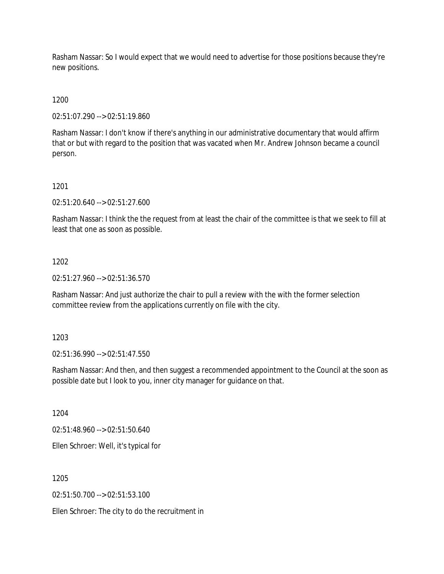Rasham Nassar: So I would expect that we would need to advertise for those positions because they're new positions.

1200

02:51:07.290 --> 02:51:19.860

Rasham Nassar: I don't know if there's anything in our administrative documentary that would affirm that or but with regard to the position that was vacated when Mr. Andrew Johnson became a council person.

1201

02:51:20.640 --> 02:51:27.600

Rasham Nassar: I think the the request from at least the chair of the committee is that we seek to fill at least that one as soon as possible.

1202

02:51:27.960 --> 02:51:36.570

Rasham Nassar: And just authorize the chair to pull a review with the with the former selection committee review from the applications currently on file with the city.

1203

02:51:36.990 --> 02:51:47.550

Rasham Nassar: And then, and then suggest a recommended appointment to the Council at the soon as possible date but I look to you, inner city manager for guidance on that.

1204

02:51:48.960 --> 02:51:50.640

Ellen Schroer: Well, it's typical for

1205

02:51:50.700 --> 02:51:53.100

Ellen Schroer: The city to do the recruitment in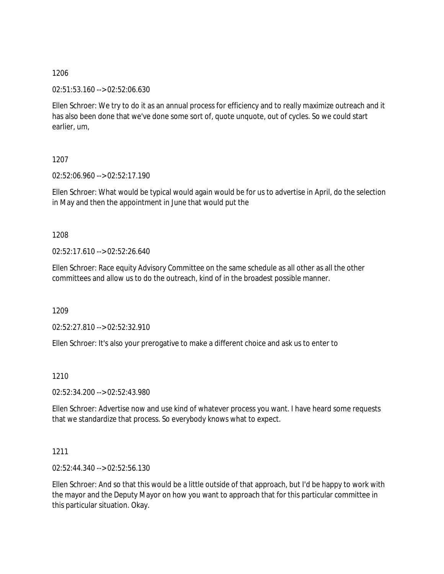02:51:53.160 --> 02:52:06.630

Ellen Schroer: We try to do it as an annual process for efficiency and to really maximize outreach and it has also been done that we've done some sort of, quote unquote, out of cycles. So we could start earlier, um,

1207

02:52:06.960 --> 02:52:17.190

Ellen Schroer: What would be typical would again would be for us to advertise in April, do the selection in May and then the appointment in June that would put the

1208

02:52:17.610 --> 02:52:26.640

Ellen Schroer: Race equity Advisory Committee on the same schedule as all other as all the other committees and allow us to do the outreach, kind of in the broadest possible manner.

1209

02:52:27.810 --> 02:52:32.910

Ellen Schroer: It's also your prerogative to make a different choice and ask us to enter to

1210

02:52:34.200 --> 02:52:43.980

Ellen Schroer: Advertise now and use kind of whatever process you want. I have heard some requests that we standardize that process. So everybody knows what to expect.

## 1211

02:52:44.340 --> 02:52:56.130

Ellen Schroer: And so that this would be a little outside of that approach, but I'd be happy to work with the mayor and the Deputy Mayor on how you want to approach that for this particular committee in this particular situation. Okay.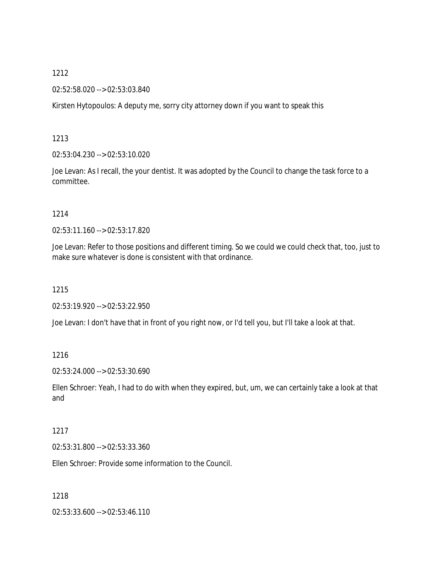02:52:58.020 --> 02:53:03.840

Kirsten Hytopoulos: A deputy me, sorry city attorney down if you want to speak this

1213

02:53:04.230 --> 02:53:10.020

Joe Levan: As I recall, the your dentist. It was adopted by the Council to change the task force to a committee.

#### 1214

02:53:11.160 --> 02:53:17.820

Joe Levan: Refer to those positions and different timing. So we could we could check that, too, just to make sure whatever is done is consistent with that ordinance.

1215

02:53:19.920 --> 02:53:22.950

Joe Levan: I don't have that in front of you right now, or I'd tell you, but I'll take a look at that.

## 1216

02:53:24.000 --> 02:53:30.690

Ellen Schroer: Yeah, I had to do with when they expired, but, um, we can certainly take a look at that and

## 1217

02:53:31.800 --> 02:53:33.360

Ellen Schroer: Provide some information to the Council.

1218

02:53:33.600 --> 02:53:46.110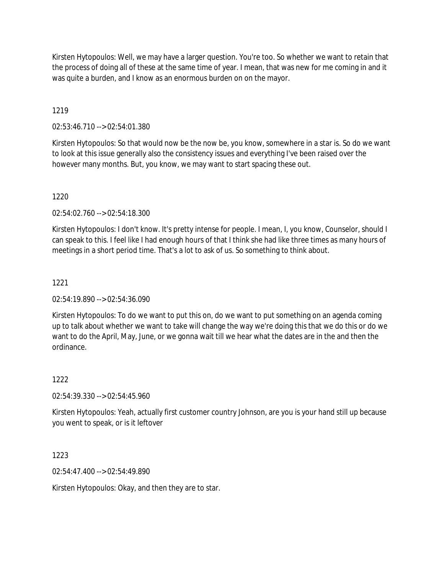Kirsten Hytopoulos: Well, we may have a larger question. You're too. So whether we want to retain that the process of doing all of these at the same time of year. I mean, that was new for me coming in and it was quite a burden, and I know as an enormous burden on on the mayor.

# 1219

02:53:46.710 --> 02:54:01.380

Kirsten Hytopoulos: So that would now be the now be, you know, somewhere in a star is. So do we want to look at this issue generally also the consistency issues and everything I've been raised over the however many months. But, you know, we may want to start spacing these out.

## 1220

02:54:02.760 --> 02:54:18.300

Kirsten Hytopoulos: I don't know. It's pretty intense for people. I mean, I, you know, Counselor, should I can speak to this. I feel like I had enough hours of that I think she had like three times as many hours of meetings in a short period time. That's a lot to ask of us. So something to think about.

## 1221

02:54:19.890 --> 02:54:36.090

Kirsten Hytopoulos: To do we want to put this on, do we want to put something on an agenda coming up to talk about whether we want to take will change the way we're doing this that we do this or do we want to do the April, May, June, or we gonna wait till we hear what the dates are in the and then the ordinance.

## 1222

02:54:39.330 --> 02:54:45.960

Kirsten Hytopoulos: Yeah, actually first customer country Johnson, are you is your hand still up because you went to speak, or is it leftover

## 1223

02:54:47.400 --> 02:54:49.890

Kirsten Hytopoulos: Okay, and then they are to star.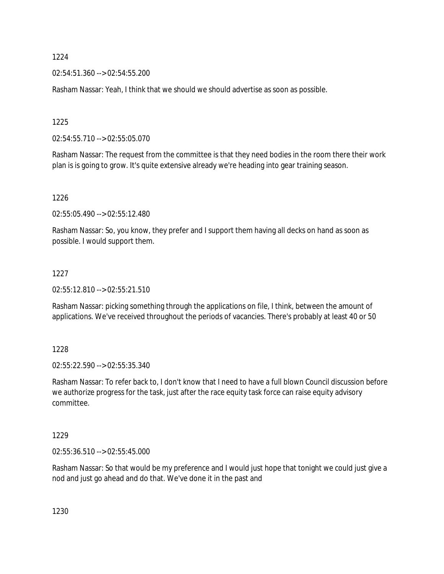02:54:51.360 --> 02:54:55.200

Rasham Nassar: Yeah, I think that we should we should advertise as soon as possible.

1225

02:54:55.710 --> 02:55:05.070

Rasham Nassar: The request from the committee is that they need bodies in the room there their work plan is is going to grow. It's quite extensive already we're heading into gear training season.

1226

02:55:05.490 --> 02:55:12.480

Rasham Nassar: So, you know, they prefer and I support them having all decks on hand as soon as possible. I would support them.

## 1227

02:55:12.810 --> 02:55:21.510

Rasham Nassar: picking something through the applications on file, I think, between the amount of applications. We've received throughout the periods of vacancies. There's probably at least 40 or 50

1228

02:55:22.590 --> 02:55:35.340

Rasham Nassar: To refer back to, I don't know that I need to have a full blown Council discussion before we authorize progress for the task, just after the race equity task force can raise equity advisory committee.

1229

02:55:36.510 --> 02:55:45.000

Rasham Nassar: So that would be my preference and I would just hope that tonight we could just give a nod and just go ahead and do that. We've done it in the past and

1230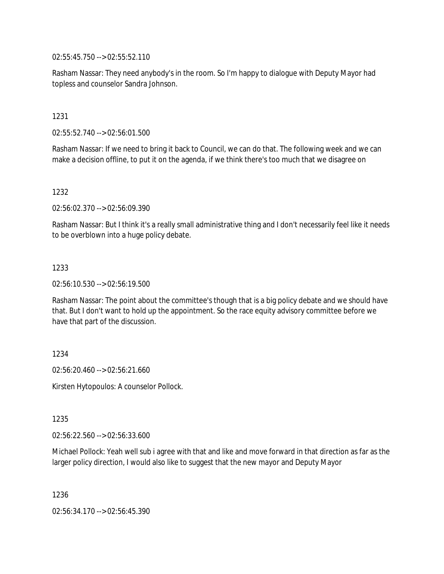02:55:45.750 --> 02:55:52.110

Rasham Nassar: They need anybody's in the room. So I'm happy to dialogue with Deputy Mayor had topless and counselor Sandra Johnson.

1231

02:55:52.740 --> 02:56:01.500

Rasham Nassar: If we need to bring it back to Council, we can do that. The following week and we can make a decision offline, to put it on the agenda, if we think there's too much that we disagree on

1232

02:56:02.370 --> 02:56:09.390

Rasham Nassar: But I think it's a really small administrative thing and I don't necessarily feel like it needs to be overblown into a huge policy debate.

1233

02:56:10.530 --> 02:56:19.500

Rasham Nassar: The point about the committee's though that is a big policy debate and we should have that. But I don't want to hold up the appointment. So the race equity advisory committee before we have that part of the discussion.

1234

02:56:20.460 --> 02:56:21.660

Kirsten Hytopoulos: A counselor Pollock.

1235

02:56:22.560 --> 02:56:33.600

Michael Pollock: Yeah well sub i agree with that and like and move forward in that direction as far as the larger policy direction, I would also like to suggest that the new mayor and Deputy Mayor

1236

02:56:34.170 --> 02:56:45.390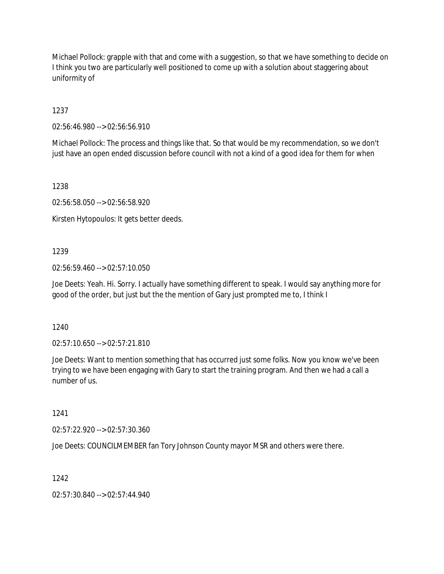Michael Pollock: grapple with that and come with a suggestion, so that we have something to decide on I think you two are particularly well positioned to come up with a solution about staggering about uniformity of

1237

02:56:46.980 --> 02:56:56.910

Michael Pollock: The process and things like that. So that would be my recommendation, so we don't just have an open ended discussion before council with not a kind of a good idea for them for when

1238

02:56:58.050 --> 02:56:58.920

Kirsten Hytopoulos: It gets better deeds.

## 1239

02:56:59.460 --> 02:57:10.050

Joe Deets: Yeah. Hi. Sorry. I actually have something different to speak. I would say anything more for good of the order, but just but the the mention of Gary just prompted me to, I think I

1240

02:57:10.650 --> 02:57:21.810

Joe Deets: Want to mention something that has occurred just some folks. Now you know we've been trying to we have been engaging with Gary to start the training program. And then we had a call a number of us.

1241

02:57:22.920 --> 02:57:30.360

Joe Deets: COUNCILMEMBER fan Tory Johnson County mayor MSR and others were there.

1242

02:57:30.840 --> 02:57:44.940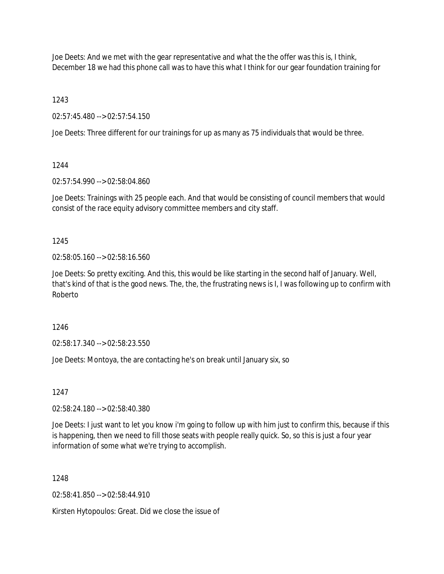Joe Deets: And we met with the gear representative and what the the offer was this is, I think, December 18 we had this phone call was to have this what I think for our gear foundation training for

1243

02:57:45.480 --> 02:57:54.150

Joe Deets: Three different for our trainings for up as many as 75 individuals that would be three.

1244

02:57:54.990 --> 02:58:04.860

Joe Deets: Trainings with 25 people each. And that would be consisting of council members that would consist of the race equity advisory committee members and city staff.

1245

02:58:05.160 --> 02:58:16.560

Joe Deets: So pretty exciting. And this, this would be like starting in the second half of January. Well, that's kind of that is the good news. The, the, the frustrating news is I, I was following up to confirm with Roberto

1246

02:58:17.340 --> 02:58:23.550

Joe Deets: Montoya, the are contacting he's on break until January six, so

1247

02:58:24.180 --> 02:58:40.380

Joe Deets: I just want to let you know i'm going to follow up with him just to confirm this, because if this is happening, then we need to fill those seats with people really quick. So, so this is just a four year information of some what we're trying to accomplish.

1248

02:58:41.850 --> 02:58:44.910

Kirsten Hytopoulos: Great. Did we close the issue of